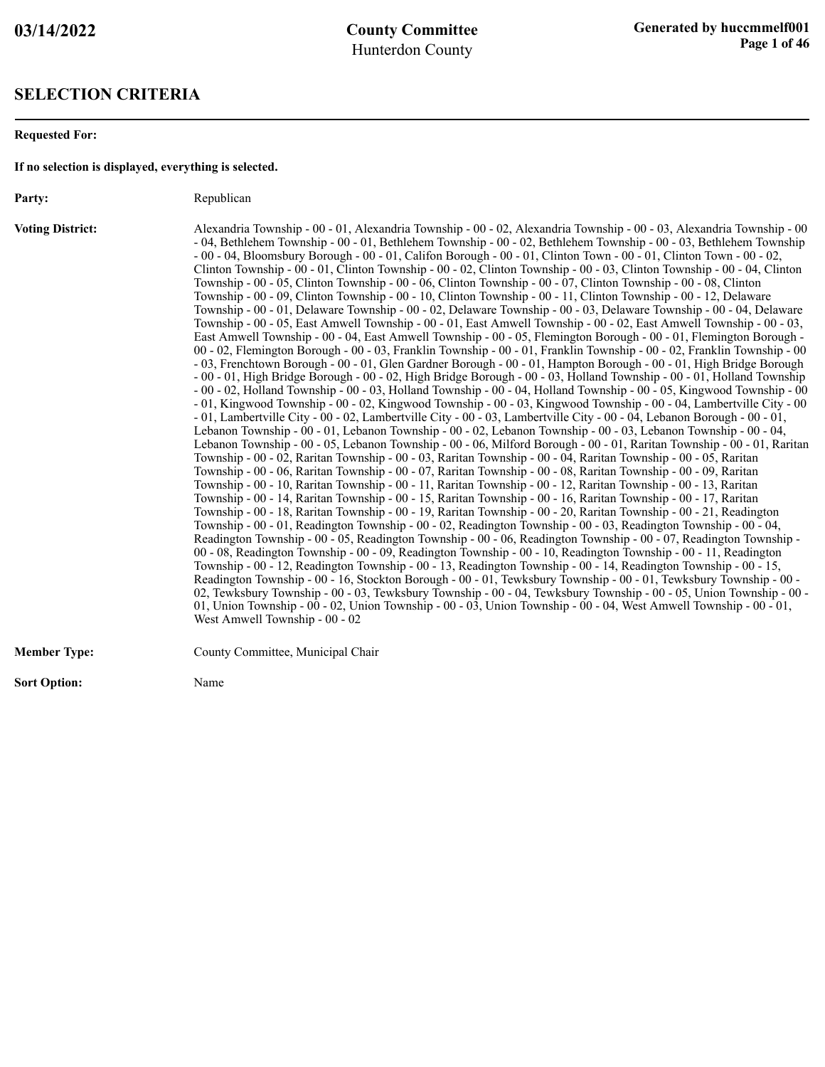#### **SELECTION CRITERIA**

**Requested For:**

**If no selection is displayed, everything is selected.**

Party: Republican

**Voting District:** Alexandria Township - 00 - 01, Alexandria Township - 00 - 02, Alexandria Township - 00 - 03, Alexandria Township - 00 - 04, Bethlehem Township - 00 - 01, Bethlehem Township - 00 - 02, Bethlehem Township - 00 - 03, Bethlehem Township - 00 - 04, Bloomsbury Borough - 00 - 01, Califon Borough - 00 - 01, Clinton Town - 00 - 01, Clinton Town - 00 - 02, Clinton Township - 00 - 01, Clinton Township - 00 - 02, Clinton Township - 00 - 03, Clinton Township - 00 - 04, Clinton Township - 00 - 05, Clinton Township - 00 - 06, Clinton Township - 00 - 07, Clinton Township - 00 - 08, Clinton Township - 00 - 09, Clinton Township - 00 - 10, Clinton Township - 00 - 11, Clinton Township - 00 - 12, Delaware Township - 00 - 01, Delaware Township - 00 - 02, Delaware Township - 00 - 03, Delaware Township - 00 - 04, Delaware Township - 00 - 05, East Amwell Township - 00 - 01, East Amwell Township - 00 - 02, East Amwell Township - 00 - 03, East Amwell Township - 00 - 04, East Amwell Township - 00 - 05, Flemington Borough - 00 - 01, Flemington Borough - 00 - 02, Flemington Borough - 00 - 03, Franklin Township - 00 - 01, Franklin Township - 00 - 02, Franklin Township - 00 - 03, Frenchtown Borough - 00 - 01, Glen Gardner Borough - 00 - 01, Hampton Borough - 00 - 01, High Bridge Borough - 00 - 01, High Bridge Borough - 00 - 02, High Bridge Borough - 00 - 03, Holland Township - 00 - 01, Holland Township - 00 - 02, Holland Township - 00 - 03, Holland Township - 00 - 04, Holland Township - 00 - 05, Kingwood Township - 00 - 01, Kingwood Township - 00 - 02, Kingwood Township - 00 - 03, Kingwood Township - 00 - 04, Lambertville City - 00 - 01, Lambertville City - 00 - 02, Lambertville City - 00 - 03, Lambertville City - 00 - 04, Lebanon Borough - 00 - 01, Lebanon Township - 00 - 01, Lebanon Township - 00 - 02, Lebanon Township - 00 - 03, Lebanon Township - 00 - 04, Lebanon Township - 00 - 05, Lebanon Township - 00 - 06, Milford Borough - 00 - 01, Raritan Township - 00 - 01, Raritan Township - 00 - 02, Raritan Township - 00 - 03, Raritan Township - 00 - 04, Raritan Township - 00 - 05, Raritan Township - 00 - 06, Raritan Township - 00 - 07, Raritan Township - 00 - 08, Raritan Township - 00 - 09, Raritan Township - 00 - 10, Raritan Township - 00 - 11, Raritan Township - 00 - 12, Raritan Township - 00 - 13, Raritan Township - 00 - 14, Raritan Township - 00 - 15, Raritan Township - 00 - 16, Raritan Township - 00 - 17, Raritan Township - 00 - 18, Raritan Township - 00 - 19, Raritan Township - 00 - 20, Raritan Township - 00 - 21, Readington Township - 00 - 01, Readington Township - 00 - 02, Readington Township - 00 - 03, Readington Township - 00 - 04, Readington Township - 00 - 05, Readington Township - 00 - 06, Readington Township - 00 - 07, Readington Township - 00 - 08, Readington Township - 00 - 09, Readington Township - 00 - 10, Readington Township - 00 - 11, Readington Township - 00 - 12, Readington Township - 00 - 13, Readington Township - 00 - 14, Readington Township - 00 - 15, Readington Township - 00 - 16, Stockton Borough - 00 - 01, Tewksbury Township - 00 - 01, Tewksbury Township - 00 - 02, Tewksbury Township - 00 - 03, Tewksbury Township - 00 - 04, Tewksbury Township - 00 - 05, Union Township - 00 - 01, Union Township - 00 - 02, Union Township - 00 - 03, Union Township - 00 - 04, West Amwell Township - 00 - 01, West Amwell Township - 00 - 02

| <b>Member Type:</b> | County Committee, Municipal Chair |
|---------------------|-----------------------------------|
|                     |                                   |

**Sort Option:** Name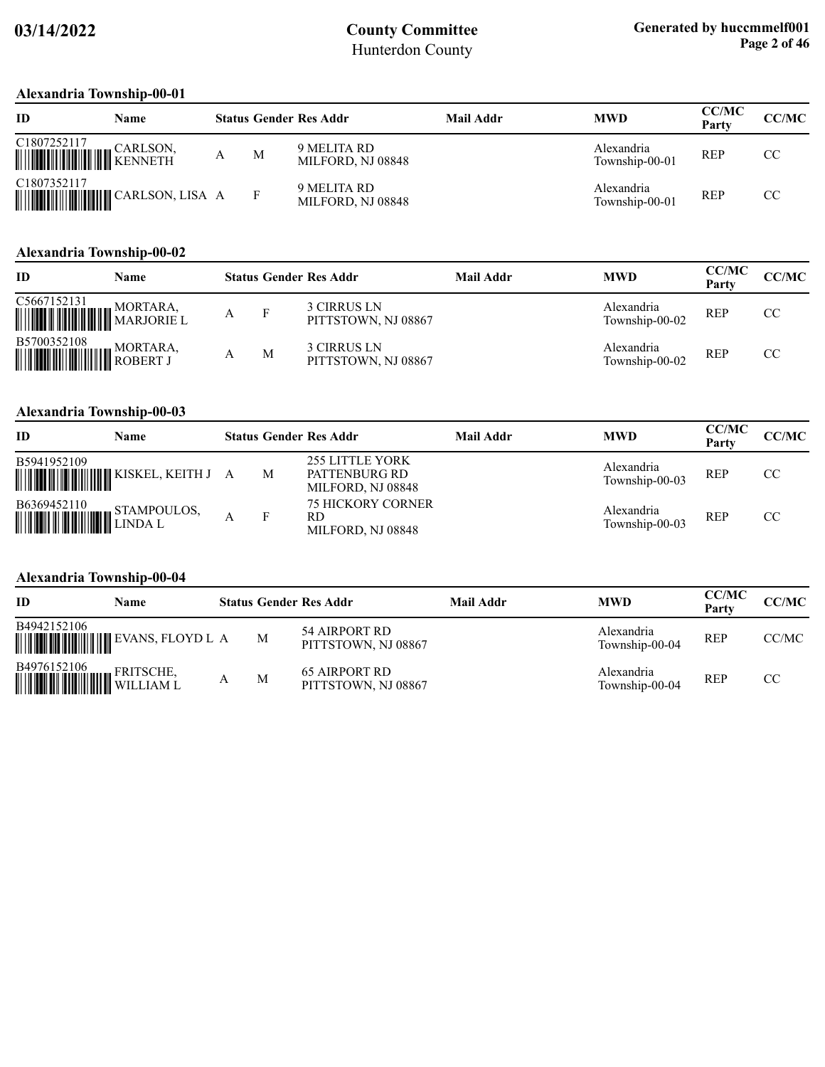#### **Alexandria Township-00-01**

| ID                                                                                                                                                                          | Name |   | <b>Status Gender Res Addr</b>    | Mail Addr | <b>MWD</b>                   | <b>CC/MC</b><br>Party | CC/MC |
|-----------------------------------------------------------------------------------------------------------------------------------------------------------------------------|------|---|----------------------------------|-----------|------------------------------|-----------------------|-------|
| $\begin{tabular}{ c c c c } \hline C1807252117 & & CARLSON, \\ \hline \hline \end{tabular} \begin{tabular}{ c c c c c } \hline CARLSON, & CARLSON, \\ \hline \end{tabular}$ |      | M | 9 MELITA RD<br>MILFORD, NJ 08848 |           | Alexandria<br>Township-00-01 | <b>REP</b>            | CC    |
| C1807352117                                                                                                                                                                 |      |   | 9 MELITA RD<br>MILFORD, NJ 08848 |           | Alexandria<br>Township-00-01 | <b>REP</b>            | CC.   |

### **Alexandria Township-00-02**

| ID                                                                                                                                                | Name |   | <b>Status Gender Res Addr</b>      | Mail Addr | <b>MWD</b>                   | <b>CC/MC</b><br>Party | <b>CC/MC</b> |
|---------------------------------------------------------------------------------------------------------------------------------------------------|------|---|------------------------------------|-----------|------------------------------|-----------------------|--------------|
| C5667152131 MORTARA, MILLET MARJORIE L                                                                                                            |      |   | 3 CIRRUS LN<br>PITTSTOWN, NJ 08867 |           | Alexandria<br>Township-00-02 | <b>REP</b>            | CC           |
| $\begin{tabular}{ c c c c } \hline \textbf{B5700352108} & \textbf{MORTARA}, \\ \hline \textbf{m9910} & \textbf{MOBERT J} \\ \hline \end{tabular}$ |      | M | 3 CIRRUS LN<br>PITTSTOWN, NJ 08867 |           | Alexandria<br>Township-00-02 | <b>REP</b>            | CC           |

### **Alexandria Township-00-03**

| ID                                                                                                                                             | Name |   | <b>Status Gender Res Addr</b>                                | Mail Addr | <b>MWD</b>                   | <b>CC/MC</b><br>Party | <b>CC/MC</b> |
|------------------------------------------------------------------------------------------------------------------------------------------------|------|---|--------------------------------------------------------------|-----------|------------------------------|-----------------------|--------------|
| B5941952109                                                                                                                                    |      | M | <b>255 LITTLE YORK</b><br>PATTENBURG RD<br>MILFORD, NJ 08848 |           | Alexandria<br>Township-00-03 | <b>REP</b>            | CC           |
| $\begin{tabular}{ c c c } \hline \textbf{B6369452110} & \textbf{STAMPOULOS}, \\ \hline \textbf{mm} & \textbf{LINDA L} \\ \hline \end{tabular}$ |      |   | <b>75 HICKORY CORNER</b><br>RD<br>MILFORD, NJ 08848          |           | Alexandria<br>Township-00-03 | <b>REP</b>            | CC           |

#### **Alexandria Township-00-04**

| ID                                                                                                                                                      | Name |   | <b>Status Gender Res Addr</b>               | <b>Mail Addr</b> | <b>MWD</b>                   | <b>CC/MC</b><br>Party | CC/MC |
|---------------------------------------------------------------------------------------------------------------------------------------------------------|------|---|---------------------------------------------|------------------|------------------------------|-----------------------|-------|
| B4942152106                                                                                                                                             |      | M | 54 AIRPORT RD<br>PITTSTOWN, NJ 08867        |                  | Alexandria<br>Township-00-04 | <b>REP</b>            | CC/MC |
| $\begin{tabular}{ c c c c } \hline \textbf{B4976152106} & \textbf{FRTISCHE}, \\ \hline \textbf{WILLIAM L} & \textbf{WILLIAM L} \\ \hline \end{tabular}$ |      | M | <b>65 AIRPORT RD</b><br>PITTSTOWN, NJ 08867 |                  | Alexandria<br>Township-00-04 | <b>REP</b>            | CC.   |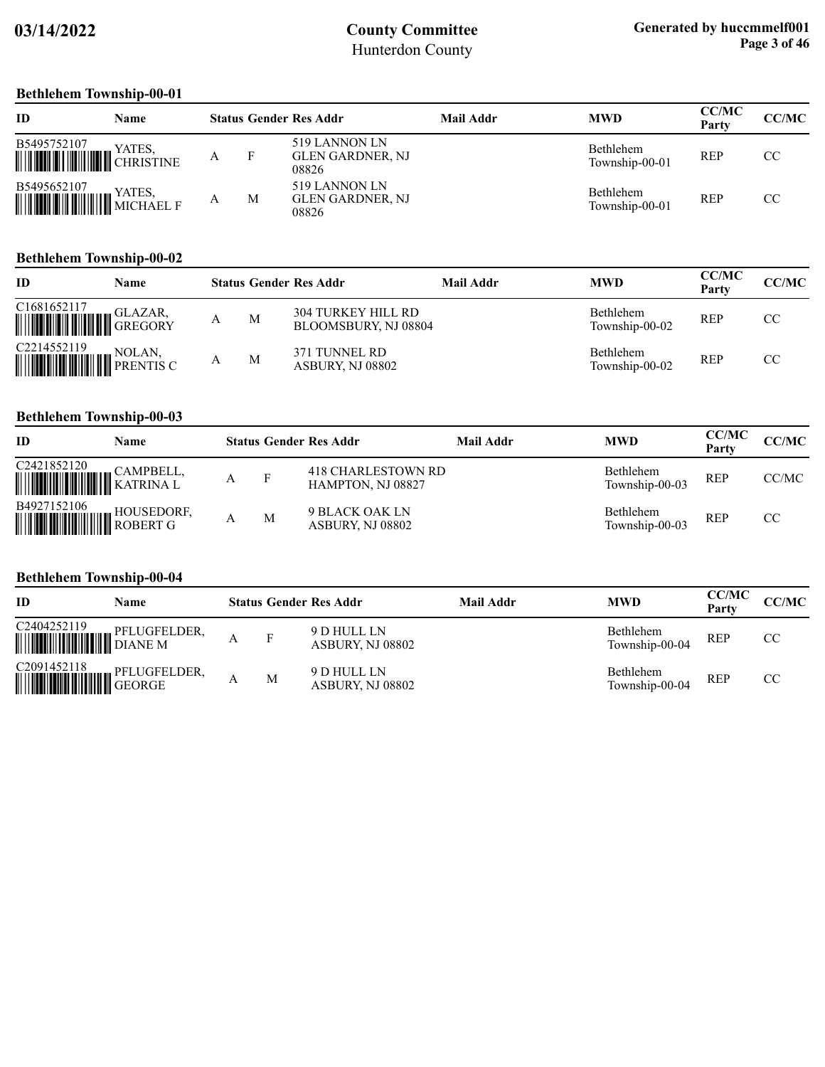#### **Bethlehem Township-00-01**

| ID                                        | Name   |   |   | <b>Status Gender Res Addr</b>              | Mail Addr | <b>MWD</b>                  | <b>CC/MC</b><br>Party | <b>CC/MC</b> |
|-------------------------------------------|--------|---|---|--------------------------------------------|-----------|-----------------------------|-----------------------|--------------|
| B5495752107<br>WE CHRISTINE               | YATES, | А | F | 519 LANNON LN<br>GLEN GARDNER, NJ<br>08826 |           | Bethlehem<br>Township-00-01 | <b>REP</b>            | CC.          |
| B5495652107<br><b>WEIGHT AND STATES</b> , | YATES, | А | M | 519 LANNON LN<br>GLEN GARDNER, NJ<br>08826 |           | Bethlehem<br>Township-00-01 | <b>REP</b>            | CC.          |

#### **Bethlehem Township-00-02**

| ID                                                                                                                                                                                                                                                                                                                                                                                                                                                        | Name |   | <b>Status Gender Res Addr</b>                     | Mail Addr | <b>MWD</b>                         | <b>CC/MC</b><br>Party | CC/MC |
|-----------------------------------------------------------------------------------------------------------------------------------------------------------------------------------------------------------------------------------------------------------------------------------------------------------------------------------------------------------------------------------------------------------------------------------------------------------|------|---|---------------------------------------------------|-----------|------------------------------------|-----------------------|-------|
| $\begin{tabular}{ c c c } \hline C1681652117 & \multicolumn{1}{ c }{GLAZAR}, \\ \hline \hline \multicolumn{1}{ c }{\textbf{}} & \multicolumn{1}{ c }{\textbf{}} & \multicolumn{1}{ c }{\textbf{}} \\ \hline \multicolumn{1}{ c }{\textbf{}} & \multicolumn{1}{ c }{\textbf{}} & \multicolumn{1}{ c }{\textbf{}} \\ \hline \multicolumn{1}{ c }{\textbf{}} & \multicolumn{1}{ c }{\textbf{}} & \multicolumn{1}{ c }{\textbf{}} \\ \hline \multicolumn{1}{$ |      | M | <b>304 TURKEY HILL RD</b><br>BLOOMSBURY, NJ 08804 |           | <b>Bethlehem</b><br>Township-00-02 | <b>REP</b>            | CC.   |
|                                                                                                                                                                                                                                                                                                                                                                                                                                                           |      | M | 371 TUNNEL RD<br>ASBURY, NJ 08802                 |           | <b>Bethlehem</b><br>Township-00-02 | <b>REP</b>            | CC    |

#### **Bethlehem Township-00-03**

| ID                                                                                                                                                                                 | Name |   |   | <b>Status Gender Res Addr</b>           | Mail Addr | <b>MWD</b>                  | <b>CC/MC</b><br>Party | CC/MC |
|------------------------------------------------------------------------------------------------------------------------------------------------------------------------------------|------|---|---|-----------------------------------------|-----------|-----------------------------|-----------------------|-------|
| $\begin{tabular}{ c c c } \hline C2421852120 & CAMPBELL, \\ \hline \hline \end{tabular} \begin{tabular}{ c c c c c } \hline CAMPBELL, \\ \hline KATRINA L \\ \hline \end{tabular}$ |      | Α | F | 418 CHARLESTOWN RD<br>HAMPTON, NJ 08827 |           | Bethlehem<br>Township-00-03 | <b>REP</b>            | CC/MC |
| $\begin{tabular}{ c c c } \hline \textbf{B4927152106} & \textbf{HOUSEDORF}, \\ \hline \textbf{MWW} & \textbf{ROBERT G} \\ \hline \end{tabular}$                                    |      |   | M | 9 BLACK OAK LN<br>ASBURY, NJ 08802      |           | Bethlehem<br>Township-00-03 | <b>REP</b>            | CC    |

#### **Bethlehem Township-00-04**

| ID                       | <b>Name</b> |   | <b>Status Gender Res Addr</b>   | Mail Addr | <b>MWD</b>                  | <b>CC/MC</b><br>Party | CC/MC |
|--------------------------|-------------|---|---------------------------------|-----------|-----------------------------|-----------------------|-------|
| C2404252119 PFLUGFELDER, |             | F | 9 D HULL LN<br>ASBURY, NJ 08802 |           | Bethlehem<br>Township-00-04 | <b>REP</b>            | CC    |
|                          |             | M | 9 D HULL LN<br>ASBURY, NJ 08802 |           | Bethlehem<br>Township-00-04 | <b>REP</b>            | CC    |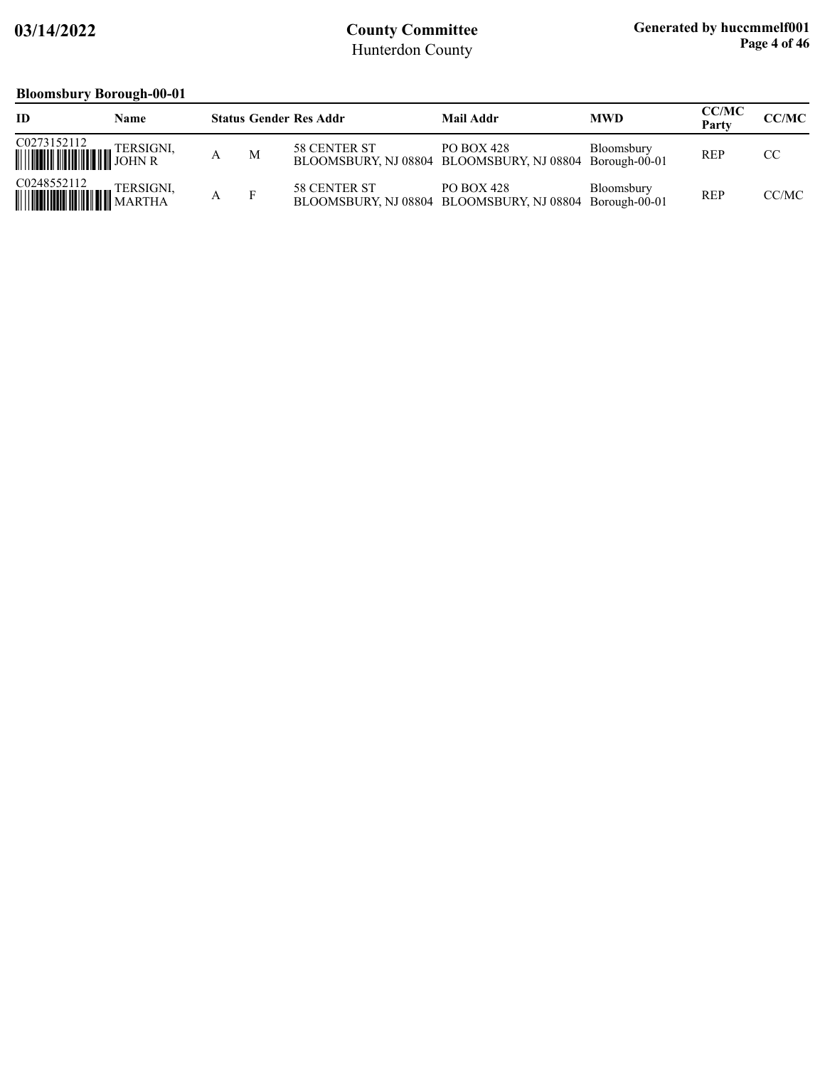### **Bloomsbury Borough-00-01**

| ID                                  | Name      |   | <b>Status Gender Res Addr</b> | Mail Addr                                                             | <b>MWD</b> | <b>CC/MC</b><br>Party | CC/MC |
|-------------------------------------|-----------|---|-------------------------------|-----------------------------------------------------------------------|------------|-----------------------|-------|
|                                     |           | M | 58 CENTER ST                  | PO BOX 428<br>BLOOMSBURY, NJ 08804 BLOOMSBURY, NJ 08804 Borough-00-01 | Bloomsbury | <b>REP</b>            | CC    |
| C0248552112<br><b>WILLIAM ARTHA</b> | TERSIGNI, |   | 58 CENTER ST                  | PO BOX 428<br>BLOOMSBURY, NJ 08804 BLOOMSBURY, NJ 08804 Borough-00-01 | Bloomsbury | <b>REP</b>            | CC/MC |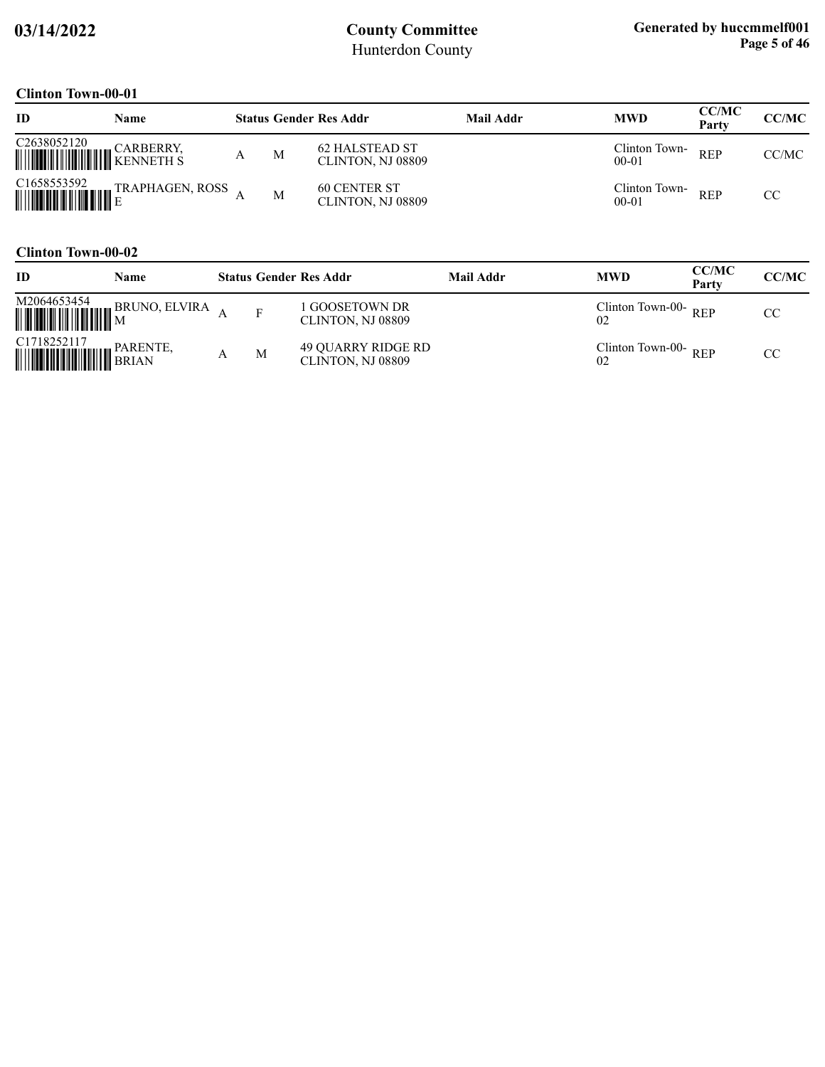### **Clinton Town-00-01**

| ID                      | Name |   | <b>Status Gender Res Addr</b>              | Mail Addr | <b>MWD</b>                 | <b>CC/MC</b><br>Party | <b>CC/MC</b> |
|-------------------------|------|---|--------------------------------------------|-----------|----------------------------|-----------------------|--------------|
| C <sub>2638052120</sub> |      | M | <b>62 HALSTEAD ST</b><br>CLINTON, NJ 08809 |           | Clinton Town-<br>$00 - 01$ | <b>REP</b>            | CC/MC        |
| C <sub>1658553592</sub> |      | M | <b>60 CENTER ST</b><br>CLINTON, NJ 08809   |           | Clinton Town-<br>$00 - 01$ | <b>REP</b>            | CC           |

#### **Clinton Town-00-02**

| ID                                                                                                                                                                         | <b>Name</b> |   | <b>Status Gender Res Addr</b>           | Mail Addr | <b>MWD</b>                | <b>CC/MC</b><br>Party | CC/MC |
|----------------------------------------------------------------------------------------------------------------------------------------------------------------------------|-------------|---|-----------------------------------------|-----------|---------------------------|-----------------------|-------|
|                                                                                                                                                                            |             |   | GOOSETOWN DR<br>CLINTON, NJ 08809       |           | Clinton Town-00- $REP$    |                       | CC    |
| $\begin{tabular}{ c c c } \hline C1718252117 & PARENTE, \\ \hline \hline \end{tabular} \begin{tabular}{ c c c c } \hline PARENTE, \\ \hline BRIAN \\ \hline \end{tabular}$ |             | М | 49 QUARRY RIDGE RD<br>CLINTON, NJ 08809 |           | Clinton Town-00-REP<br>02 |                       | CC    |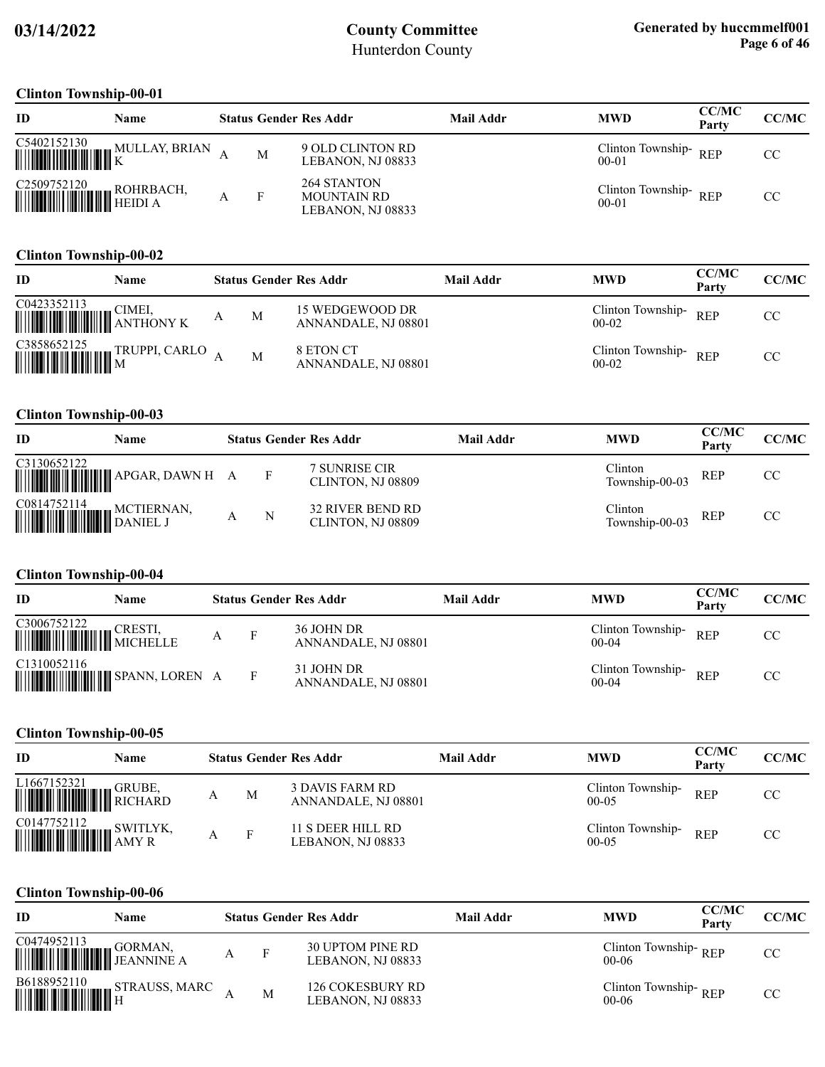#### **Clinton Township-00-01**

| ID                                                                                                                                                                                                    | <b>Name</b>   |   | <b>Status Gender Res Addr</b>                          | Mail Addr | <b>MWD</b>                        | <b>CC/MC</b><br>Party | CC/MC |
|-------------------------------------------------------------------------------------------------------------------------------------------------------------------------------------------------------|---------------|---|--------------------------------------------------------|-----------|-----------------------------------|-----------------------|-------|
| $\begin{tabular}{ c c c c } \hline C5402152130 & M \\ \hline \hline \hline \end{tabular}$                                                                                                             | MULLAY, BRIAN | M | 9 OLD CLINTON RD<br>LEBANON, NJ 08833                  |           | Clinton Township-REP<br>$00 - 01$ |                       | CC    |
| $\begin{tabular}{ c c c c } \hline C2509752120 & ROHRBACH, \\\hline \end{tabular} \begin{tabular}{ c c c c c } \hline P11111 & P111 & P111 & P111 & P111 \\ \hline HEIDI & A \\ \hline \end{tabular}$ |               |   | 264 STANTON<br><b>MOUNTAIN RD</b><br>LEBANON, NJ 08833 |           | Clinton Township-REP<br>$00 - 01$ |                       | CC    |

#### **Clinton Township-00-02**

| <b>ID</b>                                                                                                                 | Name          |   |   | <b>Status Gender Res Addr</b>          | <b>Mail Addr</b> | <b>MWD</b>                     | <b>CC/MC</b><br>Party | CC/MC |
|---------------------------------------------------------------------------------------------------------------------------|---------------|---|---|----------------------------------------|------------------|--------------------------------|-----------------------|-------|
|                                                                                                                           |               | A | M | 15 WEDGEWOOD DR<br>ANNANDALE, NJ 08801 |                  | Clinton Township-<br>$00 - 02$ | <b>REP</b>            | CC.   |
| $\begin{tabular}{ c c c c c } \hline C3858652125 & & \text{TR} \\ \hline & \text{TR} & \text{TR} \\ \hline \end{tabular}$ | TRUPPI, CARLO |   | M | 8 ETON CT<br>ANNANDALE, NJ 08801       |                  | Clinton Township-<br>$00-02$   | <b>REP</b>            | CC.   |

### **Clinton Township-00-03**

| ID                             | Name       |   | <b>Status Gender Res Addr</b>         | <b>Mail Addr</b> | <b>MWD</b>                | <b>CC/MC</b><br>Party | CC/MC |
|--------------------------------|------------|---|---------------------------------------|------------------|---------------------------|-----------------------|-------|
| C3130652122                    |            |   | 7 SUNRISE CIR<br>CLINTON, NJ 08809    |                  | Clinton<br>Township-00-03 | <b>REP</b>            | CC.   |
| C0814752114<br><b>WEILERNA</b> | MCTIERNAN, | N | 32 RIVER BEND RD<br>CLINTON, NJ 08809 |                  | Clinton<br>Township-00-03 | <b>REP</b>            | CC.   |

#### **Clinton Township-00-04**

| ID                                                                                                                                                                                   | <b>Name</b> |   | <b>Status Gender Res Addr</b>     | Mail Addr | <b>MWD</b>                     | <b>CC/MC</b><br>Party | <b>CC/MC</b> |
|--------------------------------------------------------------------------------------------------------------------------------------------------------------------------------------|-------------|---|-----------------------------------|-----------|--------------------------------|-----------------------|--------------|
| $\begin{tabular}{ c c c } \hline C3006752122 & CRESTI, \\ \hline \hline \end{tabular} \begin{tabular}{ c c c c } \hline C3006752122 & CRESTI, \\ \hline \end{tabular} \end{tabular}$ |             | А | 36 JOHN DR<br>ANNANDALE, NJ 08801 |           | Clinton Township-<br>$00 - 04$ | <b>REP</b>            | CC.          |
| C1310052116<br><b>MUNICIPALITY OF SPANN, LOREN A</b>                                                                                                                                 |             |   | 31 JOHN DR<br>ANNANDALE, NJ 08801 |           | Clinton Township-<br>$00 - 04$ | <b>REP</b>            | CC.          |

#### **Clinton Township-00-05**

| <b>ID</b>                                                                                                                                    | Name          |   |   | <b>Status Gender Res Addr</b>          | Mail Addr | <b>MWD</b>                     | <b>CC/MC</b><br>Party | <b>CC/MC</b> |
|----------------------------------------------------------------------------------------------------------------------------------------------|---------------|---|---|----------------------------------------|-----------|--------------------------------|-----------------------|--------------|
| L1667152321<br><b>WEIGHT HERE</b>                                                                                                            | <b>GRUBE.</b> | А | M | 3 DAVIS FARM RD<br>ANNANDALE, NJ 08801 |           | Clinton Township-<br>$00-05$   | <b>REP</b>            | CC           |
| $\begin{tabular}{ c c c c } \hline \textbf{C0147752112} & \textbf{SWITLY} \\ \hline \textbf{WW1W1} & \textbf{MXY R} \\ \hline \end{tabular}$ | SWITLYK,      |   | F | 11 S DEER HILL RD<br>LEBANON, NJ 08833 |           | Clinton Township-<br>$00 - 05$ | <b>REP</b>            | <b>CC</b>    |

#### **Clinton Township-00-06**

| ID                                                                                                                                                                                                                                                                                       | Name                                                                                                                                        |   |   | <b>Status Gender Res Addr</b>         | Mail Addr | <b>MWD</b>                        | <b>CC/MC</b><br>Party | CC/MC |
|------------------------------------------------------------------------------------------------------------------------------------------------------------------------------------------------------------------------------------------------------------------------------------------|---------------------------------------------------------------------------------------------------------------------------------------------|---|---|---------------------------------------|-----------|-----------------------------------|-----------------------|-------|
| $\begin{tabular}{ c c c } \hline CO474952113 & GORMAN, \\ \hline \hline \hline \end{tabular} \begin{tabular}{ c c c c } \hline \multicolumn{3}{ c }{\textbf{GORMAN}} & \multicolumn{3}{ c }{\textbf{GORMAN}} \\ \hline \multicolumn{3}{ c }{\textbf{EANNNNE A}} \\ \hline \end{tabular}$ |                                                                                                                                             | А |   | 30 UPTOM PINE RD<br>LEBANON, NJ 08833 |           | Clinton Township-REP<br>$00-06$   |                       | CC    |
|                                                                                                                                                                                                                                                                                          | $\begin{tabular}{ c c c c } \hline \textbf{B6188952110} & \textbf{STRAUSS, MARC} \\ \hline \textbf{H} & \textbf{H} \\ \hline \end{tabular}$ |   | M | 126 COKESBURY RD<br>LEBANON, NJ 08833 |           | Clinton Township-REP<br>$00 - 06$ |                       | CC    |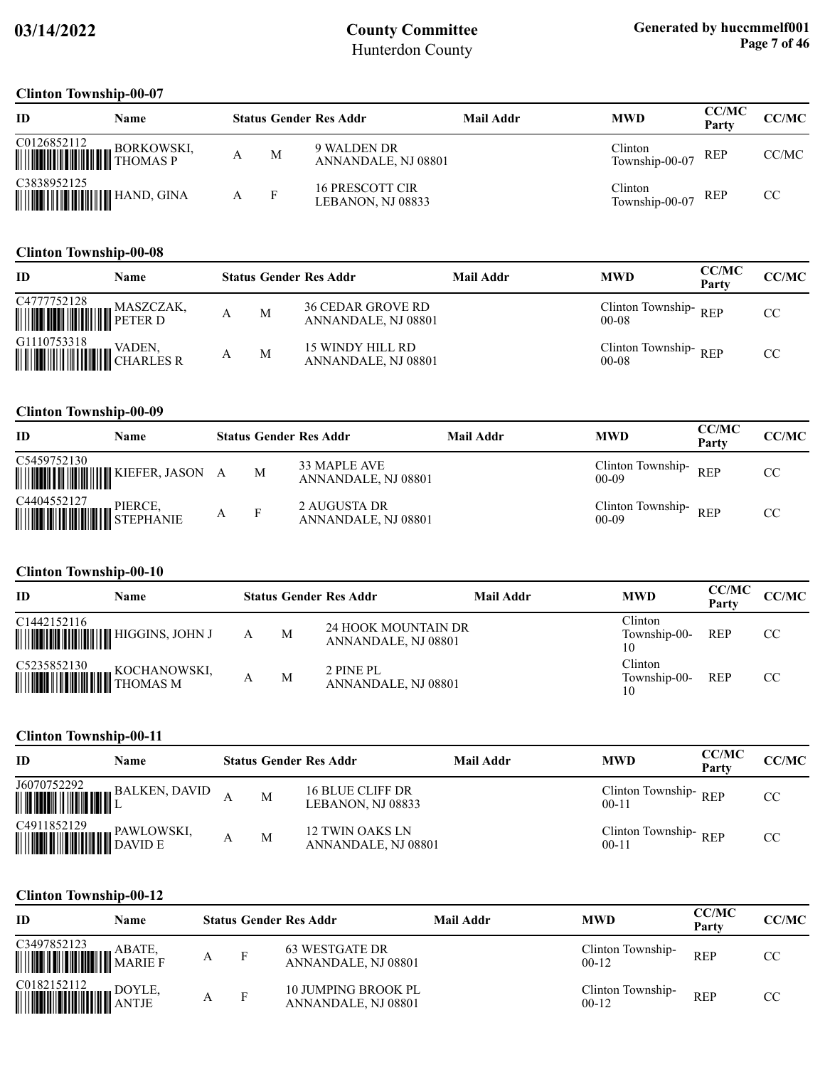#### **Clinton Township-00-07**

| ID                                                                                                                                                                                | Name |   | <b>Status Gender Res Addr</b>        | Mail Addr | <b>MWD</b>                | <b>CC/MC</b><br>Party | CC/MC |
|-----------------------------------------------------------------------------------------------------------------------------------------------------------------------------------|------|---|--------------------------------------|-----------|---------------------------|-----------------------|-------|
| $\begin{tabular}{ c c c } \hline C0126852112 & BORKOWSKI, \\ \hline \hline \end{tabular} \begin{tabular}{ c c c c } \hline PORKOWSKI, \\ \hline THOMAS P \\ \hline \end{tabular}$ |      | M | 9 WALDEN DR<br>ANNANDALE, NJ 08801   |           | Clinton<br>Township-00-07 | REP                   | CC/MC |
| C3838952125                                                                                                                                                                       |      |   | 16 PRESCOTT CIR<br>LEBANON. NJ 08833 |           | Clinton<br>Township-00-07 | REP                   | CC.   |

#### **Clinton Township-00-08**

| ID                                                                                                                                                             | Name |   | <b>Status Gender Res Addr</b>                   | Mail Addr | <b>MWD</b>                        | <b>CC/MC</b><br>Party | <b>CC/MC</b> |
|----------------------------------------------------------------------------------------------------------------------------------------------------------------|------|---|-------------------------------------------------|-----------|-----------------------------------|-----------------------|--------------|
| $\begin{tabular}{ c c c } \hline C4777752128 & MASZCZAK, \\ \hline \hline \end{tabular} \begin{tabular}{ c c c c c } \hline MASZCZAK, \\ \hline \end{tabular}$ |      | M | <b>36 CEDAR GROVE RD</b><br>ANNANDALE, NJ 08801 |           | Clinton Township-REP<br>$00 - 08$ |                       | CC           |
|                                                                                                                                                                |      | M | 15 WINDY HILL RD<br>ANNANDALE, NJ 08801         |           | Clinton Township-REP<br>$00 - 08$ |                       | CC           |

#### **Clinton Township-00-09**

| <b>ID</b>                                                                                                                                                                          | Name                                   |   | <b>Status Gender Res Addr</b>       | Mail Addr | <b>MWD</b>                        | <b>CC/MC</b><br>Party | CC/MC |
|------------------------------------------------------------------------------------------------------------------------------------------------------------------------------------|----------------------------------------|---|-------------------------------------|-----------|-----------------------------------|-----------------------|-------|
| C5459752130                                                                                                                                                                        | <b>WILLIAM WILLIAM KIEFER, JASON A</b> | M | 33 MAPLE AVE<br>ANNANDALE, NJ 08801 |           | Clinton Township-REP<br>$00 - 09$ |                       | CC    |
| $\begin{tabular}{ c c c } \hline C4404552127 & \text{PIERCE,} \\ \hline \hline \end{tabular} \begin{tabular}{ c c c c c } \hline PIERCE & \text{PIERCISE} \\ \hline \end{tabular}$ |                                        |   | 2 AUGUSTA DR<br>ANNANDALE, NJ 08801 |           | Clinton Township-REP<br>$00-09$   |                       | CC    |

#### **Clinton Township-00-10**

| ID                                          | Name         |   | <b>Status Gender Res Addr</b>                     | Mail Addr | <b>MWD</b>                    | <b>CC/MC</b><br>Party | CC/MC |
|---------------------------------------------|--------------|---|---------------------------------------------------|-----------|-------------------------------|-----------------------|-------|
| C1442152116                                 |              | M | <b>24 HOOK MOUNTAIN DR</b><br>ANNANDALE, NJ 08801 |           | Clinton<br>Township-00-<br>10 | <b>REP</b>            | CC.   |
| C5235852130<br><b>WEIGHT AND SUCHANOVER</b> | KOCHANOWSKI, | M | 2 PINE PL<br>ANNANDALE, NJ 08801                  |           | Clinton<br>Township-00-<br>10 | <b>REP</b>            | CC.   |

### **Clinton Township-00-11**

| ID                                                                                                   | Name          |   | <b>Status Gender Res Addr</b>          | Mail Addr | <b>MWD</b>                        | <b>CC/MC</b><br>Party | <b>CC/MC</b> |
|------------------------------------------------------------------------------------------------------|---------------|---|----------------------------------------|-----------|-----------------------------------|-----------------------|--------------|
| $\begin{tabular}{ c c c c } \hline J6070752292 & B \\ \hline \hline \hline \end{tabular}$            | BALKEN, DAVID | M | 16 BLUE CLIFF DR<br>LEBANON, NJ 08833  |           | Clinton Township-REP<br>$00 - 11$ |                       | CC           |
| $\begin{tabular}{ c c c } \hline C4911852129 & PAWLOW\\ \hline \hline \end{tabular}$ PAWLOW: DAVID E | PAWLOWSKI,    | M | 12 TWIN OAKS LN<br>ANNANDALE, NJ 08801 |           | Clinton Township-REP<br>$00-11$   |                       | CC.          |

#### **Clinton Township-00-12**

| -ID                                                                                                                                                                                                                                                                                                                                                                                                                                                | Name |   |              | <b>Status Gender Res Addr</b>                     | Mail Addr | <b>MWD</b>                     | <b>CC/MC</b><br>Party | <b>CC/MC</b> |
|----------------------------------------------------------------------------------------------------------------------------------------------------------------------------------------------------------------------------------------------------------------------------------------------------------------------------------------------------------------------------------------------------------------------------------------------------|------|---|--------------|---------------------------------------------------|-----------|--------------------------------|-----------------------|--------------|
|                                                                                                                                                                                                                                                                                                                                                                                                                                                    |      | А | $\mathbf{F}$ | 63 WESTGATE DR<br>ANNANDALE, NJ 08801             |           | Clinton Township-<br>$00 - 12$ | <b>REP</b>            | CC           |
| $\begin{tabular}{ c c c c } \hline CO182152112 & DOYLE, \\ \hline \hline \end{tabular}$ $\begin{tabular}{ c c c c c } \hline \multicolumn{1}{ c }{\textbf{LOYLE}}, \\ \hline \multicolumn{1}{ c }{\textbf{LOYLE}}, \\ \hline \multicolumn{1}{ c }{\textbf{LOYLE}}}, \\ \hline \multicolumn{1}{ c }{\textbf{LOYLE}}}, \\ \hline \multicolumn{1}{ c }{\textbf{LOYLE}}}, \\ \hline \multicolumn{1}{ c }{\textbf{LOYLE}}}, \\ \hline \multicolumn{1}{$ |      |   | F            | <b>10 JUMPING BROOK PL</b><br>ANNANDALE, NJ 08801 |           | Clinton Township-<br>$00 - 12$ | <b>REP</b>            | CC           |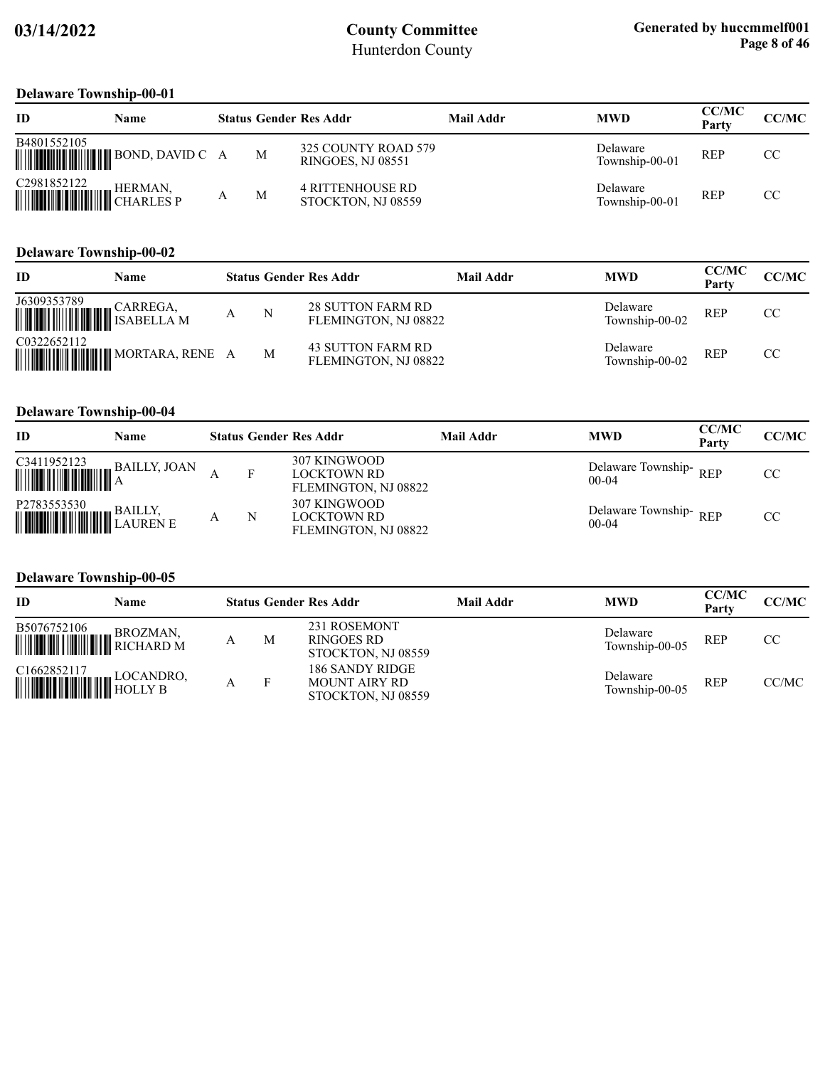### **Delaware Township-00-01**

| ID          | Name    |   | <b>Status Gender Res Addr</b>                   | Mail Addr | <b>MWD</b>                 | <b>CC/MC</b><br>Party | CC/MC |
|-------------|---------|---|-------------------------------------------------|-----------|----------------------------|-----------------------|-------|
| B4801552105 |         | М | 325 COUNTY ROAD 579<br><b>RINGOES, NJ 08551</b> |           | Delaware<br>Township-00-01 | <b>REP</b>            | CC.   |
| C2981852122 | HERMAN. | М | <b>4 RITTENHOUSE RD</b><br>STOCKTON, NJ 08559   |           | Delaware<br>Township-00-01 | REP                   | CC.   |

#### **Delaware Township-00-02**

| ID          | Name                             |   | <b>Status Gender Res Addr</b>                    | Mail Addr | <b>MWD</b>                 | <b>CC/MC</b><br>Party | <b>CC/MC</b> |
|-------------|----------------------------------|---|--------------------------------------------------|-----------|----------------------------|-----------------------|--------------|
| J6309353789 |                                  | N | <b>28 SUTTON FARM RD</b><br>FLEMINGTON, NJ 08822 |           | Delaware<br>Township-00-02 | <b>REP</b>            | CC           |
| C0322652112 | <b>MUNICIPAL MORTARA, RENE A</b> | M | 43 SUTTON FARM RD<br>FLEMINGTON, NJ 08822        |           | Delaware<br>Township-00-02 | <b>REP</b>            | CC           |

### **Delaware Township-00-04**

| ID                                                                                                                                                                                                           | Name |   | <b>Status Gender Res Addr</b>                              | Mail Addr | <b>MWD</b>                       | <b>CC/MC</b><br>Party | CC/MC |
|--------------------------------------------------------------------------------------------------------------------------------------------------------------------------------------------------------------|------|---|------------------------------------------------------------|-----------|----------------------------------|-----------------------|-------|
|                                                                                                                                                                                                              |      |   | 307 KINGWOOD<br><b>LOCKTOWN RD</b><br>FLEMINGTON, NJ 08822 |           | Delaware Township-REP<br>$00-04$ |                       | CC    |
| $\begin{tabular}{ c c } \hline \texttt{P2783553530} & \texttt{BAILLY,} \\ \hline \texttt{  }{\texttt{  }{\texttt{  }{\texttt{  }}{\texttt{  }}{\texttt{  }}{\texttt{  }}{\texttt{LAUREN E}}}} \end{tabular}$ |      | N | 307 KINGWOOD<br><b>LOCKTOWN RD</b><br>FLEMINGTON, NJ 08822 |           | Delaware Township-REP<br>$00-04$ |                       | CC    |

#### **Delaware Township-00-05**

| <b>ID</b>                                                                                                                                                        | Name |   | <b>Status Gender Res Addr</b>                                 | <b>Mail Addr</b> | <b>MWD</b>                 | <b>CC/MC</b><br>Party | CC/MC |
|------------------------------------------------------------------------------------------------------------------------------------------------------------------|------|---|---------------------------------------------------------------|------------------|----------------------------|-----------------------|-------|
| $\begin{tabular}{ c c c c } \hline \textbf{B5076752106} & \textbf{BROZMAN}, \\ \hline \textbf{m910} & \textbf{m10} & \textbf{RICHARD M} \\ \hline \end{tabular}$ |      | M | 231 ROSEMONT<br>RINGOES RD<br>STOCKTON, NJ 08559              |                  | Delaware<br>Township-00-05 | <b>REP</b>            | CC    |
| $\begin{tabular}{ c c c c } \hline C1662852117 & LOCANDRO, \\ \hline \hline \end{tabular}$ HOLLY B                                                               |      |   | 186 SANDY RIDGE<br><b>MOUNT AIRY RD</b><br>STOCKTON, NJ 08559 |                  | Delaware<br>Township-00-05 | <b>REP</b>            | CC/MC |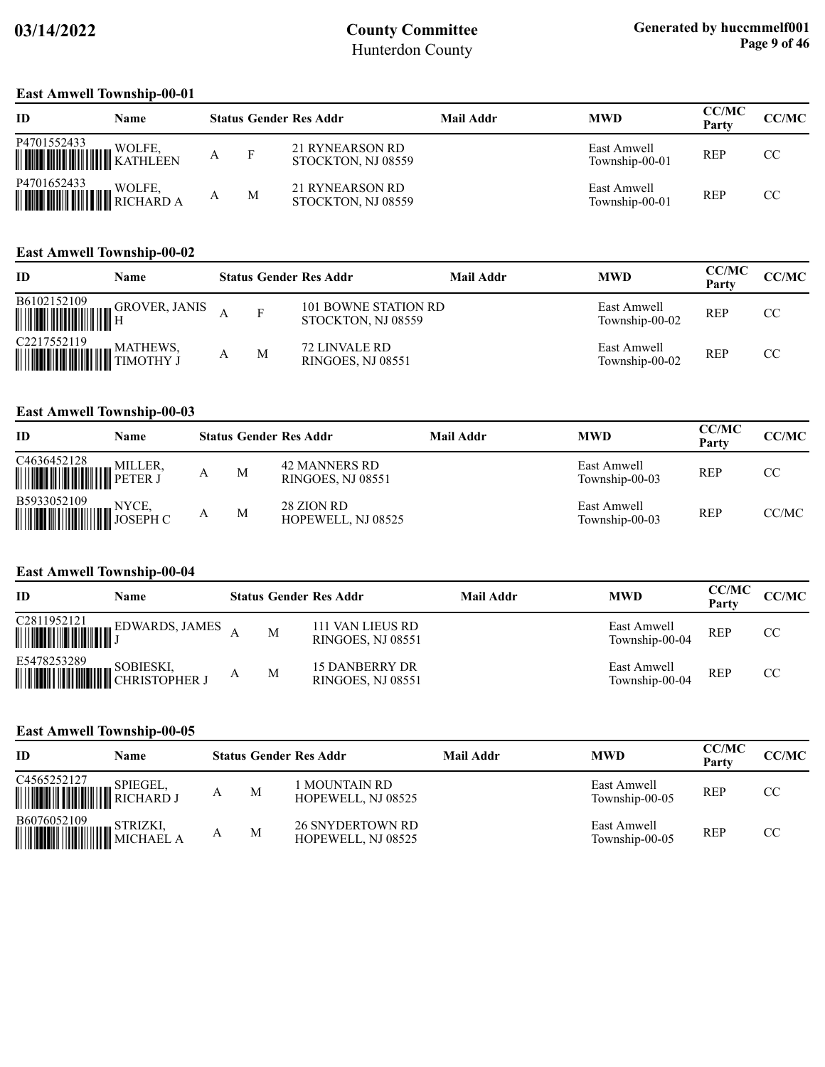#### **East Amwell Township-00-01**

| ID                                                                                                                                                   | Name |   |   | <b>Status Gender Res Addr</b>         | Mail Addr | <b>MWD</b>                    | <b>CC/MC</b><br>Party | CC/MC |
|------------------------------------------------------------------------------------------------------------------------------------------------------|------|---|---|---------------------------------------|-----------|-------------------------------|-----------------------|-------|
| P4701552433 WOLFE, WOLFE,                                                                                                                            |      | А | F | 21 RYNEARSON RD<br>STOCKTON, NJ 08559 |           | East Amwell<br>Township-00-01 | <b>REP</b>            | CC.   |
| $\begin{tabular}{ c c c c } \hline \textbf{P4701652433} & \textbf{WOLFE,} \\\hline \textbf{WIII, TIII, TIII, TIV, RICHARD A} \\\hline \end{tabular}$ |      | А | M | 21 RYNEARSON RD<br>STOCKTON, NJ 08559 |           | East Amwell<br>Township-00-01 | <b>REP</b>            | CC.   |

#### **East Amwell Township-00-02**

| ID                                                                                                                                                                                                                                             | Name                 |   | <b>Status Gender Res Addr</b>                     | Mail Addr | <b>MWD</b>                    | <b>CC/MC</b><br>Party | <b>CC/MC</b> |
|------------------------------------------------------------------------------------------------------------------------------------------------------------------------------------------------------------------------------------------------|----------------------|---|---------------------------------------------------|-----------|-------------------------------|-----------------------|--------------|
| B6102152109<br><b>THE CONSTRUCTION OF SECTION</b>                                                                                                                                                                                              | <b>GROVER, JANIS</b> |   | <b>101 BOWNE STATION RD</b><br>STOCKTON, NJ 08559 |           | East Amwell<br>Township-00-02 | <b>REP</b>            | CC.          |
| $\begin{tabular}{ c c c } \hline C2217552119 & \text{MATHEWS,} \\ \hline \hline \end{tabular} \begin{tabular}{ c c c c } \hline \multicolumn{3}{ c }{\text{MATHEWS,}} \\ \hline \multicolumn{3}{ c }{\text{TMOTHY J}} \\ \hline \end{tabular}$ |                      | M | 72 LINVALE RD<br>RINGOES, NJ 08551                |           | East Amwell<br>Township-00-02 | <b>REP</b>            | CC.          |

#### **East Amwell Township-00-03**

| ID                                 | Name |   | <b>Status Gender Res Addr</b>                    | <b>Mail Addr</b> | <b>MWD</b>                    | <b>CC/MC</b><br>Party | CC/MC |
|------------------------------------|------|---|--------------------------------------------------|------------------|-------------------------------|-----------------------|-------|
| C4636452128<br><b>MILLER</b> ,     |      | M | <b>42 MANNERS RD</b><br><b>RINGOES, NJ 08551</b> |                  | East Amwell<br>Township-00-03 | REP                   | CC    |
| B5933052109<br>MITTI MINIMUM NYCE, |      | M | 28 ZION RD<br>HOPEWELL, NJ 08525                 |                  | East Amwell<br>Township-00-03 | REP                   | CC/MC |

#### **East Amwell Township-00-04**

| ID                                       | Name |   | <b>Status Gender Res Addr</b>                     | <b>Mail Addr</b> | <b>MWD</b>                    | <b>CC/MC</b><br>Party | CC/MC |
|------------------------------------------|------|---|---------------------------------------------------|------------------|-------------------------------|-----------------------|-------|
|                                          |      | M | 111 VAN LIEUS RD<br><b>RINGOES, NJ 08551</b>      |                  | East Amwell<br>Township-00-04 | <b>REP</b>            | CC    |
| E5478253289 SOBIESKI, KRIITILI SOBIESKI, |      | M | <b>15 DANBERRY DR</b><br><b>RINGOES, NJ 08551</b> |                  | East Amwell<br>Township-00-04 | <b>REP</b>            | CC    |

#### **East Amwell Township-00-05**

| <b>ID</b>                                                                                                                                                             | <b>Name</b> |   |   | <b>Status Gender Res Addr</b>                 | Mail Addr | <b>MWD</b>                    | <b>CC/MC</b><br>Party | <b>CC/MC</b> |
|-----------------------------------------------------------------------------------------------------------------------------------------------------------------------|-------------|---|---|-----------------------------------------------|-----------|-------------------------------|-----------------------|--------------|
| $\begin{tabular}{ c c c } \hline C4565252127 & \multicolumn{3}{ c }{\text{SPIEGEL}}, \\ \hline \hline \multicolumn{3}{ c }{\text{NICHARD J}} \\ \hline \end{tabular}$ |             | A | M | l MOUNTAIN RD<br>HOPEWELL, NJ 08525           |           | East Amwell<br>Township-00-05 | <b>REP</b>            | CC           |
| $\begin{tabular}{ c c c c } \hline \textbf{B6076052109} & \textbf{STRIZKI,} \\ \hline \textbf{MICHAEL A} \\ \hline \end{tabular}$                                     |             | A | M | <b>26 SNYDERTOWN RD</b><br>HOPEWELL, NJ 08525 |           | East Amwell<br>Township-00-05 | <b>REP</b>            | CC           |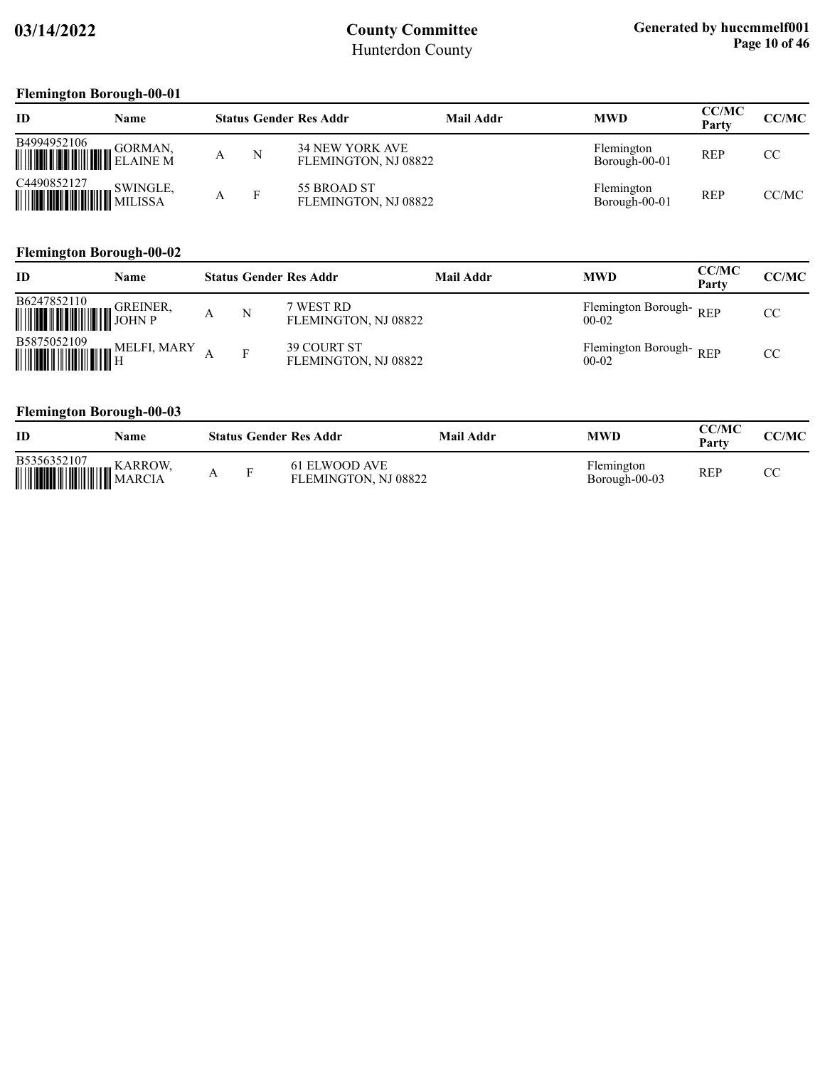### **Flemington Borough-00-01**

| ID          | Name    |   | <b>Status Gender Res Addr</b>           | <b>Mail Addr</b> | <b>MWD</b>                  | <b>CC/MC</b><br>Party | CC/MC |
|-------------|---------|---|-----------------------------------------|------------------|-----------------------------|-----------------------|-------|
| B4994952106 | GORMAN, | N | 34 NEW YORK AVE<br>FLEMINGTON, NJ 08822 |                  | Flemington<br>Borough-00-01 | REP                   | CC    |
| C4490852127 |         | F | 55 BROAD ST<br>FLEMINGTON, NJ 08822     |                  | Flemington<br>Borough-00-01 | <b>REP</b>            | CC/MC |

#### **Flemington Borough-00-02**

| ID                                                                                                                                       | Name |   | <b>Status Gender Res Addr</b>       | Mail Addr | <b>MWD</b>                        | <b>CC/MC</b><br>Party | <b>CC/MC</b> |
|------------------------------------------------------------------------------------------------------------------------------------------|------|---|-------------------------------------|-----------|-----------------------------------|-----------------------|--------------|
| B6247852110                                                                                                                              |      | N | 7 WEST RD<br>FLEMINGTON, NJ 08822   |           | Flemington Borough-REP<br>$00-02$ |                       | CC           |
| $\begin{tabular}{ c c c } \hline \textbf{B5875052109} & \textbf{MELFI, MARY} \\ \hline \textbf{mm} & \textbf{H} \\ \hline \end{tabular}$ |      | F | 39 COURT ST<br>FLEMINGTON, NJ 08822 |           | Flemington Borough-REP<br>$00-02$ |                       | CC.          |

### **Flemington Borough-00-03**

| ID          | Name |          | <b>Status Gender Res Addr</b>         | Mail Addr | <b>MWD</b>                  | CC/MC<br>Party | <b>CC/MC</b> |
|-------------|------|----------|---------------------------------------|-----------|-----------------------------|----------------|--------------|
| B5356352107 |      | <b>D</b> | 61 ELWOOD AVE<br>FLEMINGTON, NJ 08822 |           | Flemington<br>Borough-00-03 | REP            | U            |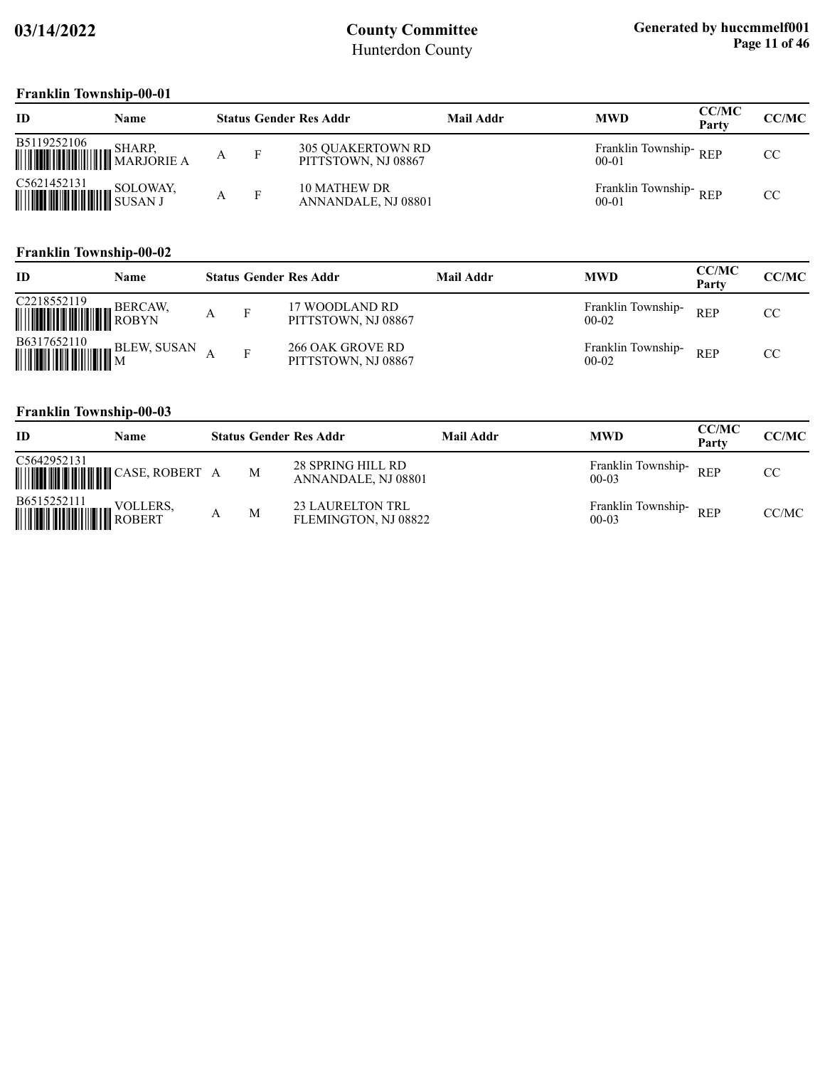### **Franklin Township-00-01**

| ID                                       | Name     |   |   | <b>Status Gender Res Addr</b>                   | Mail Addr | <b>MWD</b>                         | <b>CC/MC</b><br>Party | <b>CC/MC</b> |
|------------------------------------------|----------|---|---|-------------------------------------------------|-----------|------------------------------------|-----------------------|--------------|
| B5119252106                              | SHARP.   | А |   | <b>305 QUAKERTOWN RD</b><br>PITTSTOWN, NJ 08867 |           | Franklin Township-REP<br>$00 - 01$ |                       | CC           |
| C5621452131<br><b>WEIGHT AND SUSAN J</b> | SOLOWAY, |   | F | <b>10 MATHEW DR</b><br>ANNANDALE, NJ 08801      |           | Franklin Township-REP<br>$00 - 01$ |                       | CC           |

#### **Franklin Township-00-02**

| ID                                    | Name    |   | <b>Status Gender Res Addr</b>           | <b>Mail Addr</b> | <b>MWD</b>                      | <b>CC/MC</b><br>Party | <b>CC/MC</b> |
|---------------------------------------|---------|---|-----------------------------------------|------------------|---------------------------------|-----------------------|--------------|
| C2218552119<br><b>HILLING CONTROL</b> | BERCAW, | F | 17 WOODLAND RD<br>PITTSTOWN, NJ 08867   |                  | Franklin Township-<br>$00-02$   | <b>REP</b>            | CC           |
| B6317652110                           |         | F | 266 OAK GROVE RD<br>PITTSTOWN, NJ 08867 |                  | Franklin Township-<br>$00 - 02$ | <b>REP</b>            | CC           |

### **Franklin Township-00-03**

| ID                                                                                       | Name |   | <b>Status Gender Res Addr</b>                   | <b>Mail Addr</b> | <b>MWD</b>                         | <b>CC/MC</b><br>Party | <b>CC/MC</b> |
|------------------------------------------------------------------------------------------|------|---|-------------------------------------------------|------------------|------------------------------------|-----------------------|--------------|
| C5642952131<br><b>WEIGHT AND SELLAND CASE, ROBERT A</b>                                  |      | M | 28 SPRING HILL RD<br>ANNANDALE, NJ 08801        |                  | Franklin Township-REP<br>$00-03$   |                       | CC.          |
| $\begin{tabular}{ c c c } \hline \textbf{B6515252111} & \textbf{VOLLERS}, \end{tabular}$ |      | M | <b>23 LAURELTON TRL</b><br>FLEMINGTON, NJ 08822 |                  | Franklin Township-REP<br>$00 - 03$ |                       | CC/MC        |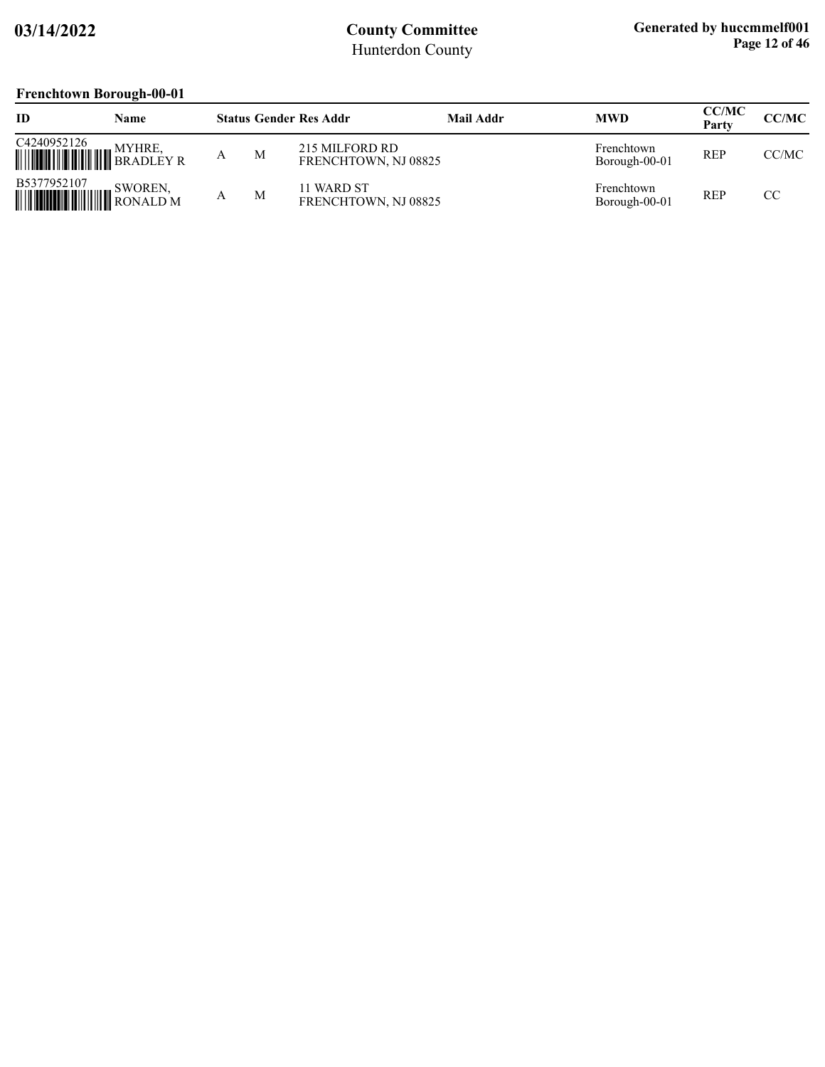### **Frenchtown Borough-00-01**

| ID                                                                                                                                                                                                                                                                                                                                                                                                  | <b>Name</b> |   | <b>Status Gender Res Addr</b>          | Mail Addr | <b>MWD</b>                  | <b>CC/MC</b><br>Party | CC/MC |
|-----------------------------------------------------------------------------------------------------------------------------------------------------------------------------------------------------------------------------------------------------------------------------------------------------------------------------------------------------------------------------------------------------|-------------|---|----------------------------------------|-----------|-----------------------------|-----------------------|-------|
| $\begin{tabular}{ c c c c } \hline C4240952126 & MYHRE, & $\quad$WYHRE, & $\quad$WYHRE, & $\quad$WYHRE, & $\quad$WYHRE, & $\quad$WYHRE, & $\quad$WYHRE, & $\quad$WYHRE, & $\quad$WYHRE, & $\quad$WYHRE, & $\quad$WYHRE, & $\quad$WYHRE, & $\quad$WYHRE, & $\quad$WYHRE, & $\quad$WYHRE, & $\quad$WYHRE, & $\quad$WYHRE, & $\quad$WYHRE, & $\quad$WYHRE, & $\quad$WYHRE, & $\quad$WYHRE, & $\quad$W$ |             | M | 215 MILFORD RD<br>FRENCHTOWN, NJ 08825 |           | Frenchtown<br>Borough-00-01 | <b>REP</b>            | CC/MC |
|                                                                                                                                                                                                                                                                                                                                                                                                     |             | M | 11 WARD ST<br>FRENCHTOWN, NJ 08825     |           | Frenchtown<br>Borough-00-01 | <b>REP</b>            | CC.   |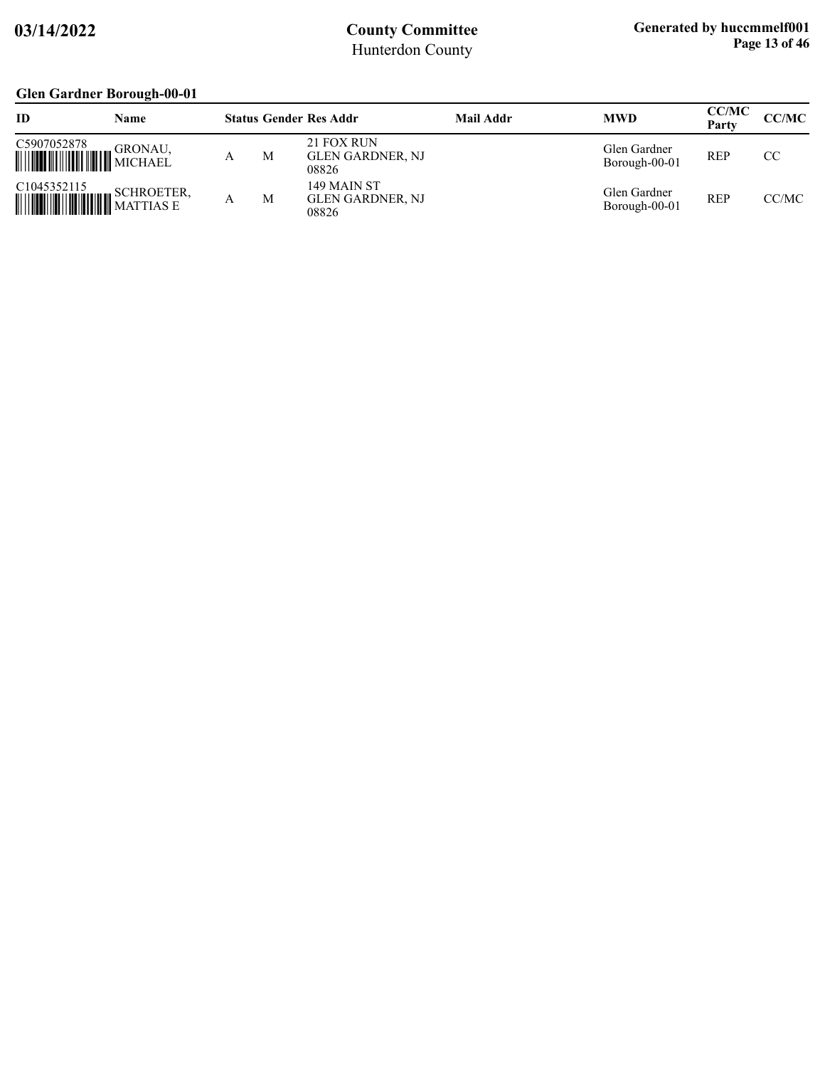### **Glen Gardner Borough-00-01**

| ID          | <b>Name</b> |   | <b>Status Gender Res Addr</b>                   | Mail Addr | <b>MWD</b>                    | <b>CC/MC</b><br>Party | CC/MC |
|-------------|-------------|---|-------------------------------------------------|-----------|-------------------------------|-----------------------|-------|
| C5907052878 |             | M | 21 FOX RUN<br><b>GLEN GARDNER, NJ</b><br>08826  |           | Glen Gardner<br>Borough-00-01 | <b>REP</b>            | CC    |
| C1045352115 |             | M | 149 MAIN ST<br><b>GLEN GARDNER, NJ</b><br>08826 |           | Glen Gardner<br>Borough-00-01 | <b>REP</b>            | CC/MC |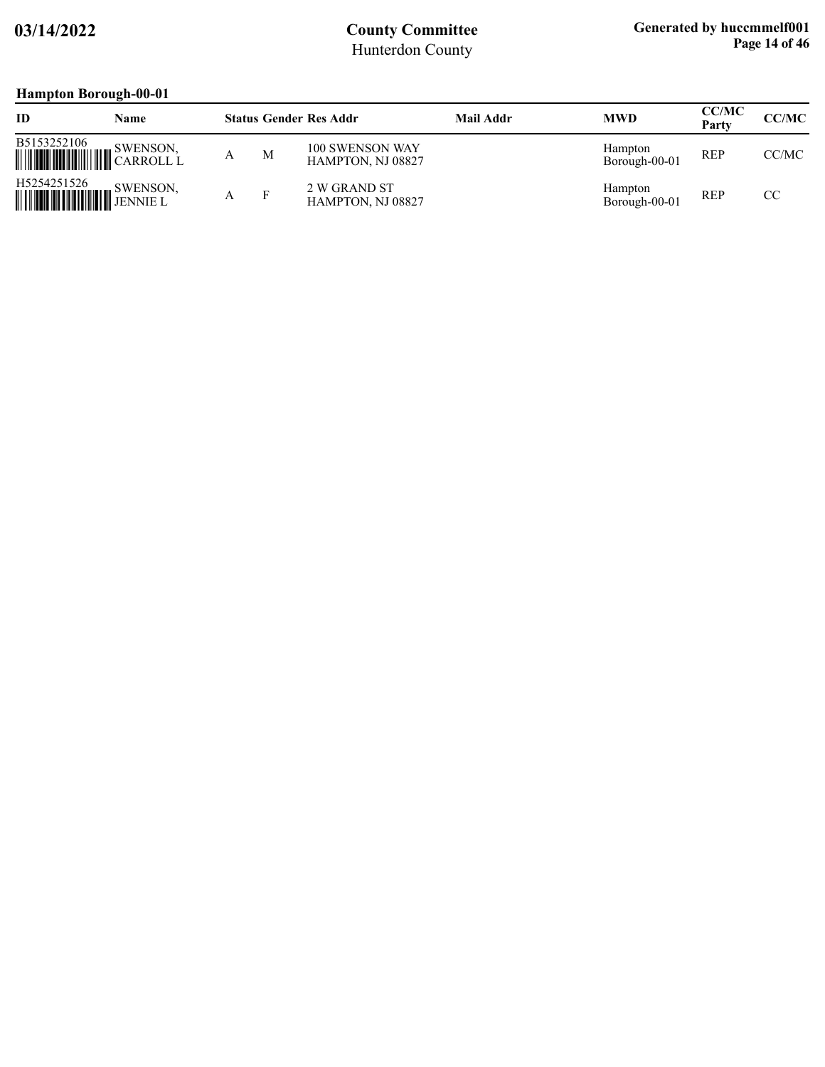# **Hampton Borough-00-01**

| ID | Name                                      |   |   | <b>Status Gender Res Addr</b>        | Mail Addr | <b>MWD</b>                      | <b>CC/MC</b><br>Party | CC/MC |
|----|-------------------------------------------|---|---|--------------------------------------|-----------|---------------------------------|-----------------------|-------|
|    |                                           | А | M | 100 SWENSON WAY<br>HAMPTON, NJ 08827 |           | <b>Hampton</b><br>Borough-00-01 | <b>REP</b>            | CC/MC |
|    | H5254251526<br>SWENSON,<br><b>WEINSON</b> | А |   | 2 W GRAND ST<br>HAMPTON, NJ 08827    |           | Hampton<br>Borough-00-01        | <b>REP</b>            | CC    |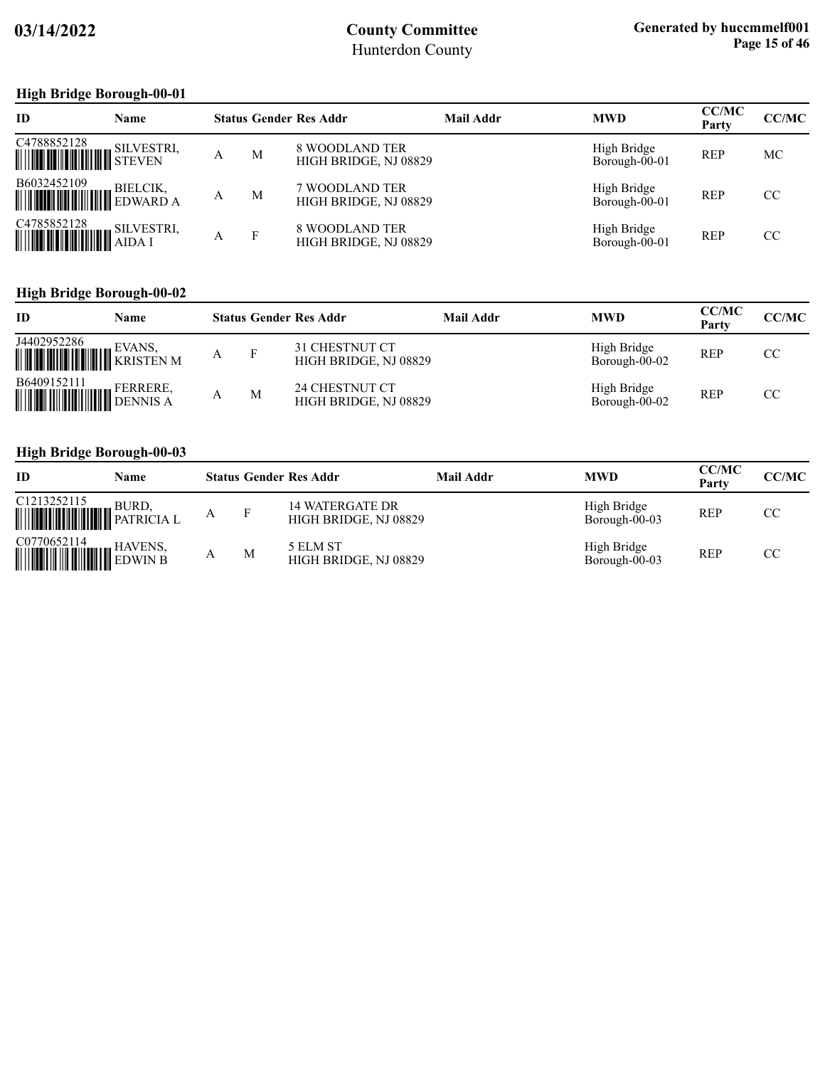### **High Bridge Borough-00-01**

| <b>ID</b>                                                                                                                                                                                    | <b>Name</b> |   |              | <b>Status Gender Res Addr</b>           | Mail Addr | <b>MWD</b>                   | <b>CC/MC</b><br>Party | <b>CC/MC</b> |
|----------------------------------------------------------------------------------------------------------------------------------------------------------------------------------------------|-------------|---|--------------|-----------------------------------------|-----------|------------------------------|-----------------------|--------------|
| C4788852128<br>WE SILVESTRI,                                                                                                                                                                 |             | А | M            | 8 WOODLAND TER<br>HIGH BRIDGE, NJ 08829 |           | High Bridge<br>Borough-00-01 | <b>REP</b>            | МC           |
| $\begin{tabular}{ c c c c } \hline \textbf{B6032452109} & \textbf{BIELCIK,}\\ \hline \textbf{mHHHHHHHHH} & \textbf{EDWARD A}\\ \hline \end{tabular}$                                         |             | А | M            | 7 WOODLAND TER<br>HIGH BRIDGE, NJ 08829 |           | High Bridge<br>Borough-00-01 | <b>REP</b>            | CC           |
| $\begin{tabular}{ c c c c } \hline C4785852128 & SILVESTRI, \\ \hline \hline \end{tabular} \begin{tabular}{ c c c c c } \hline SILVESTRI, \\ \hline AIDA & AIDA & I \\ \hline \end{tabular}$ |             | A | $\mathbf{F}$ | 8 WOODLAND TER<br>HIGH BRIDGE, NJ 08829 |           | High Bridge<br>Borough-00-01 | <b>REP</b>            | CC           |

### **High Bridge Borough-00-02**

| ID                                                                                                                                   | Name |   | <b>Status Gender Res Addr</b>                  | <b>Mail Addr</b> | <b>MWD</b>                   | <b>CC/MC</b><br>Party | <b>CC/MC</b> |
|--------------------------------------------------------------------------------------------------------------------------------------|------|---|------------------------------------------------|------------------|------------------------------|-----------------------|--------------|
| $\begin{tabular}{ c c c } \hline J4402952286 & \multicolumn{3}{ c }{EVANS}, \multicolumn{3}{ c }{KRISTEN\ M} \\\hline \end{tabular}$ |      | F | 31 CHESTNUT CT<br>HIGH BRIDGE, NJ 08829        |                  | High Bridge<br>Borough-00-02 | <b>REP</b>            | CC           |
| B6409152111 FERRERE,                                                                                                                 |      | M | <b>24 CHESTNUT CT</b><br>HIGH BRIDGE, NJ 08829 |                  | High Bridge<br>Borough-00-02 | <b>REP</b>            | CC           |

#### **High Bridge Borough-00-03**

| ID                                                                                                                                                                                                                                                  | Name  |   |   | <b>Status Gender Res Addr</b>            | Mail Addr | <b>MWD</b>                   | <b>CC/MC</b><br>Party | CC/MC |
|-----------------------------------------------------------------------------------------------------------------------------------------------------------------------------------------------------------------------------------------------------|-------|---|---|------------------------------------------|-----------|------------------------------|-----------------------|-------|
| C1213252115<br><b>WEIGHT AND SURD, SURD, SURD, SURD, SURD, SURD, SURD, SURD, SURD, SURD, SURD, SURD, SURD, SURD, SURD, SURD, SURD, SURD, SURD, SURD, SURD, SURD, SURD, SURD, SURD, SURD, SURD, SURD, SURD, SURD, SURD, SURD, SURD, SURD, SURD, </b> | BURD, | А |   | 14 WATERGATE DR<br>HIGH BRIDGE, NJ 08829 |           | High Bridge<br>Borough-00-03 | <b>REP</b>            | CC    |
| $\begin{tabular}{ c c c c } \hline \text{CO770652114} & \text{HAVENS,} \\ \hline \hline \text{Hillull III} & \text{EDWIN B} \\ \hline \end{tabular}$                                                                                                |       |   | M | 5 ELM ST<br>HIGH BRIDGE, NJ 08829        |           | High Bridge<br>Borough-00-03 | <b>REP</b>            | CC    |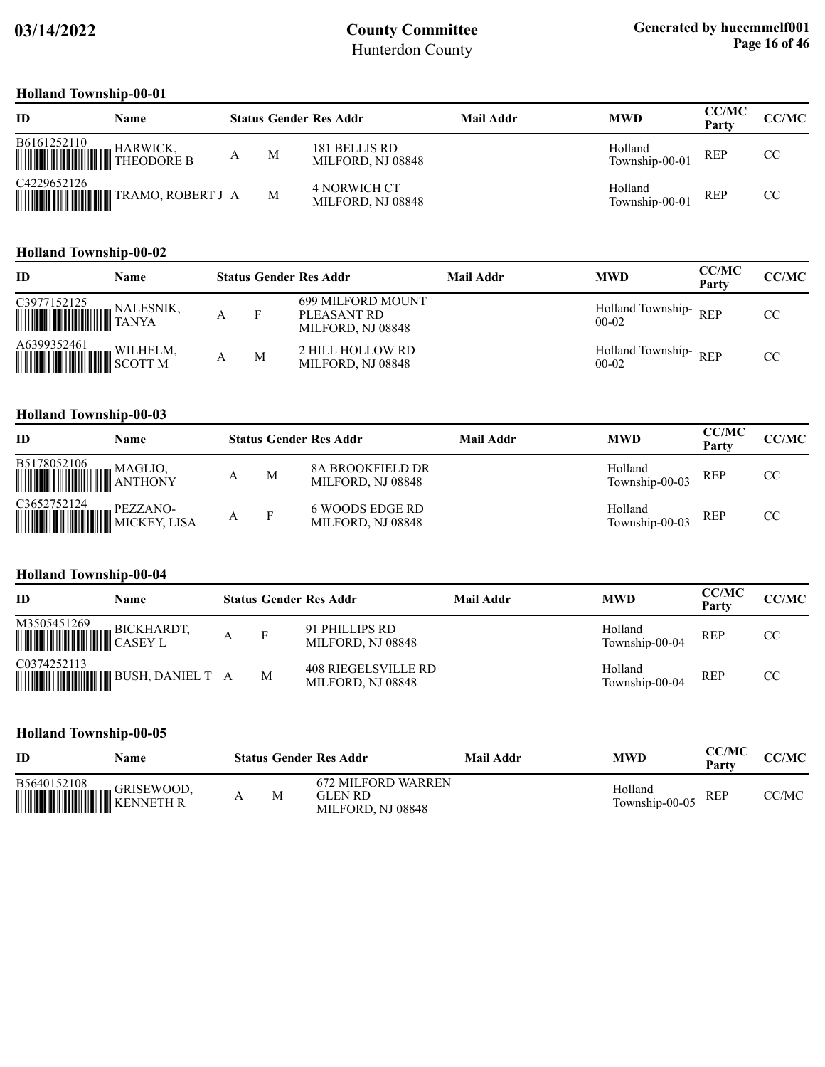### **Holland Township-00-01**

| ID          | Name                             |   | <b>Status Gender Res Addr</b>      | Mail Addr | <b>MWD</b>                | <b>CC/MC</b><br>Party | CC/MC |
|-------------|----------------------------------|---|------------------------------------|-----------|---------------------------|-----------------------|-------|
|             |                                  | M | 181 BELLIS RD<br>MILFORD, NJ 08848 |           | Holland<br>Township-00-01 | <b>REP</b>            | CC    |
| C4229652126 | <b>WILLIAM TRAMO, ROBERT J A</b> | M | 4 NORWICH CT<br>MILFORD, NJ 08848  |           | Holland<br>Township-00-01 | <b>REP</b>            | CC    |

#### **Holland Township-00-02**

| ID          | Name     |   | <b>Status Gender Res Addr</b>                                | <b>Mail Addr</b> | <b>MWD</b>                        | <b>CC/MC</b><br>Party | <b>CC/MC</b> |
|-------------|----------|---|--------------------------------------------------------------|------------------|-----------------------------------|-----------------------|--------------|
| C3977152125 |          |   | <b>699 MILFORD MOUNT</b><br>PLEASANT RD<br>MILFORD, NJ 08848 |                  | Holland Township-REP<br>$00-02$   |                       | CC           |
|             | WILHELM, | M | 2 HILL HOLLOW RD<br>MILFORD, NJ 08848                        |                  | Holland Township-REP<br>$00 - 02$ |                       | CC           |

#### **Holland Township-00-03**

| ID          | Name |   |   | <b>Status Gender Res Addr</b>                | Mail Addr | <b>MWD</b>                | <b>CC/MC</b><br>Party | CC/MC |
|-------------|------|---|---|----------------------------------------------|-----------|---------------------------|-----------------------|-------|
| B5178052106 |      |   | M | <b>8A BROOKFIELD DR</b><br>MILFORD, NJ 08848 |           | Holland<br>Township-00-03 | <b>REP</b>            | CC    |
|             |      | А |   | 6 WOODS EDGE RD<br>MILFORD, NJ 08848         |           | Holland<br>Township-00-03 | <b>REP</b>            | CC    |

#### **Holland Township-00-04**

| ID                                                                                                                                                                             | Name |   | <b>Status Gender Res Addr</b>                   | Mail Addr | <b>MWD</b>                | <b>CC/MC</b><br>Party | <b>CC/MC</b> |
|--------------------------------------------------------------------------------------------------------------------------------------------------------------------------------|------|---|-------------------------------------------------|-----------|---------------------------|-----------------------|--------------|
| $\begin{tabular}{ c c c } \hline M3505451269 & BICKHARDT, \\ \hline \hline \end{tabular}$ $\begin{tabular}{ c c c c } \hline M3505451269 & BICKHARDT, \\ \hline \end{tabular}$ |      | F | 91 PHILLIPS RD<br>MILFORD, NJ 08848             |           | Holland<br>Township-00-04 | REP                   | CC           |
| C0374252113                                                                                                                                                                    |      | M | <b>408 RIEGELSVILLE RD</b><br>MILFORD, NJ 08848 |           | Holland<br>Township-00-04 | <b>REP</b>            | CC           |

#### **Holland Township-00-05**

| <b>ID</b>                                                                                                   | Name |   | <b>Status Gender Res Addr</b>                       | Mail Addr | <b>MWD</b>                | <b>CC/MC</b><br>Party | <b>CC/MC</b> |
|-------------------------------------------------------------------------------------------------------------|------|---|-----------------------------------------------------|-----------|---------------------------|-----------------------|--------------|
| $\begin{tabular}{ c c c } \hline \textbf{B5640152108} & \textbf{GRISEWOOD,} \\ \hline \hline \end{tabular}$ |      | M | 672 MILFORD WARREN<br>GLEN RD-<br>MILFORD, NJ 08848 |           | Holland<br>Township-00-05 | <b>REP</b>            | CC/MC        |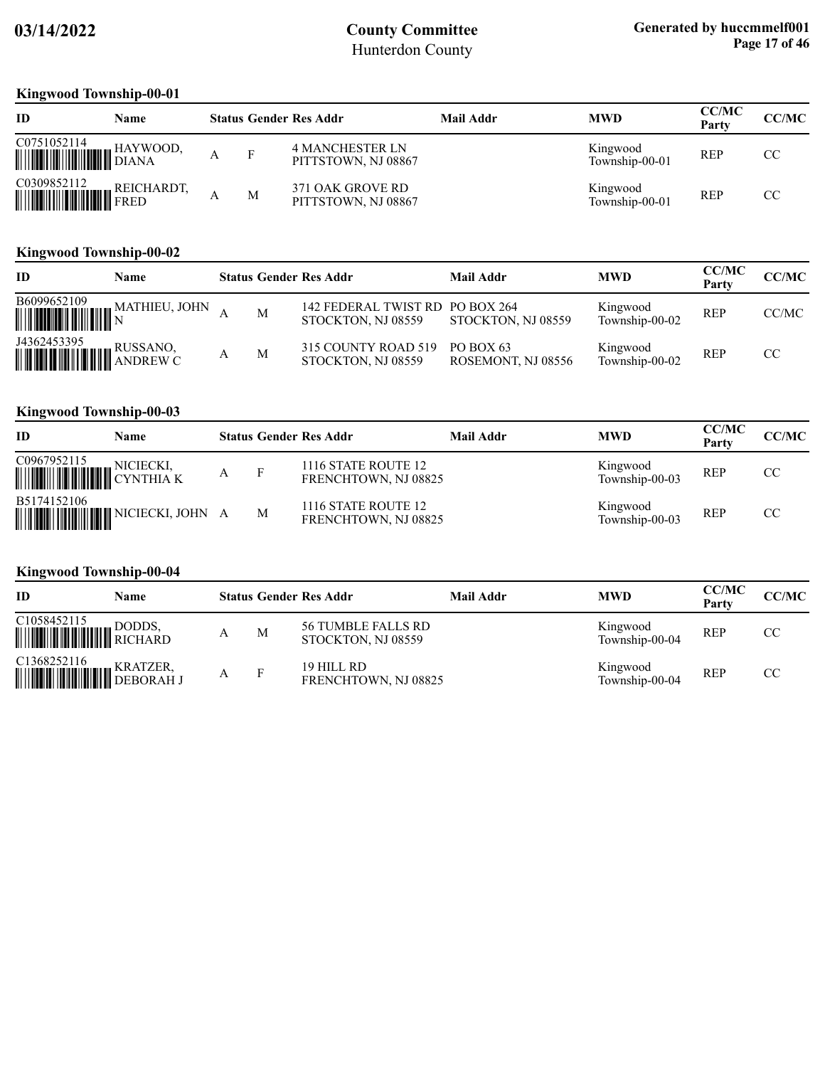### **Kingwood Township-00-01**

| ID                                       | Name       |   | <b>Status Gender Res Addr</b>                 | Mail Addr | <b>MWD</b>                 | <b>CC/MC</b><br>Party | CC/MC |
|------------------------------------------|------------|---|-----------------------------------------------|-----------|----------------------------|-----------------------|-------|
| C0751052114<br><b>WILLIAM STATE</b>      | HAYWOOD,   | F | <b>4 MANCHESTER LN</b><br>PITTSTOWN, NJ 08867 |           | Kingwood<br>Township-00-01 | <b>REP</b>            | CC    |
| C0309852112<br><b>WILLIAM AND SELLER</b> | REICHARDT, | M | 371 OAK GROVE RD<br>PITTSTOWN, NJ 08867       |           | Kingwood<br>Township-00-01 | <b>REP</b>            | CC    |

#### **Kingwood Township-00-02**

| ID                                                                                                                                                                                                                                                                                                                                                                                                | Name          |   | <b>Status Gender Res Addr</b>                         | <b>Mail Addr</b>                | <b>MWD</b>                 | <b>CC/MC</b><br>Party | CC/MC |
|---------------------------------------------------------------------------------------------------------------------------------------------------------------------------------------------------------------------------------------------------------------------------------------------------------------------------------------------------------------------------------------------------|---------------|---|-------------------------------------------------------|---------------------------------|----------------------------|-----------------------|-------|
| B6099652109<br>$\begin{array}{c} \begin{array}{c} \begin{array}{c} \text{1} \\ \text{2} \end{array} \end{array} \end{array} \end{array} \begin{array}{c} \begin{array}{c} \text{1} \\ \text{2} \end{array} \end{array} \begin{array}{c} \begin{array}{c} \text{1} \\ \text{2} \end{array} \end{array} \begin{array}{c} \begin{array}{c} \text{1} \\ \text{2} \end{array} \end{array} \end{array}$ | MATHIEU, JOHN | M | 142 FEDERAL TWIST RD PO BOX 264<br>STOCKTON, NJ 08559 | STOCKTON, NJ 08559              | Kingwood<br>Township-00-02 | <b>REP</b>            | CC/MC |
| J4362453395                                                                                                                                                                                                                                                                                                                                                                                       |               | M | 315 COUNTY ROAD 519<br>STOCKTON, NJ 08559             | PO BOX 63<br>ROSEMONT, NJ 08556 | Kingwood<br>Township-00-02 | <b>REP</b>            | CC.   |

### **Kingwood Township-00-03**

| <b>ID</b>                                                                                                                                                                      | Name |   |   | <b>Status Gender Res Addr</b>               | Mail Addr | <b>MWD</b>                 | <b>CC/MC</b><br>Party | CC/MC |
|--------------------------------------------------------------------------------------------------------------------------------------------------------------------------------|------|---|---|---------------------------------------------|-----------|----------------------------|-----------------------|-------|
| $\begin{tabular}{ c c c c } \hline CO967952115 & NICIECKI, \\ \hline \hline \end{tabular} \begin{tabular}{ c c c c c } \hline NICIECKI, & CYNTHIA & K \\ \hline \end{tabular}$ |      | А |   | 1116 STATE ROUTE 12<br>FRENCHTOWN, NJ 08825 |           | Kingwood<br>Township-00-03 | <b>REP</b>            | CC    |
| B5174152106                                                                                                                                                                    |      |   | M | 1116 STATE ROUTE 12<br>FRENCHTOWN, NJ 08825 |           | Kingwood<br>Township-00-03 | <b>REP</b>            | CC    |

### **Kingwood Township-00-04**

| ID                                                                                                                                                                                       | Name |   | <b>Status Gender Res Addr</b>            | Mail Addr | <b>MWD</b>                 | <b>CC/MC</b><br>Partv | CC/MC |
|------------------------------------------------------------------------------------------------------------------------------------------------------------------------------------------|------|---|------------------------------------------|-----------|----------------------------|-----------------------|-------|
| C <sub>1058452115</sub><br><b>MARIA BODDS</b> ,                                                                                                                                          |      | M | 56 TUMBLE FALLS RD<br>STOCKTON, NJ 08559 |           | Kingwood<br>Township-00-04 | <b>REP</b>            | CC    |
| $\begin{tabular}{ c c c c } \hline C1368252116 & KRATZER, \\ \hline \hline \end{tabular} \begin{tabular}{ c c c c c } \hline P1368252116 & RRATZER, \\ DEBORAHJ \\ \hline \end{tabular}$ |      | Е | 19 HILL RD<br>FRENCHTOWN, NJ 08825       |           | Kingwood<br>Township-00-04 | <b>REP</b>            | CC    |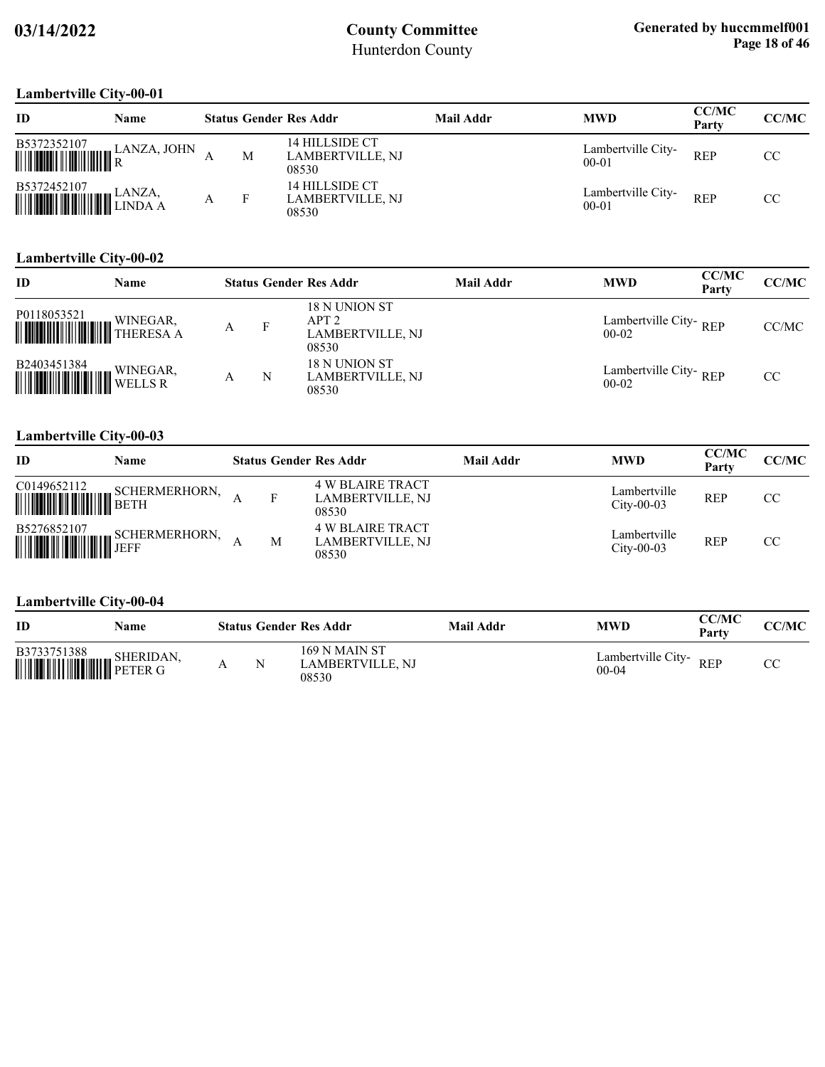### **Lambertville City-00-01**

| P                                                                                                                                          | . vv v 1    |   |                                             |                  |                                 |                       |       |
|--------------------------------------------------------------------------------------------------------------------------------------------|-------------|---|---------------------------------------------|------------------|---------------------------------|-----------------------|-------|
| ID                                                                                                                                         | <b>Name</b> |   | <b>Status Gender Res Addr</b>               | <b>Mail Addr</b> | <b>MWD</b>                      | <b>CC/MC</b><br>Party | CC/MC |
| $\begin{tabular}{ c c c c } \hline \textbf{B5372352107} & \textbf{LANZA, JOHN} \\ \hline \textbf{mm} & \textbf{R} \\ \hline \end{tabular}$ |             | М | 14 HILLSIDE CT<br>LAMBERTVILLE, NJ<br>08530 |                  | Lambertville City-<br>$00 - 01$ | <b>REP</b>            | CC    |
| $\begin{tabular}{ c c c c } \hline \textbf{B5372452107} & & \textbf{LANZA}, \\ \hline \textbf{mm} & \textbf{LINDA} \\\hline \end{tabular}$ |             |   | 14 HILLSIDE CT<br>LAMBERTVILLE, NJ<br>08530 |                  | Lambertville City-<br>$00 - 01$ | <b>REP</b>            | CC    |

#### **Lambertville City-00-02**

| ID                                                                                                                                              | Name     |   |   | <b>Status Gender Res Addr</b>                             | <b>Mail Addr</b> | <b>MWD</b>                       | <b>CC/MC</b><br>Party | CC/MC |
|-------------------------------------------------------------------------------------------------------------------------------------------------|----------|---|---|-----------------------------------------------------------|------------------|----------------------------------|-----------------------|-------|
| P0118053521<br><b>WINEGAR,</b>                                                                                                                  | WINEGAR, | Α | F | 18 N UNION ST<br>APT2<br><b>LAMBERTVILLE, NJ</b><br>08530 |                  | Lambertville City-REP<br>$00-02$ |                       | CC/MC |
| $\begin{tabular}{ c c c } \hline \textbf{B2403451384} & \textbf{WINEGAR} \\ \hline \textbf{WINEGAR} & \textbf{WENEGAR} \\ \hline \end{tabular}$ | WINEGAR, | А | N | 18 N UNION ST<br>LAMBERTVILLE, NJ<br>08530                |                  | Lambertville City-REP<br>$00-02$ |                       | CC    |

#### **Lambertville City-00-03**

| ID | Name                                                                                                                                                                        |   | <b>Status Gender Res Addr</b>                               | <b>Mail Addr</b> | <b>MWD</b>                   | <b>CC/MC</b><br>Party | <b>CC/MC</b> |
|----|-----------------------------------------------------------------------------------------------------------------------------------------------------------------------------|---|-------------------------------------------------------------|------------------|------------------------------|-----------------------|--------------|
|    | $\begin{tabular}{ c c c } \hline C0149652112 & SCHERMERHORN, \\ \hline \hline \end{tabular} \begin{tabular}{ c c c c c } \hline SCHERMERHORN, \\ \hline BETH \end{tabular}$ | F | <b>4 W BLAIRE TRACT</b><br><b>LAMBERTVILLE, NJ</b><br>08530 |                  | Lambertville<br>$City-00-03$ | <b>REP</b>            | CC           |
|    | $\begin{tabular}{ c c c } \hline \textbf{B5276852107} & \textbf{SCHERMERHORN}, \\\hline \textbf{WWWW} & \textbf{JEFF} \\\hline \end{tabular}$                               | M | <b>4 W BLAIRE TRACT</b><br><b>LAMBERTVILLE, NJ</b><br>08530 |                  | Lambertville<br>$City-00-03$ | <b>REP</b>            | CC.          |

#### **Lambertville City-00-04**

| ID          | Name |  | <b>Status Gender Res Addr</b>                     | Mail Addr | <b>MWD</b>                      | CC/MC<br>Party | CC/MC |
|-------------|------|--|---------------------------------------------------|-----------|---------------------------------|----------------|-------|
| B3733751388 |      |  | <b>169 N MAIN ST</b><br>LAMBERTVILLE. NJ<br>08530 |           | Lambertville City-<br>$00 - 04$ | <b>REP</b>     | СC    |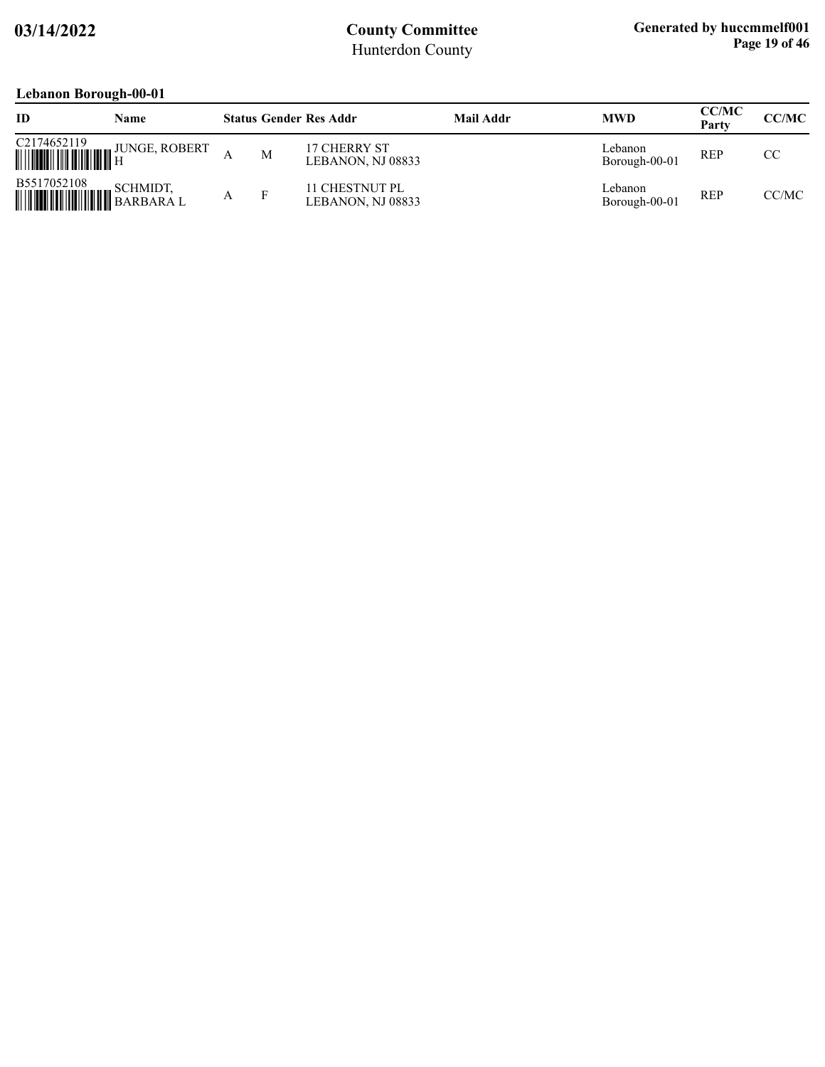### **Lebanon Borough-00-01**

|                                      | $\sqrt{ }$           |   |                                     |                  |                          |                       |              |
|--------------------------------------|----------------------|---|-------------------------------------|------------------|--------------------------|-----------------------|--------------|
| ID                                   | Name                 |   | <b>Status Gender Res Addr</b>       | <b>Mail Addr</b> | <b>MWD</b>               | <b>CC/MC</b><br>Party | <b>CC/MC</b> |
| C2174652119                          | <b>JUNGE, ROBERT</b> | M | 17 CHERRY ST<br>LEBANON, NJ 08833   |                  | Lebanon<br>Borough-00-01 | <b>REP</b>            | CC           |
| B5517052108<br><b>HILLING CHARGE</b> | SCHMIDT,             |   | 11 CHESTNUT PL<br>LEBANON, NJ 08833 |                  | Lebanon<br>Borough-00-01 | <b>REP</b>            | CC/MC        |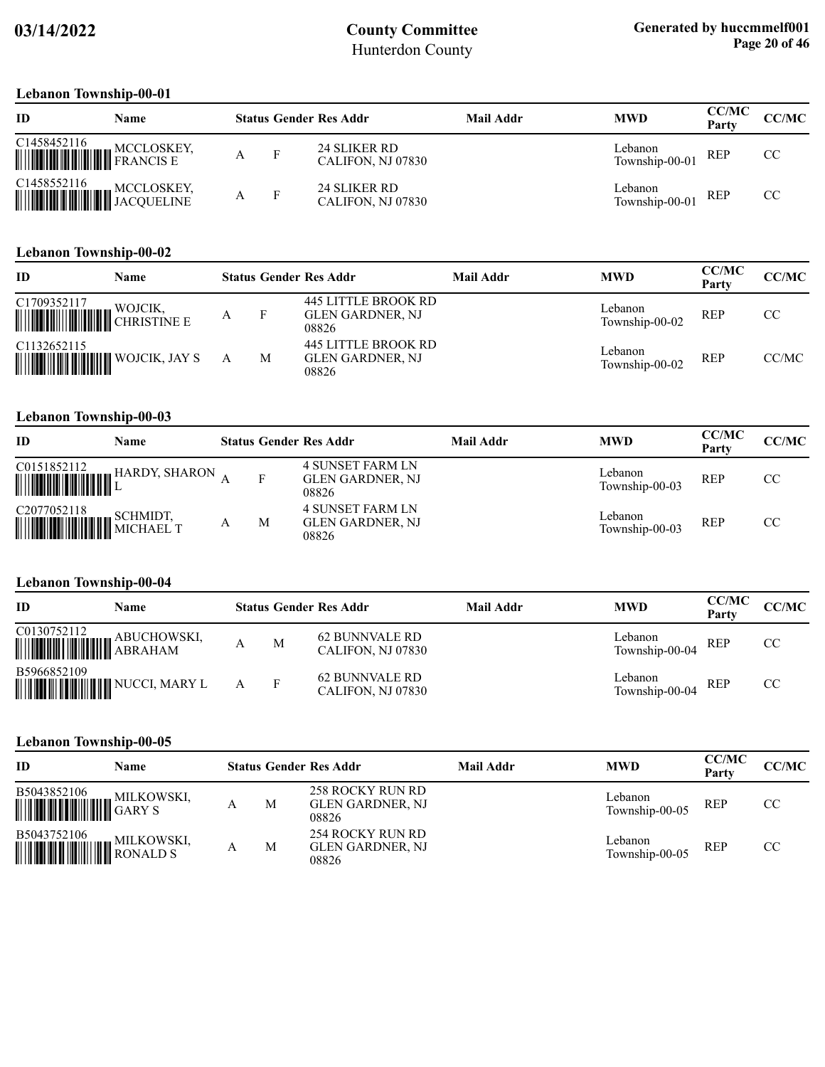#### **Lebanon Township-00-01**

| ID                     | Name |                   |   | <b>Status Gender Res Addr</b>     | Mail Addr | <b>MWD</b>                | <b>CC/MC</b><br>Party | <b>CC/MC</b> |
|------------------------|------|-------------------|---|-----------------------------------|-----------|---------------------------|-----------------------|--------------|
|                        |      | $\mathbf{F}$<br>А |   | 24 SLIKER RD<br>CALIFON, NJ 07830 |           | Lebanon<br>Township-00-01 | REP                   | CC           |
| C1458552116 MCCLOSKEY, |      |                   | F | 24 SLIKER RD<br>CALIFON, NJ 07830 |           | Lebanon<br>Township-00-01 | <b>REP</b>            | CC           |

#### **Lebanon Township-00-02**

| ID                                   | Name    |   | <b>Status Gender Res Addr</b>                                  | Mail Addr | <b>MWD</b>                | CC/MC<br>Party | CC/MC |
|--------------------------------------|---------|---|----------------------------------------------------------------|-----------|---------------------------|----------------|-------|
| C1709352117<br><b>WULLET WOULDER</b> | WOJCIK. |   | <b>445 LITTLE BROOK RD</b><br><b>GLEN GARDNER, NJ</b><br>08826 |           | Lebanon<br>Township-00-02 | <b>REP</b>     | CC.   |
| C1132652115                          |         | М | <b>445 LITTLE BROOK RD</b><br>GLEN GARDNER, NJ<br>08826        |           | Lebanon<br>Township-00-02 | <b>REP</b>     | CC/MC |

#### **Lebanon Township-00-03**

| ID                                                                                                                                                                                                                                                                                                                                                                                                         | Name          |   | <b>Status Gender Res Addr</b>                               | Mail Addr | <b>MWD</b>                | <b>CC/MC</b><br>Party | CC/MC |
|------------------------------------------------------------------------------------------------------------------------------------------------------------------------------------------------------------------------------------------------------------------------------------------------------------------------------------------------------------------------------------------------------------|---------------|---|-------------------------------------------------------------|-----------|---------------------------|-----------------------|-------|
| $\begin{tabular}{ c c c c } \hline \rule{0pt}{2ex} \rule{0pt}{2ex} \rule{0pt}{2ex} \rule{0pt}{2ex} \rule{0pt}{2ex} \rule{0pt}{2ex} \rule{0pt}{2ex} \rule{0pt}{2ex} \rule{0pt}{2ex} \rule{0pt}{2ex} \rule{0pt}{2ex} \rule{0pt}{2ex} \rule{0pt}{2ex} \rule{0pt}{2ex} \rule{0pt}{2ex} \rule{0pt}{2ex} \rule{0pt}{2ex} \rule{0pt}{2ex} \rule{0pt}{2ex} \rule{0pt}{2ex} \rule{0pt}{2ex} \rule{0pt}{2ex} \rule{$ | HARDY, SHARON |   | <b>4 SUNSET FARM LN</b><br><b>GLEN GARDNER, NJ</b><br>08826 |           | Lebanon<br>Township-00-03 | REP                   | CC    |
| $\begin{tabular}{ c c c } \hline C2077052118 & SCHMDT, \\ \hline \hline \end{tabular} \begin{tabular}{ c c c c } \hline SCHMDT, \\ \hline MICHAEL & T \\ \hline \end{tabular}$                                                                                                                                                                                                                             |               | М | <b>4 SUNSET FARM LN</b><br><b>GLEN GARDNER, NJ</b><br>08826 |           | Lebanon<br>Township-00-03 | <b>REP</b>            | CC    |

### **Lebanon Township-00-04**

| ID                                                                                                           | Name |   |              | <b>Status Gender Res Addr</b>       | Mail Addr | <b>MWD</b>                | <b>CC/MC</b><br>Party | CC/MC |
|--------------------------------------------------------------------------------------------------------------|------|---|--------------|-------------------------------------|-----------|---------------------------|-----------------------|-------|
| $\begin{tabular}{ c c c c } \hline C0130752112 & \multicolumn{3}{ c }{\bf ABUCHOWSKI}, \hline \end{tabular}$ |      | А | M            | 62 BUNNVALE RD<br>CALIFON, NJ 07830 |           | Lebanon<br>Township-00-04 | <b>REP</b>            | CC    |
| B5966852109                                                                                                  |      |   | $\mathbf{F}$ | 62 BUNNVALE RD<br>CALIFON, NJ 07830 |           | Lebanon<br>Township-00-04 | REP                   | CC    |

#### **Lebanon Township-00-05**

| ID                                                                                                                                                    | Name |   | <b>Status Gender Res Addr</b>                        | <b>Mail Addr</b> | <b>MWD</b>                | <b>CC/MC</b><br>Party | CC/MC |
|-------------------------------------------------------------------------------------------------------------------------------------------------------|------|---|------------------------------------------------------|------------------|---------------------------|-----------------------|-------|
| B5043852106                                                                                                                                           |      | М | 258 ROCKY RUN RD<br><b>GLEN GARDNER, NJ</b><br>08826 |                  | Lebanon<br>Township-00-05 | <b>REP</b>            | CC    |
| $\begin{tabular}{ c c c } \hline \textbf{B}5043752106 & \textbf{MILKOWSKI}, \\ \hline \textbf{MILKOWSKI} & \textbf{RONALD S} \\ \hline \end{tabular}$ |      | М | 254 ROCKY RUN RD<br><b>GLEN GARDNER, NJ</b><br>08826 |                  | Lebanon<br>Township-00-05 | <b>REP</b>            | CC.   |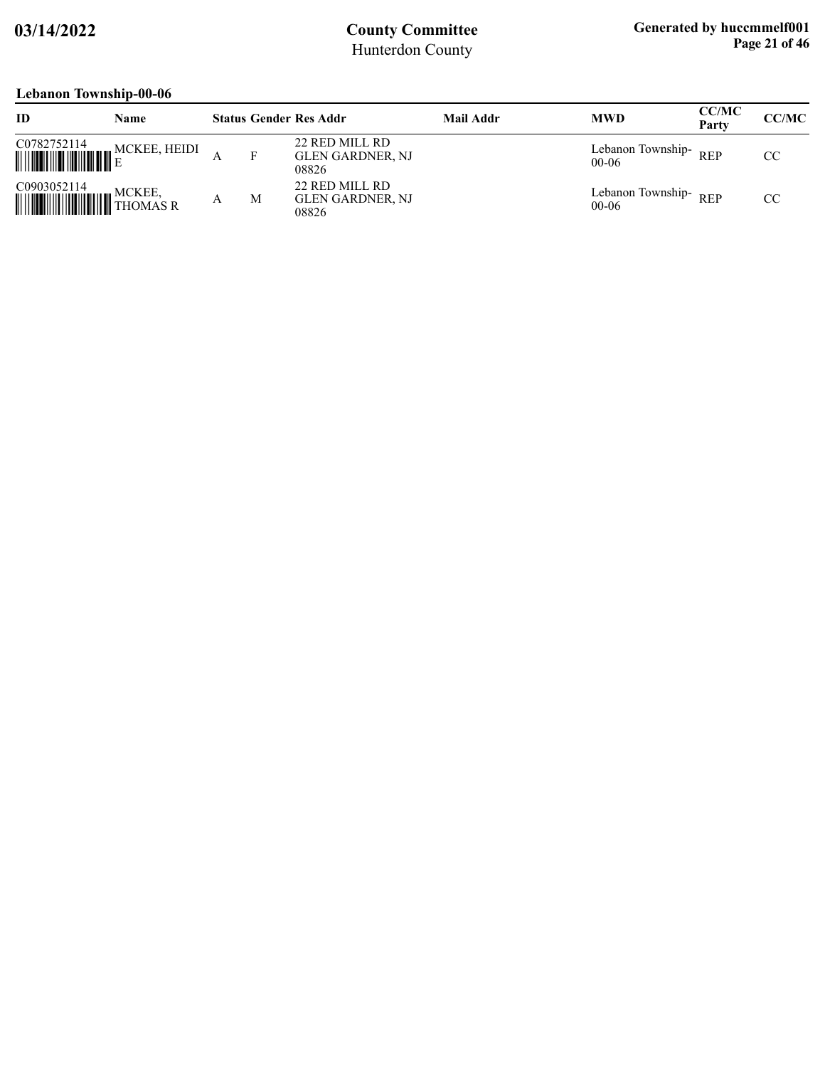### **Lebanon Township-00-06**

| <b>ID</b>                               | Name         |   | <b>Status Gender Res Addr</b>                      | Mail Addr | <b>MWD</b>                     | <b>CC/MC</b><br>Party | <b>CC/MC</b> |
|-----------------------------------------|--------------|---|----------------------------------------------------|-----------|--------------------------------|-----------------------|--------------|
| C0782752114                             | MCKEE, HEIDI | F | 22 RED MILL RD<br><b>GLEN GARDNER, NJ</b><br>08826 |           | Lebanon Township-<br>$00-06$   | <b>REP</b>            | CC           |
| C0903052114<br><b>WELLER</b> , THOMAS R | MCKEE,       | M | 22 RED MILL RD<br><b>GLEN GARDNER, NJ</b><br>08826 |           | Lebanon Township-<br>$00 - 06$ | <b>REP</b>            | CC           |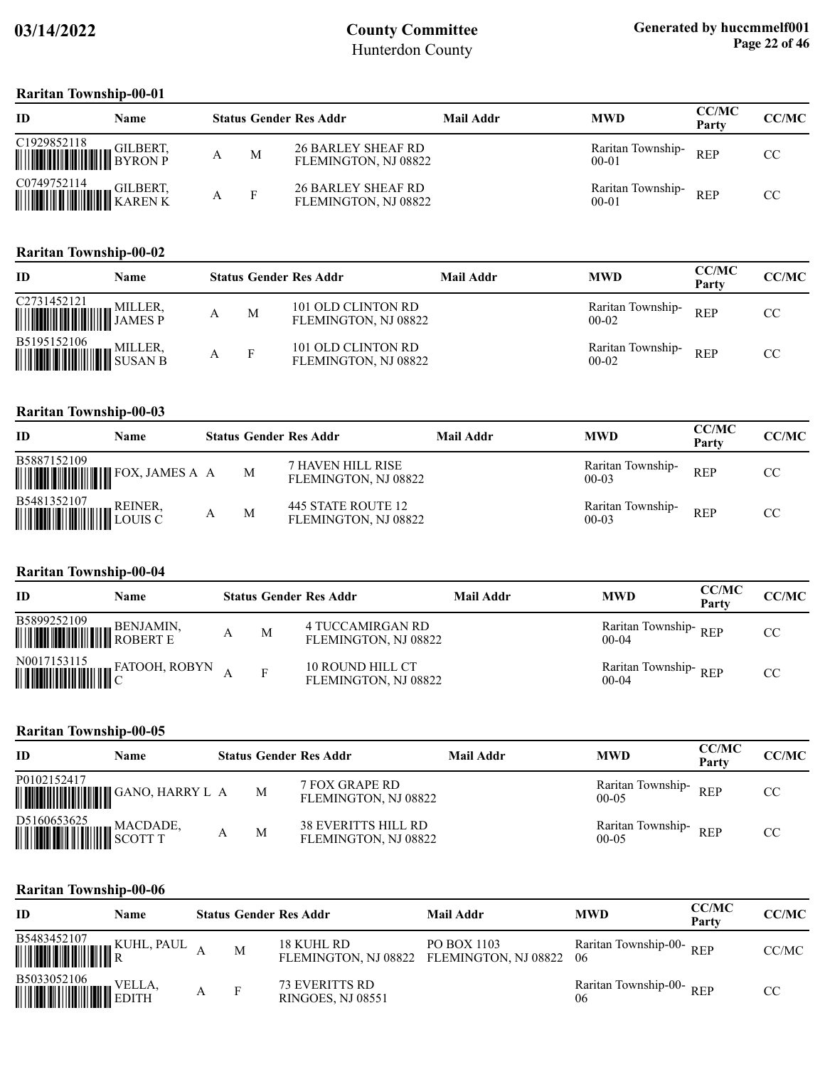#### **Raritan Township-00-01**

| ID                                                                                                                                                                                                       | <b>Name</b> |    | <b>Status Gender Res Addr</b>                     | Mail Addr | <b>MWD</b>                     | <b>CC/MC</b><br>Party | <b>CC/MC</b> |
|----------------------------------------------------------------------------------------------------------------------------------------------------------------------------------------------------------|-------------|----|---------------------------------------------------|-----------|--------------------------------|-----------------------|--------------|
| $\begin{tabular}{ c c c c } \hline C1929852118&GILBERT, & $\color{red} \\\hline \textbf{H} & \color{blue} \textbf{B} YRON\textbf{P} \end{tabular}$                                                       |             | M  | <b>26 BARLEY SHEAF RD</b><br>FLEMINGTON, NJ 08822 |           | Raritan Township-<br>$00-01$   | <b>REP</b>            | CC.          |
| $\begin{tabular}{ c c c c } \hline \textbf{C0749752114} & \textbf{GILBERT,} \\ \hline \textbf{  }{  }{  }{  }{  }{  }{  }{  }{  }{  }{  }{  }{  }{  }{  }{  }{  }{\ }{KAREN\ K} \\ \hline \end{tabular}$ |             | -F | <b>26 BARLEY SHEAF RD</b><br>FLEMINGTON, NJ 08822 |           | Raritan Township-<br>$00 - 01$ | <b>REP</b>            | CC.          |

#### **Raritan Township-00-02**

| ID                                                                                                                                                        | Name |              | <b>Status Gender Res Addr</b>              | Mail Addr | <b>MWD</b>                     | <b>CC/MC</b><br>Party | CC/MC |
|-----------------------------------------------------------------------------------------------------------------------------------------------------------|------|--------------|--------------------------------------------|-----------|--------------------------------|-----------------------|-------|
|                                                                                                                                                           |      | M            | 101 OLD CLINTON RD<br>FLEMINGTON, NJ 08822 |           | Raritan Township-<br>$00-02$   | <b>REP</b>            | CC    |
| $\begin{tabular}{ c c c c } \hline \textbf{B5195152106} & \textbf{MILLER,} \\ \hline \textbf{WILLER, SUSAN B} & \textbf{SUSAN B} \\ \hline \end{tabular}$ |      | $\mathbf{F}$ | 101 OLD CLINTON RD<br>FLEMINGTON, NJ 08822 |           | Raritan Township-<br>$00 - 02$ | <b>REP</b>            | CC    |

#### **Raritan Township-00-03**

| ID                                                                                                                                                              | <b>Name</b> |   | <b>Status Gender Res Addr</b>              | <b>Mail Addr</b> | <b>MWD</b>                     | <b>CC/MC</b><br>Party | CC/MC |
|-----------------------------------------------------------------------------------------------------------------------------------------------------------------|-------------|---|--------------------------------------------|------------------|--------------------------------|-----------------------|-------|
| B5887152109                                                                                                                                                     |             | M | 7 HAVEN HILL RISE<br>FLEMINGTON, NJ 08822  |                  | Raritan Township-<br>$00 - 03$ | <b>REP</b>            | CC.   |
| $\begin{tabular}{ c c c c } \hline \textbf{B5481352107} & \textbf{REINER,} \\ \hline \textbf{M1111} & \textbf{H211} & \textbf{LOUIS C} \\ \hline \end{tabular}$ |             | M | 445 STATE ROUTE 12<br>FLEMINGTON, NJ 08822 |                  | Raritan Township-<br>$00-03$   | <b>REP</b>            | CC    |

#### **Raritan Township-00-04**

| ID                                                                                                                                    | Name                                                                                             |   | <b>Status Gender Res Addr</b>            | Mail Addr | <b>MWD</b>                      | <b>CC/MC</b><br>Partv | <b>CC/MC</b> |
|---------------------------------------------------------------------------------------------------------------------------------------|--------------------------------------------------------------------------------------------------|---|------------------------------------------|-----------|---------------------------------|-----------------------|--------------|
| $\begin{tabular}{ c c c } \hline \textbf{B5899252109} & \textbf{BENJAMIN}, \\ \hline \textbf{WWWW} & \textbf{ROBERT E} \end{tabular}$ |                                                                                                  | M | 4 TUCCAMIRGAN RD<br>FLEMINGTON, NJ 08822 |           | Raritan Township-REP<br>$00-04$ |                       | CC.          |
|                                                                                                                                       | $\begin{tabular}{ c c c c } \hline N0017153115 & & FATOOH, ROBYN \\ \hline \hline \end{tabular}$ |   | 10 ROUND HILL CT<br>FLEMINGTON, NJ 08822 |           | Raritan Township-REP<br>$00-04$ |                       | CC.          |

#### **Raritan Township-00-05**

| ID                           | Name                                   |   | <b>Status Gender Res Addr</b>               | Mail Addr | <b>MWD</b>                     | <b>CC/MC</b><br>Party | <b>CC/MC</b> |
|------------------------------|----------------------------------------|---|---------------------------------------------|-----------|--------------------------------|-----------------------|--------------|
| P0102152417                  | <b>MUNICIPALITY OF SANO, HARRY L A</b> | M | 7 FOX GRAPE RD<br>FLEMINGTON, NJ 08822      |           | Raritan Township-<br>$00-05$   | <b>REP</b>            | CC           |
| D5160653625<br><b>WACDAD</b> | MACDADE,                               | M | 38 EVERITTS HILL RD<br>FLEMINGTON, NJ 08822 |           | Raritan Township-<br>$00 - 05$ | <b>REP</b>            | CC           |

| ID                                                                                                                                                                                                | Name                        |   | <b>Status Gender Res Addr</b>                     | Mail Addr                                                | <b>MWD</b>                     | <b>CC/MC</b><br>Party | <b>CC/MC</b> |
|---------------------------------------------------------------------------------------------------------------------------------------------------------------------------------------------------|-----------------------------|---|---------------------------------------------------|----------------------------------------------------------|--------------------------------|-----------------------|--------------|
| $\begin{tabular}{ c c c c } \hline B5483452107 & K \\ \hline \hline \hline \end{tabular}$                                                                                                         | <sub>I III</sub> KUHL, PAUL | M | 18 KUHL RD                                        | PO BOX 1103<br>FLEMINGTON, NJ 08822 FLEMINGTON, NJ 08822 | Raritan Township-00-REP<br>-06 |                       | CC/MC        |
| $\begin{tabular}{ c c c c } \hline \textbf{B5033052106} & & & & & & & \textbf{VELLA} \\\hline \textbf{H} & \textbf{H} & \textbf{H} & \textbf{H} & \textbf{H} & \textbf{H} \\\hline \end{tabular}$ |                             | F | <b>73 EVERITTS RD</b><br><b>RINGOES, NJ 08551</b> |                                                          | Raritan Township-00-REP<br>06  |                       | CC           |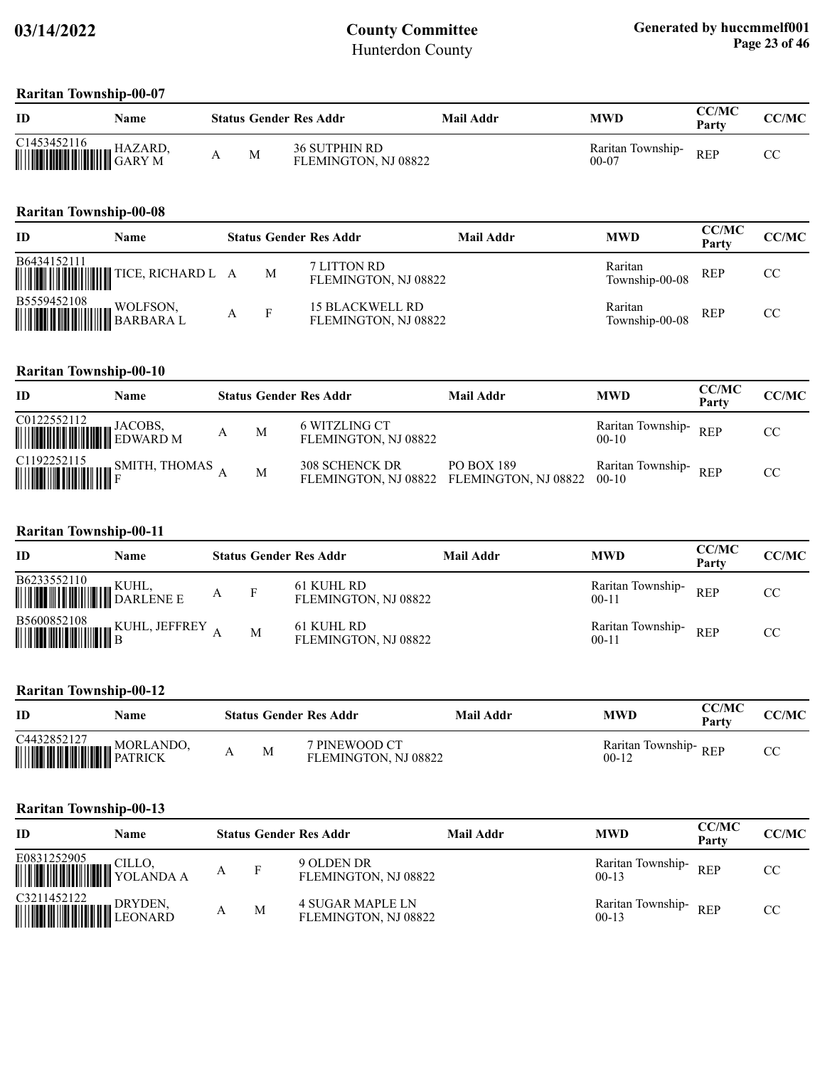#### **Raritan Township-00-07**

| ID                                                                                                                                           | Name |   | <b>Status Gender Res Addr</b>                | Mail Addr | MWD                            | <b>CC/MC</b><br>Party | CC/MC   |
|----------------------------------------------------------------------------------------------------------------------------------------------|------|---|----------------------------------------------|-----------|--------------------------------|-----------------------|---------|
| C1453452116<br>$\begin{array}{c} \begin{array}{c} \text{C1433432116} \\ \text{                                 } \end{array} \\ \end{array}$ |      | M | <b>36 SUTPHIN RD</b><br>FLEMINGTON, NJ 08822 |           | Raritan Township-<br>$00 - 07$ | <b>REP</b>            | rη<br>w |

#### **Raritan Township-00-08**

| ID                                                                                                                                                     | Name |   | <b>Status Gender Res Addr</b>           | Mail Addr | <b>MWD</b>                | <b>CC/MC</b><br>Party | CC/MC |
|--------------------------------------------------------------------------------------------------------------------------------------------------------|------|---|-----------------------------------------|-----------|---------------------------|-----------------------|-------|
| B6434152111                                                                                                                                            |      | M | 7 LITTON RD<br>FLEMINGTON, NJ 08822     |           | Raritan<br>Township-00-08 | <b>REP</b>            | CC.   |
| $\begin{tabular}{ c c c c } \hline \textbf{B5559452108} & \textbf{WOLFSON}, \\ \hline \textbf{MMLIMIMIM} & \textbf{BARBARA L} \\ \hline \end{tabular}$ |      | F | 15 BLACKWELL RD<br>FLEMINGTON, NJ 08822 |           | Raritan<br>Township-00-08 | <b>REP</b>            | CC.   |

#### **Raritan Township-00-10**

| ID                                                                                                                                                                                      | Name                                                                                                                                    |   |   | <b>Status Gender Res Addr</b>                               | Mail Addr  | <b>MWD</b>                      | <b>CC/MC</b><br>Party | CC/MC |
|-----------------------------------------------------------------------------------------------------------------------------------------------------------------------------------------|-----------------------------------------------------------------------------------------------------------------------------------------|---|---|-------------------------------------------------------------|------------|---------------------------------|-----------------------|-------|
| $\begin{tabular}{ c c c } \hline CO122552112 & JACOBS, \\ \hline \hline \end{tabular} \begin{tabular}{ c c c c } \hline D12552112 & JACOBS, \\ \hline EDWARD M \\ \hline \end{tabular}$ |                                                                                                                                         | A | M | 6 WITZLING CT<br>FLEMINGTON, NJ 08822                       |            | Raritan Township-<br>$00-10$    | <b>REP</b>            | CC    |
|                                                                                                                                                                                         | $\begin{tabular}{ c c c c c } \hline C1192252115 & \text{SMITH, THOMAS} \cr \hline \quad \quad & F & \quad \quad & F \cr \end{tabular}$ |   | M | 308 SCHENCK DR<br>FLEMINGTON, NJ 08822 FLEMINGTON, NJ 08822 | PO BOX 189 | Raritan Township-REP<br>$00-10$ |                       | CC    |

#### **Raritan Township-00-11**

| ID | Name                                                                                                                                                                            |   |     | <b>Status Gender Res Addr</b>      | Mail Addr | <b>MWD</b>                     | <b>CC/MC</b><br>Party | CC/MC |
|----|---------------------------------------------------------------------------------------------------------------------------------------------------------------------------------|---|-----|------------------------------------|-----------|--------------------------------|-----------------------|-------|
|    |                                                                                                                                                                                 | A | - F | 61 KUHL RD<br>FLEMINGTON, NJ 08822 |           | Raritan Township-<br>$00 - 11$ | <b>REP</b>            | CC.   |
|    | $\begin{tabular}{ c c c c } \hline \textbf{B5600852108} & \textbf{\textit{KUHL, JEFFREV}} \\ \hline \textbf{m} & \textbf{B} & \textbf{B} & \textbf{M1} \\ \hline \end{tabular}$ |   | M   | 61 KUHL RD<br>FLEMINGTON, NJ 08822 |           | Raritan Township-<br>$00 - 11$ | <b>REP</b>            | CC.   |

#### **Raritan Township-00-12**

| ID                                                                                                 | Name |   | <b>Status Gender Res Addr</b>         | Mail Addr | <b>MWD</b>                         | CC/MC<br>Party | <b>CC/MC</b> |
|----------------------------------------------------------------------------------------------------|------|---|---------------------------------------|-----------|------------------------------------|----------------|--------------|
| $\begin{tabular}{ c c c } \hline C4432852127 & MORLANDO, \\ \hline \hline \end{tabular}$ MORLANDO, |      | M | 7 PINEWOOD CT<br>FLEMINGTON, NJ 08822 |           | Raritan Township- $REP$<br>$00-12$ |                | U            |

| ID                                         | Name    |   | <b>Status Gender Res Addr</b>            | Mail Addr | <b>MWD</b>                   | <b>CC/MC</b><br>Party | <b>CC/MC</b> |
|--------------------------------------------|---------|---|------------------------------------------|-----------|------------------------------|-----------------------|--------------|
| E0831252905<br><b>WEIGHT AND SOLANDA A</b> | CILLO.  |   | 9 OLDEN DR<br>FLEMINGTON, NJ 08822       |           | Raritan Township-<br>$00-13$ | <b>REP</b>            | CC           |
| C3211452122<br><b>WEIGHT HE LEONARD</b>    | DRYDEN. | M | 4 SUGAR MAPLE LN<br>FLEMINGTON, NJ 08822 |           | Raritan Township-<br>$00-13$ | <b>REP</b>            | CC           |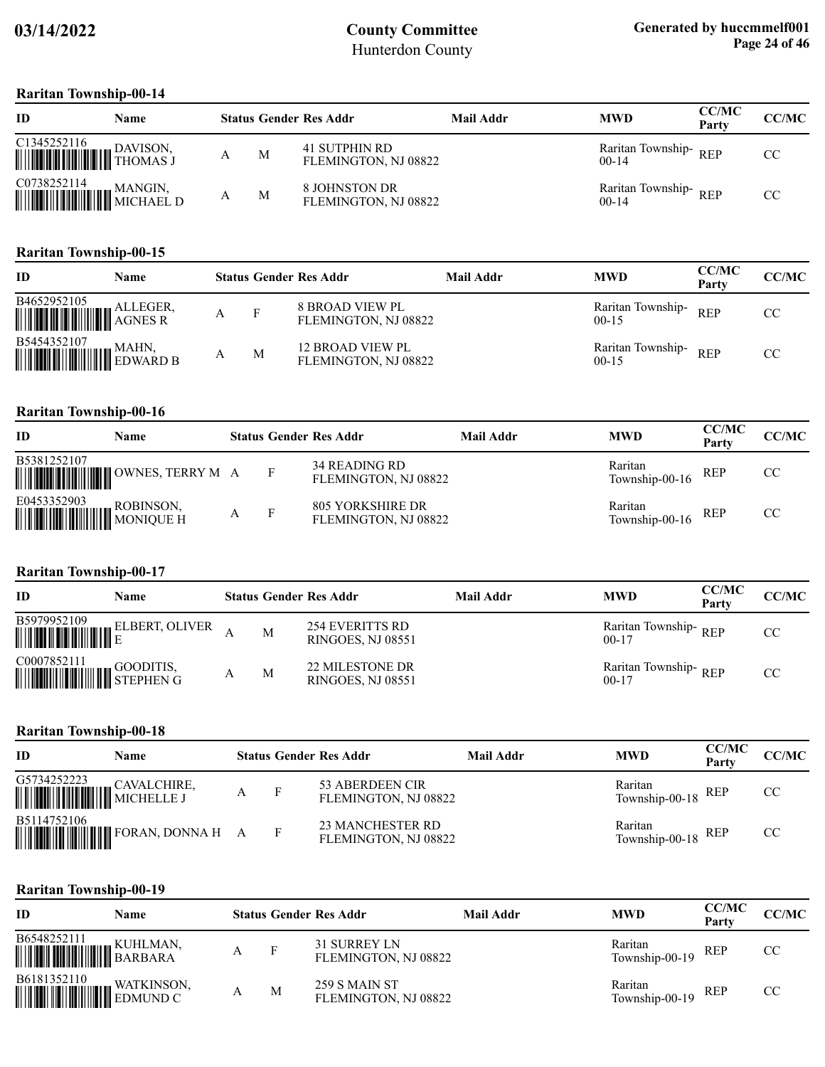#### **Raritan Township-00-14**

| ID                                                                                                                                                                                | <b>Name</b> |   | <b>Status Gender Res Addr</b>         | Mail Addr | <b>MWD</b>                      | <b>CC/MC</b><br>Party | CC/MC |
|-----------------------------------------------------------------------------------------------------------------------------------------------------------------------------------|-------------|---|---------------------------------------|-----------|---------------------------------|-----------------------|-------|
| $\begin{tabular}{ c c c c } \hline C1345252116 & DAVISON, \\ \hline \hline \end{tabular} \begin{tabular}{ c c c c c } \hline PAVISON, \\ \hline THOMAS J \\ \hline \end{tabular}$ |             | M | 41 SUTPHIN RD<br>FLEMINGTON, NJ 08822 |           | Raritan Township-REP<br>$00-14$ |                       | CC.   |
| $\begin{tabular}{ c c c c } \hline \textbf{CO738252114} & \textbf{MANGIN}, \\ \hline \textbf{mm} & \textbf{MICHAEL D} \\ \hline \end{tabular}$                                    |             | M | 8 JOHNSTON DR<br>FLEMINGTON, NJ 08822 |           | Raritan Township-REP<br>$00-14$ |                       | CC    |

#### **Raritan Township-00-15**

| ID                                                                                                                                                                                                                                                                                                                                                                                                                                                                   | Name |   |   | <b>Status Gender Res Addr</b>                  | <b>Mail Addr</b> | <b>MWD</b>                     | <b>CC/MC</b><br>Party | <b>CC/MC</b> |
|----------------------------------------------------------------------------------------------------------------------------------------------------------------------------------------------------------------------------------------------------------------------------------------------------------------------------------------------------------------------------------------------------------------------------------------------------------------------|------|---|---|------------------------------------------------|------------------|--------------------------------|-----------------------|--------------|
| $\begin{tabular}{ c c c } \hline \textbf{B4652952105} & \textbf{ALLEGER}, \\ \hline \textbf{III} & \textbf{AGNES R} \end{tabular}$                                                                                                                                                                                                                                                                                                                                   |      | А | F | <b>8 BROAD VIEW PL</b><br>FLEMINGTON, NJ 08822 |                  | Raritan Township-<br>$00-15$   | <b>REP</b>            | CC           |
| $\begin{tabular}{ c c c } \hline \textbf{B5454352107} & \textbf{MAHN,} \\ \hline \textbf{  }{\textbf{  }{\textbf{  }{\textbf{  }{\textbf{  }{\textbf{  }{\textbf{  }}{\textbf{  }}{\textbf{  }}{\textbf{  }}{\textbf{  }}{\textbf{  }}{\textbf{  }}{\textbf{  }}{\textbf{  }}{\textbf{  }}{\textbf{  }}{\textbf{  }}{\textbf{  }}{\textbf{  }}{\textbf{  }}{\textbf{  }}{\textbf{  }}{\textbf{  }}{\textbf{  }}{\textbf{  }}{\textbf{  }}{\textbf{  }}{\textbf{  }}$ |      |   | M | 12 BROAD VIEW PL<br>FLEMINGTON, NJ 08822       |                  | Raritan Township-<br>$00 - 15$ | <b>REP</b>            | CC           |

#### **Raritan Township-00-16**

| ID                    | Name                                  |     | <b>Status Gender Res Addr</b>            | <b>Mail Addr</b> | <b>MWD</b>                | <b>CC/MC</b><br>Party | CC/MC |
|-----------------------|---------------------------------------|-----|------------------------------------------|------------------|---------------------------|-----------------------|-------|
| B5381252107           | <b>MUNICIPALITY OWNES, TERRY MARK</b> | - F | 34 READING RD<br>FLEMINGTON, NJ 08822    |                  | Raritan<br>Township-00-16 | <b>REP</b>            | CC    |
| E0453352903 ROBINSON, |                                       | -F  | 805 YORKSHIRE DR<br>FLEMINGTON, NJ 08822 |                  | Raritan<br>Township-00-16 | <b>REP</b>            | CC    |

### **Raritan Township-00-17**

| ID                                                                                                                            | Name |   | <b>Status Gender Res Addr</b>                      | Mail Addr | <b>MWD</b>                        | <b>CC/MC</b><br>Party | CC/MC |
|-------------------------------------------------------------------------------------------------------------------------------|------|---|----------------------------------------------------|-----------|-----------------------------------|-----------------------|-------|
|                                                                                                                               |      | M | <b>254 EVERITTS RD</b><br><b>RINGOES, NJ 08551</b> |           | Raritan Township-REP<br>$00-17$   |                       | CC.   |
| $\begin{tabular}{ c c c c } \hline \text{CO007852111} & \text{GOODITIS,}\\ \hline \text{H}} & \text{STEPHEN G} \end{tabular}$ |      | M | 22 MILESTONE DR<br><b>RINGOES, NJ 08551</b>        |           | Raritan Township-REP<br>$00 - 17$ |                       | CC.   |

#### **Raritan Township-00-18**

| ID                                                                                                                                                                                             | <b>Name</b> |  | <b>Status Gender Res Addr</b>                   | Mail Addr | <b>MWD</b>                    | <b>CC/MC</b><br>Party | CC/MC |
|------------------------------------------------------------------------------------------------------------------------------------------------------------------------------------------------|-------------|--|-------------------------------------------------|-----------|-------------------------------|-----------------------|-------|
| $\fbox{G5734252223}\begin{tabular}{ c c c } \hline G5734252223 & CAVALCHIRE, \\ \hline \end{tabular}\begin{tabular}{ c c c c } \hline CAVALCHIRE, \\ \hline MICHELLEJ \\ \hline \end{tabular}$ |             |  | 53 ABERDEEN CIR<br>FLEMINGTON, NJ 08822         |           | Raritan<br>Township-00-18 REP |                       | CC    |
| B5114752106                                                                                                                                                                                    |             |  | <b>23 MANCHESTER RD</b><br>FLEMINGTON, NJ 08822 |           | Raritan<br>Township-00-18 REP |                       | CC    |

| ID                                                                                                                                                                    | Name |   | <b>Status Gender Res Addr</b>         | Mail Addr | <b>MWD</b>                | <b>CC/MC</b><br>Party | CC/MC |
|-----------------------------------------------------------------------------------------------------------------------------------------------------------------------|------|---|---------------------------------------|-----------|---------------------------|-----------------------|-------|
| $\begin{tabular}{ c c c } \hline \textbf{B6548252111} & \textbf{\textit{KUHLMAN}}, \\ \hline \textbf{\textit{H}} & \textbf{\textit{BARBARA}} \\ \hline \end{tabular}$ |      | F | 31 SURREY LN<br>FLEMINGTON, NJ 08822  |           | Raritan<br>Township-00-19 | REP                   | CC.   |
| $\begin{tabular}{ c c c } \hline \textbf{B6181352110} & \textbf{WATKINSON}, \\ \hline \textbf{m} & \textbf{EDMUND C} \end{tabular}$                                   |      | M | 259 S MAIN ST<br>FLEMINGTON, NJ 08822 |           | Raritan<br>Township-00-19 | <b>REP</b>            | CC.   |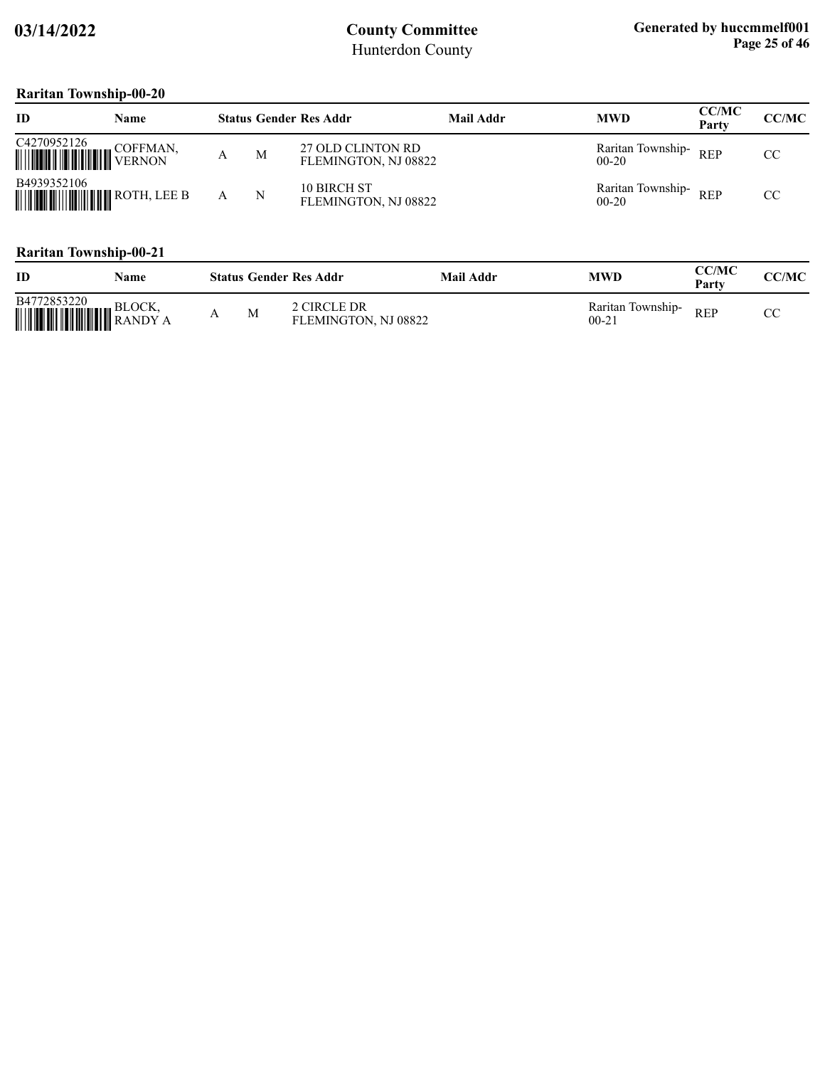### **Raritan Township-00-20**

| ID                                                                                                                  | Name     |   | <b>Status Gender Res Addr</b>             | <b>Mail Addr</b> | <b>MWD</b>                     | <b>CC/MC</b><br>Party | CC/MC |
|---------------------------------------------------------------------------------------------------------------------|----------|---|-------------------------------------------|------------------|--------------------------------|-----------------------|-------|
| $\begin{tabular}{ c c c } \hline C4270952126 & \multicolumn{3}{ c }{\text{COFFMAN}} \\ \hline \hline \end{tabular}$ | COFFMAN, | M | 27 OLD CLINTON RD<br>FLEMINGTON, NJ 08822 |                  | Raritan Township-<br>$00 - 20$ | <b>REP</b>            | CC    |
| B4939352106                                                                                                         |          | N | 10 BIRCH ST<br>FLEMINGTON, NJ 08822       |                  | Raritan Township-<br>$00 - 20$ | <b>REP</b>            | CC    |

| ID                                                                                                                                                 | Name |   | <b>Status Gender Res Addr</b>       | Mail Addr | <b>MWD</b>                     | CC/MC<br>Party | <b>CC/MC</b> |
|----------------------------------------------------------------------------------------------------------------------------------------------------|------|---|-------------------------------------|-----------|--------------------------------|----------------|--------------|
| B4772853220<br>$\left\  \right\ $ $\left\  \right\ $ $\left\  \right\ $ $\left\  \right\ $ $\left\  \right\ $ $\left\  \right\ $ $\left\ $ RANDY A |      | M | 2 CIRCLE DR<br>FLEMINGTON, NJ 08822 |           | Raritan Township-<br>$00 - 21$ | <b>REP</b>     |              |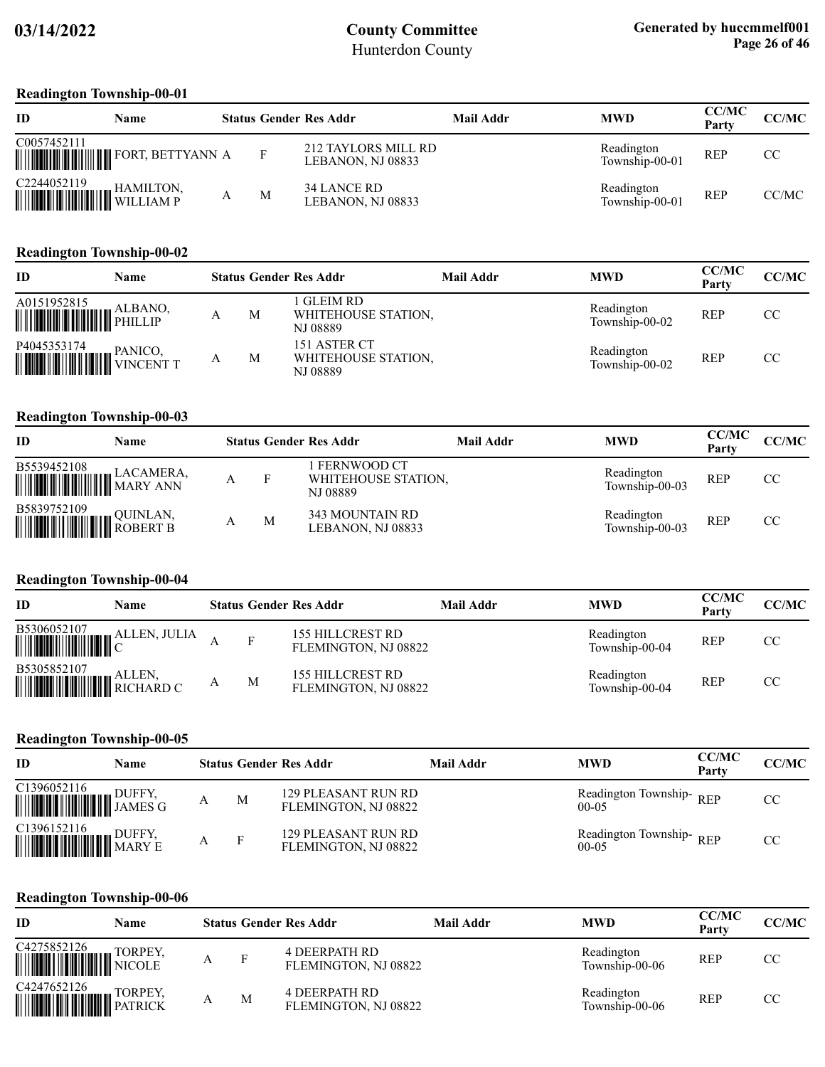#### **Readington Township-00-01**

| ID          | Name                          |   | <b>Status Gender Res Addr</b>                   | Mail Addr | <b>MWD</b>                   | <b>CC/MC</b><br>Party | CC/MC |
|-------------|-------------------------------|---|-------------------------------------------------|-----------|------------------------------|-----------------------|-------|
| C0057452111 |                               | F | <b>212 TAYLORS MILL RD</b><br>LEBANON, NJ 08833 |           | Readington<br>Township-00-01 | <b>REP</b>            | CC.   |
| C2244052119 | <b>HAMILTON,</b><br>WILLIAM P | М | 34 LANCE RD<br>LEBANON, NJ 08833                |           | Readington<br>Township-00-01 | <b>REP</b>            | CC/MC |

#### **Readington Township-00-02**

| <b>ID</b>                                                                                                                                                                 | Name |   | <b>Status Gender Res Addr</b>                   | Mail Addr | <b>MWD</b>                   | <b>CC/MC</b><br>Party | CC/MC |
|---------------------------------------------------------------------------------------------------------------------------------------------------------------------------|------|---|-------------------------------------------------|-----------|------------------------------|-----------------------|-------|
| $\begin{tabular}{ c c c c } \hline A0151952815 & ALBANO, \\ \hline \hline \end{tabular}$<br>PHILLIP                                                                       |      | M | GLEIM RD<br>WHITEHOUSE STATION,<br>NJ 08889     |           | Readington<br>Township-00-02 | <b>REP</b>            | CC.   |
| $\begin{tabular}{ c c c c } \hline \texttt{PA045353174} & \texttt{PANICO,} \\ \hline \hline \texttt{M1111} & \texttt{M1111} & \texttt{VINCENT T} \\ \hline \end{tabular}$ |      | М | 151 ASTER CT<br>WHITEHOUSE STATION,<br>NJ 08889 |           | Readington<br>Township-00-02 | <b>REP</b>            | CC.   |

#### **Readington Township-00-03**

| ID                                                | Name     |   |   | <b>Status Gender Res Addr</b>                  | Mail Addr | <b>MWD</b>                   | <b>CC/MC</b><br>Party | CC/MC |
|---------------------------------------------------|----------|---|---|------------------------------------------------|-----------|------------------------------|-----------------------|-------|
| B5539452108                                       |          | А | F | FERNWOOD CT<br>WHITEHOUSE STATION,<br>NJ 08889 |           | Readington<br>Township-00-03 | REP                   | CC    |
| B5839752109<br><b>WEIGHT AND SURVEY BUDGERT B</b> | QUINLAN, |   | M | 343 MOUNTAIN RD<br>LEBANON, NJ 08833           |           | Readington<br>Township-00-03 | <b>REP</b>            | CC    |

#### **Readington Township-00-04**

| ID                                                                                                              | Name |   | <b>Status Gender Res Addr</b>                   | Mail Addr | <b>MWD</b>                   | <b>CC/MC</b><br>Party | <b>CC/MC</b> |
|-----------------------------------------------------------------------------------------------------------------|------|---|-------------------------------------------------|-----------|------------------------------|-----------------------|--------------|
| $\begin{tabular}{ c c c c } \hline \textbf{B5306052107} & \textbf{ALLEN, JULIA} \\ \hline \hline \end{tabular}$ |      | F | <b>155 HILLCREST RD</b><br>FLEMINGTON, NJ 08822 |           | Readington<br>Township-00-04 | <b>REP</b>            | CC           |
|                                                                                                                 |      | M | 155 HILLCREST RD<br>FLEMINGTON, NJ 08822        |           | Readington<br>Township-00-04 | <b>REP</b>            | CC           |

#### **Readington Township-00-05**

| ID                                                                                                                                                                                                                                                                                                                                                                                                                                                                            | Name   |   | <b>Status Gender Res Addr</b>               | Mail Addr | <b>MWD</b>                           | <b>CC/MC</b><br>Party | <b>CC/MC</b> |
|-------------------------------------------------------------------------------------------------------------------------------------------------------------------------------------------------------------------------------------------------------------------------------------------------------------------------------------------------------------------------------------------------------------------------------------------------------------------------------|--------|---|---------------------------------------------|-----------|--------------------------------------|-----------------------|--------------|
| C1396052116<br>$\begin{tabular}{c} \hline \textbf{  } \textbf{  } \textbf{  } \textbf{  } \textbf{  } \textbf{  } \textbf{  } \textbf{  } \textbf{  } \textbf{  } \textbf{  } \textbf{  } \textbf{  } \textbf{  } \textbf{  } \textbf{  } \textbf{  } \textbf{  } \textbf{  } \textbf{  } \textbf{  } \textbf{  } \textbf{  } \textbf{  } \textbf{  } \textbf{  } \textbf{  } \textbf{  } \textbf{  } \textbf{  } \textbf{  } \textbf{  } \textbf{  } \textbf{  } \textbf{  $ | DUFFY. | M | 129 PLEASANT RUN RD<br>FLEMINGTON, NJ 08822 |           | Readington Township-REP<br>$00-0.5$  |                       | CC.          |
| $\begin{tabular}{ c c c c } \hline C1396152116 & DUFFY, \\ \hline \hline \end{tabular} \begin{tabular}{ c c c c c } \hline DUFFY, \\ \hline \end{tabular} \begin{tabular}{ c c c c c } \hline \end{tabular} \end{tabular} \begin{tabular}{ c c c c c } \hline \end{tabular} \begin{tabular}{ c c c c c } \hline \end{tabular} \begin{tabular}{ c c c c c } \hline \end{tabular} \begin{tabular}{ c c c c c } \hline \end$                                                     |        |   | 129 PLEASANT RUN RD<br>FLEMINGTON, NJ 08822 |           | Readington Township-REP<br>$00 - 05$ |                       | CC.          |

#### **Readington Township-00-06**

| ID                                                                                                                                                                                                                                                                                           | Name |   |   | <b>Status Gender Res Addr</b>         | Mail Addr | <b>MWD</b>                   | <b>CC/MC</b><br>Party | CC/MC |
|----------------------------------------------------------------------------------------------------------------------------------------------------------------------------------------------------------------------------------------------------------------------------------------------|------|---|---|---------------------------------------|-----------|------------------------------|-----------------------|-------|
| $\begin{tabular}{ c c c } \hline C4275852126 & TORPEY, \\ \hline \hline \end{tabular}$ $\begin{tabular}{ c c c c c } \hline NICOLE \\ \hline \end{tabular}$                                                                                                                                  |      | A | F | 4 DEERPATH RD<br>FLEMINGTON, NJ 08822 |           | Readington<br>Township-00-06 | <b>REP</b>            | CC    |
| $\begin{tabular}{ c c c } \hline C4247652126 & TORPEY, \\ \hline \hline \end{tabular} \begin{tabular}{ c c c c c } \hline P10RPEY, \\ \hline \end{tabular} \end{tabular} \vspace{0.08cm} \begin{tabular}{ c c c c c } \hline \multicolumn{3}{ c }{\textbf{PATRICK}} \\ \hline \end{tabular}$ |      |   | M | 4 DEERPATH RD<br>FLEMINGTON, NJ 08822 |           | Readington<br>Township-00-06 | <b>REP</b>            | CC    |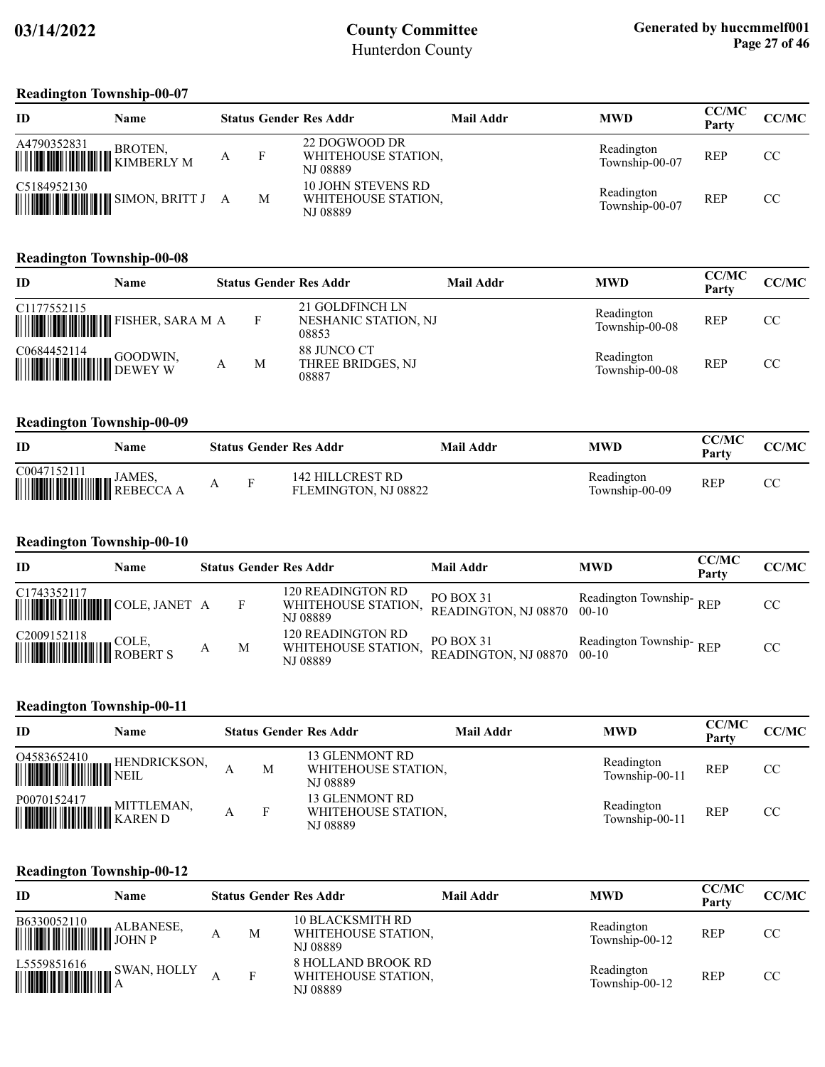#### **Readington Township-00-07**

| ID                                       | Name                                                                                                                |   |   | <b>Status Gender Res Addr</b>                                | Mail Addr | <b>MWD</b>                   | <b>CC/MC</b><br>Party | <b>CC/MC</b> |
|------------------------------------------|---------------------------------------------------------------------------------------------------------------------|---|---|--------------------------------------------------------------|-----------|------------------------------|-----------------------|--------------|
| A4790352831<br><b>WEIGHT AND SKOTEN,</b> | BROTEN,                                                                                                             | A |   | 22 DOGWOOD DR<br>WHITEHOUSE STATION,<br><b>NJ 08889</b>      |           | Readington<br>Township-00-07 | <b>REP</b>            | CC           |
| C5184952130                              | <b>WEIGHT AND A STATE OF STATE OF STATE OF STATE OF STATE OF STATE OF STATE OF STATE OF STATE OF STATE OF STATE</b> |   | M | <b>10 JOHN STEVENS RD</b><br>WHITEHOUSE STATION,<br>NJ 08889 |           | Readington<br>Township-00-07 | <b>REP</b>            | CC           |

#### **Readington Township-00-08**

| ID                                                                                                                            | Name                            |   | <b>Status Gender Res Addr</b>                    | Mail Addr | <b>MWD</b>                   | <b>CC/MC</b><br>Party | <b>CC/MC</b> |
|-------------------------------------------------------------------------------------------------------------------------------|---------------------------------|---|--------------------------------------------------|-----------|------------------------------|-----------------------|--------------|
| C1177552115                                                                                                                   | <b>WILLIAM TELER, SARA MARK</b> |   | 21 GOLDFINCH LN<br>NESHANIC STATION, NJ<br>08853 |           | Readington<br>Township-00-08 | <b>REP</b>            | CC.          |
| $\begin{tabular}{ c c c } \hline \textbf{CO684452114} & \textbf{GOODWN}, \\ \hline \textbf{O} & \textbf{DEWEY} \end{tabular}$ |                                 | M | 88 JUNCO CT<br>THREE BRIDGES, NJ<br>08887        |           | Readington<br>Township-00-08 | <b>REP</b>            | CC           |

#### **Readington Township-00-09**

| ID                                      | Name          |   |          | <b>Status Gender Res Addr</b>            | Mail Addr | <b>MWD</b>                   | <b>CC/MC</b><br>Party | CC/MC |
|-----------------------------------------|---------------|---|----------|------------------------------------------|-----------|------------------------------|-----------------------|-------|
| C0047152111<br><b>WEIGHT AND SAMES,</b> | <b>JAMES.</b> | A | <b>D</b> | 142 HILLCREST RD<br>FLEMINGTON, NJ 08822 |           | Readington<br>Township-00-09 | REP                   | UU    |

#### **Readington Township-00-10**

| ID          | Name |   | <b>Status Gender Res Addr</b>                        | <b>Mail Addr</b>                  | <b>MWD</b>                         | <b>CC/MC</b><br>Party | CC/MC |
|-------------|------|---|------------------------------------------------------|-----------------------------------|------------------------------------|-----------------------|-------|
| C1743352117 |      |   | 120 READINGTON RD<br>WHITEHOUSE STATION.<br>NJ 08889 | PO BOX 31<br>READINGTON, NJ 08870 | Readington Township-REP<br>$00-10$ |                       | CC.   |
|             |      | M | 120 READINGTON RD<br>WHITEHOUSE STATION.<br>NJ 08889 | PO BOX 31<br>READINGTON, NJ 08870 | Readington Township-REP<br>$00-10$ |                       | CC    |

#### **Readington Township-00-11**

| ID                                                                                                                                                                                                                                                                                                                                                                                  | Name |   | <b>Status Gender Res Addr</b>                     | Mail Addr | <b>MWD</b>                   | <b>CC/MC</b><br>Party | <b>CC/MC</b> |
|-------------------------------------------------------------------------------------------------------------------------------------------------------------------------------------------------------------------------------------------------------------------------------------------------------------------------------------------------------------------------------------|------|---|---------------------------------------------------|-----------|------------------------------|-----------------------|--------------|
| 04583652410                                                                                                                                                                                                                                                                                                                                                                         |      | M | 13 GLENMONT RD<br>WHITEHOUSE STATION.<br>NJ 08889 |           | Readington<br>Township-00-11 | <b>REP</b>            | CC           |
| $\fbox{\parbox{5.5cm} {\begin{picture}(10,6) \label{fig:2} \put(0,0){\dashbox{0.5cm} \put(0,0){\dashbox{0.5cm} \put(0,0){\dashbox{0.5cm} \put(0,0){\dashbox{0.5cm} \put(0,0){\dashbox{0.5cm} \put(0,0){\dashbox{0.5cm} \put(0,0){\dashbox{0.5cm} \put(0,0){\dashbox{0.5cm} \put(0,0){\dashbox{0.5cm} \put(0,0){\dashbox{0.5cm} \put(0,0){\dashbox{0.5cm} \put(0,0){\dashbox{0.5cm}$ |      | Е | 13 GLENMONT RD<br>WHITEHOUSE STATION.<br>NJ 08889 |           | Readington<br>Township-00-11 | <b>REP</b>            | CC.          |

#### **Readington Township-00-12**

| ID                                                                                           | Name |   | <b>Status Gender Res Addr</b>                                | Mail Addr | <b>MWD</b>                   | <b>CC/MC</b><br>Party | CC/MC |
|----------------------------------------------------------------------------------------------|------|---|--------------------------------------------------------------|-----------|------------------------------|-----------------------|-------|
|                                                                                              |      | М | <b>10 BLACKSMITH RD</b><br>WHITEHOUSE STATION,<br>NJ 08889   |           | Readington<br>Township-00-12 | <b>REP</b>            | CC    |
| $\begin{tabular}{ c c c c } \hline L5559851616 & \text{SWAN, HOLLY} \\ \hline \end{tabular}$ |      | F | <b>8 HOLLAND BROOK RD</b><br>WHITEHOUSE STATION.<br>NJ 08889 |           | Readington<br>Township-00-12 | <b>REP</b>            | CC.   |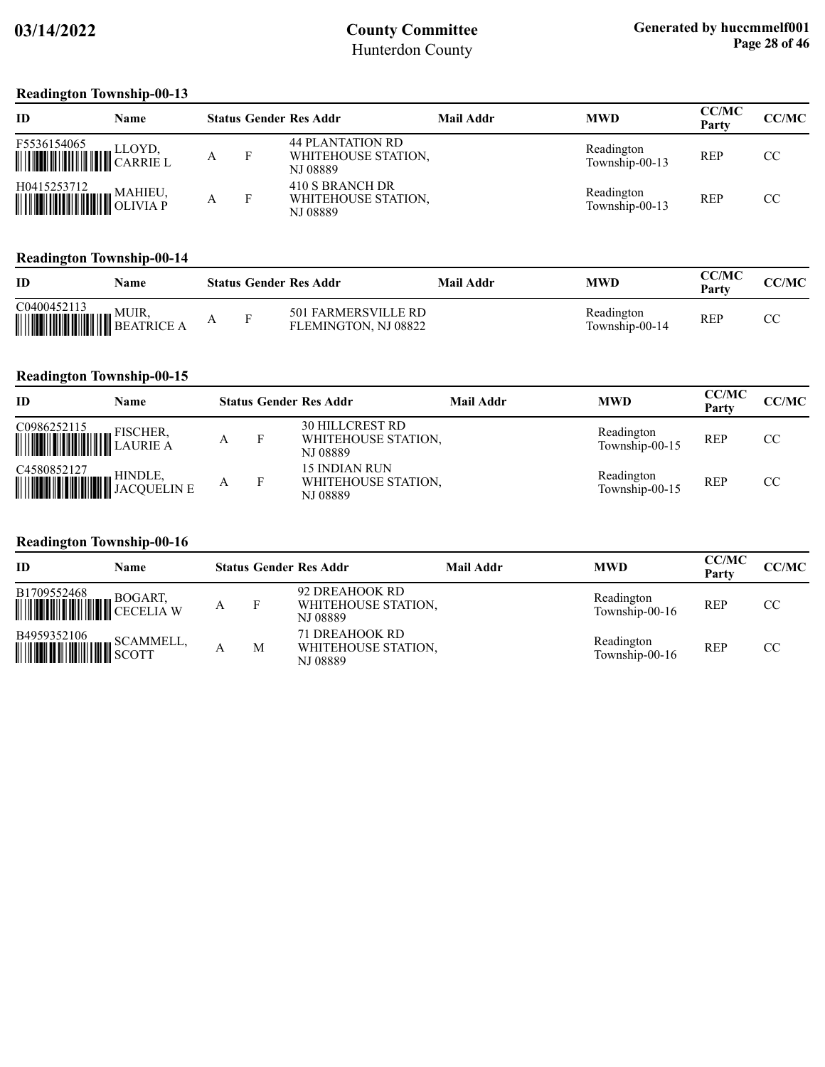#### **Readington Township-00-13**

| ID                                                                                                                                                           | Name |   |   | <b>Status Gender Res Addr</b>                              | Mail Addr | <b>MWD</b>                   | <b>CC/MC</b><br>Party | CC/MC |
|--------------------------------------------------------------------------------------------------------------------------------------------------------------|------|---|---|------------------------------------------------------------|-----------|------------------------------|-----------------------|-------|
| F5536154065<br>$\begin{array}{c} \text{F3330134083} \\ \text{                                } \text{CARRIE L} \end{array}$                                  |      | Α | F | <b>44 PLANTATION RD</b><br>WHITEHOUSE STATION,<br>NJ 08889 |           | Readington<br>Township-00-13 | <b>REP</b>            | CC.   |
| $\begin{tabular}{ c c c c } \hline H0415253712 & MAHIEU, \\ \hline \hline \end{tabular} \begin{tabular}{ c c c c c } \hline MAHIEU, \\ \hline \end{tabular}$ |      |   | F | 410 S BRANCH DR<br>WHITEHOUSE STATION,<br>NJ 08889         |           | Readington<br>Township-00-13 | <b>REP</b>            | CC    |

#### **Readington Township-00-14**

| ID                                          | Name  |  | <b>Status Gender Res Addr</b>               | Mail Addr | <b>MWD</b>                   | CC/MC<br>Party | CC/MC   |
|---------------------------------------------|-------|--|---------------------------------------------|-----------|------------------------------|----------------|---------|
| C0400452113<br><b>WEIGHT AND SEATRICE A</b> | MUIR. |  | 501 FARMERSVILLE RD<br>FLEMINGTON, NJ 08822 |           | Readington<br>Township-00-14 | REP            | ΠC<br>U |

#### **Readington Township-00-15**

| ID          | Name |  | <b>Status Gender Res Addr</b>                             | Mail Addr | <b>MWD</b>                   | <b>CC/MC</b><br>Party | CC/MC |
|-------------|------|--|-----------------------------------------------------------|-----------|------------------------------|-----------------------|-------|
| C0986252115 |      |  | <b>30 HILLCREST RD</b><br>WHITEHOUSE STATION,<br>NJ 08889 |           | Readington<br>Township-00-15 | <b>REP</b>            | CC.   |
|             |      |  | 15 INDIAN RUN<br>WHITEHOUSE STATION.<br>NJ 08889          |           | Readington<br>Township-00-15 | <b>REP</b>            | CC    |

#### **Readington Township-00-16**

| ID                                                                                                                                                                                                                                                                                                                                                                                                                                   | Name |   |   | <b>Status Gender Res Addr</b>                     | Mail Addr | <b>MWD</b>                   | <b>CC/MC</b><br>Party | CC/MC |
|--------------------------------------------------------------------------------------------------------------------------------------------------------------------------------------------------------------------------------------------------------------------------------------------------------------------------------------------------------------------------------------------------------------------------------------|------|---|---|---------------------------------------------------|-----------|------------------------------|-----------------------|-------|
| $\begin{tabular}{ c c c c } \hline \textbf{B1709552468} & \textbf{BOGART}, \\ \hline \textbf{OCT} & \textbf{OCT} & \textbf{OCT} \\ \hline \textbf{OCT} & \textbf{OCT} & \textbf{OCT} \\ \hline \textbf{OCT} & \textbf{OCT} & \textbf{OCT} \\ \hline \textbf{OCT} & \textbf{OCT} & \textbf{OCT} & \textbf{OCT} \\ \hline \textbf{OCT} & \textbf{OCT} & \textbf{OCT} & \textbf{OCT} \\ \hline \textbf{OCT} & \textbf{OCT} & \textbf{O$ |      | А |   | 92 DREAHOOK RD<br>WHITEHOUSE STATION.<br>NJ 08889 |           | Readington<br>Township-00-16 | <b>REP</b>            | CC    |
|                                                                                                                                                                                                                                                                                                                                                                                                                                      |      |   | M | 71 DREAHOOK RD<br>WHITEHOUSE STATION,<br>NJ 08889 |           | Readington<br>Township-00-16 | <b>REP</b>            | CC    |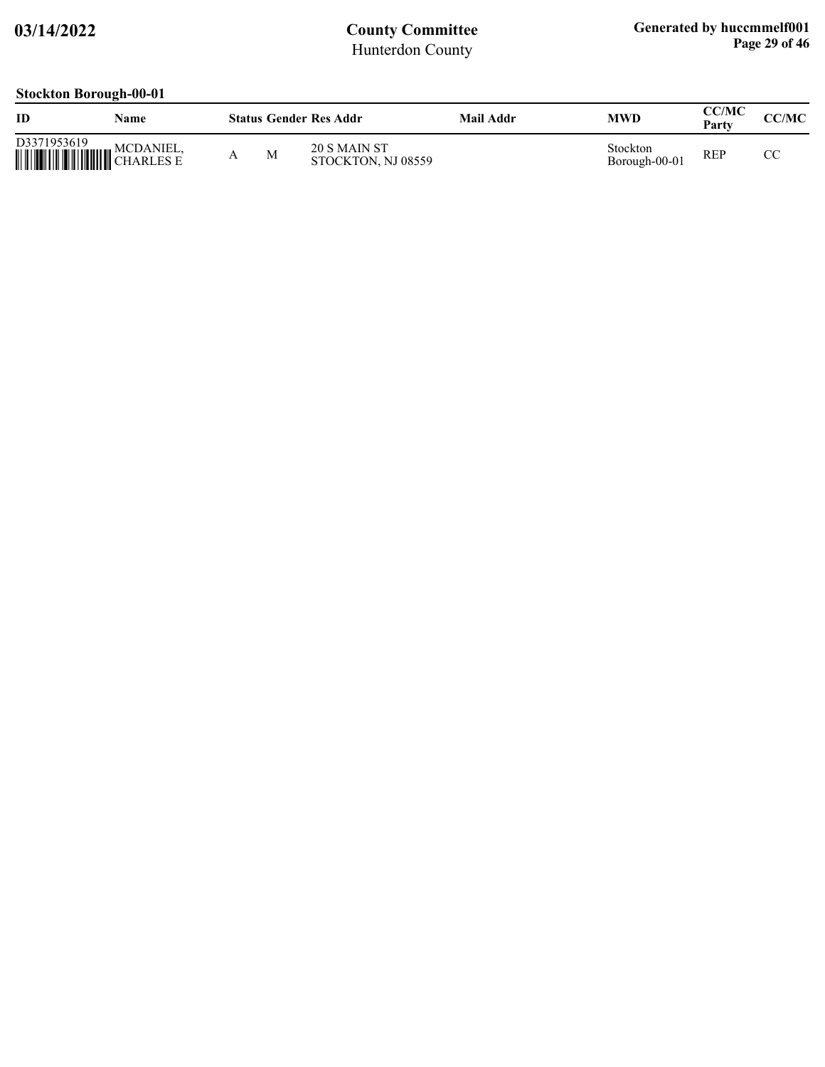### **Stockton Borough-00-01**

| ID          | Name |   | <b>Status Gender Res Addr</b>      | Mail Addr | <b>MWD</b>                | CC/MC<br>Party | CC/MC |
|-------------|------|---|------------------------------------|-----------|---------------------------|----------------|-------|
| D3371953619 |      | M | 20 S MAIN ST<br>STOCKTON, NJ 08559 |           | Stockton<br>Borough-00-01 | <b>REP</b>     | СC    |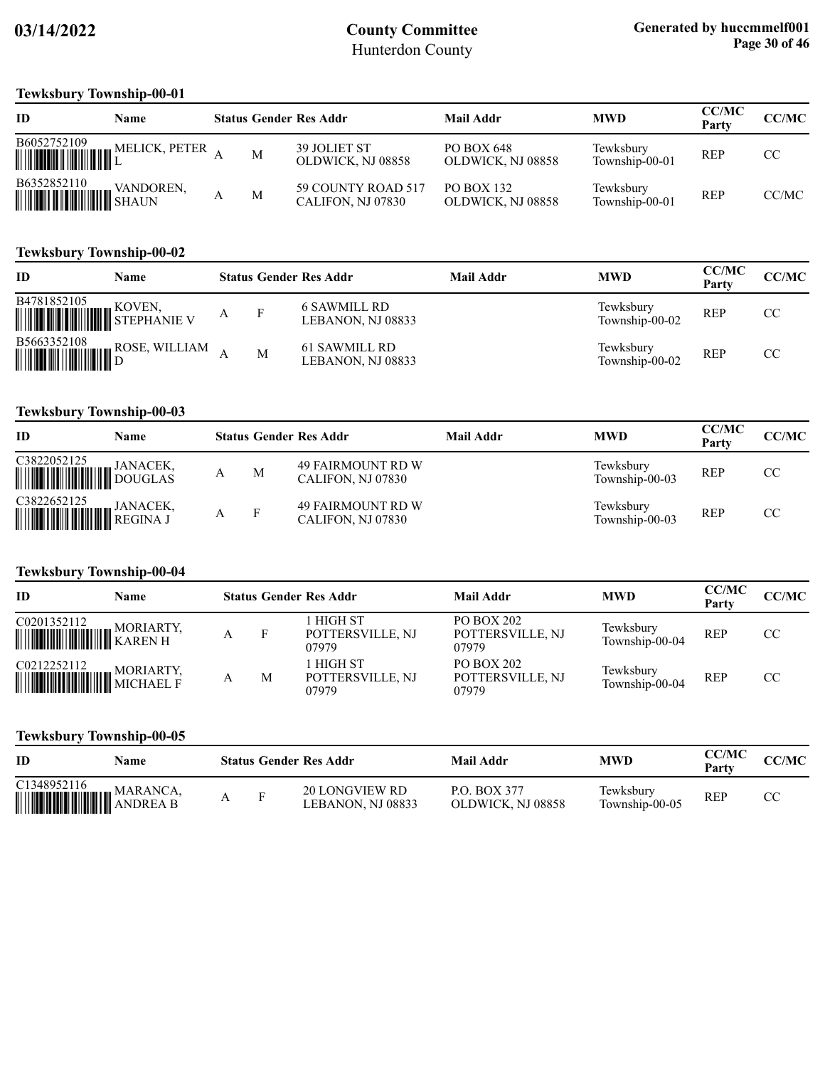### **Tewksbury Township-00-01**

| ID                                                                                                                                                                                                                                                                                                                                                                                                         | Name          |   | <b>Status Gender Res Addr</b>            | Mail Addr                              | <b>MWD</b>                  | <b>CC/MC</b><br>Party | CC/MC |
|------------------------------------------------------------------------------------------------------------------------------------------------------------------------------------------------------------------------------------------------------------------------------------------------------------------------------------------------------------------------------------------------------------|---------------|---|------------------------------------------|----------------------------------------|-----------------------------|-----------------------|-------|
| $\begin{tabular}{ c c c c } \hline \rule{0pt}{2ex} \rule{0pt}{2ex} \rule{0pt}{2ex} \rule{0pt}{2ex} \rule{0pt}{2ex} \rule{0pt}{2ex} \rule{0pt}{2ex} \rule{0pt}{2ex} \rule{0pt}{2ex} \rule{0pt}{2ex} \rule{0pt}{2ex} \rule{0pt}{2ex} \rule{0pt}{2ex} \rule{0pt}{2ex} \rule{0pt}{2ex} \rule{0pt}{2ex} \rule{0pt}{2ex} \rule{0pt}{2ex} \rule{0pt}{2ex} \rule{0pt}{2ex} \rule{0pt}{2ex} \rule{0pt}{2ex} \rule{$ | MELICK, PETER | M | <b>39 JOLIET ST</b><br>OLDWICK, NJ 08858 | <b>PO BOX 648</b><br>OLDWICK, NJ 08858 | Tewksbury<br>Township-00-01 | <b>REP</b>            | CC    |
| $\begin{tabular}{ c c c c } \hline \textbf{B6352852110} & \textbf{VANDOF} \\\hline \textbf{m} & \textbf{MMDOF} \\\hline \end{tabular}$                                                                                                                                                                                                                                                                     | VANDOREN,     | M | 59 COUNTY ROAD 517<br>CALIFON, NJ 07830  | <b>PO BOX 132</b><br>OLDWICK, NJ 08858 | Tewksbury<br>Township-00-01 | <b>REP</b>            | CC/MC |

#### **Tewksbury Township-00-02**

| ID          | Name                         |   | <b>Status Gender Res Addr</b>      | Mail Addr | <b>MWD</b>                  | <b>CC/MC</b><br>Party | <b>CC/MC</b> |
|-------------|------------------------------|---|------------------------------------|-----------|-----------------------------|-----------------------|--------------|
| B4781852105 | <b>WE ARRIVE STEPHANIE V</b> |   | 6 SAWMILL RD<br>LEBANON, NJ 08833  |           | Tewksbury<br>Township-00-02 | <b>REP</b>            | CC           |
|             |                              | M | 61 SAWMILL RD<br>LEBANON, NJ 08833 |           | Tewksbury<br>Township-00-02 | <b>REP</b>            | CC           |

#### **Tewksbury Township-00-03**

| ID                                                                                                              | Name |              | <b>Status Gender Res Addr</b>                 | Mail Addr | <b>MWD</b>                  | <b>CC/MC</b><br>Party | <b>CC/MC</b> |
|-----------------------------------------------------------------------------------------------------------------|------|--------------|-----------------------------------------------|-----------|-----------------------------|-----------------------|--------------|
| C3822052125                                                                                                     |      | M            | 49 FAIRMOUNT RD W<br>CALIFON, NJ 07830        |           | Tewksbury<br>Township-00-03 | <b>REP</b>            | CC           |
| $\begin{tabular}{ c c c } \hline C3822652125 & JANACEK, \\ \hline \hline \end{tabular}$ Hill Hill Hill REGINA J |      | $\mathbf{F}$ | <b>49 FAIRMOUNT RD W</b><br>CALIFON, NJ 07830 |           | Tewksbury<br>Township-00-03 | <b>REP</b>            | CC           |

#### **Tewksbury Township-00-04**

| ID                                                                                                                                                                                  | Name |   | <b>Status Gender Res Addr</b>               | Mail Addr                                      | <b>MWD</b>                  | <b>CC/MC</b><br>Party | <b>CC/MC</b> |
|-------------------------------------------------------------------------------------------------------------------------------------------------------------------------------------|------|---|---------------------------------------------|------------------------------------------------|-----------------------------|-----------------------|--------------|
| $\begin{tabular}{ c c c } \hline CO201352112 & MORIARTY, \\ \hline \hline \end{tabular} \begin{tabular}{ c c c c } \hline MORIARTY, \\ \hline KAREN H \\ \hline \end{tabular}$      |      |   | <b>HIGH ST</b><br>POTTERSVILLE, NJ<br>07979 | <b>PO BOX 202</b><br>POTTERSVILLE, NJ<br>07979 | Tewksbury<br>Township-00-04 | <b>REP</b>            | CC           |
| $\begin{tabular}{ c c c c } \hline CO212252112 & MORIARTY, \\ \hline \hline \end{tabular} \begin{tabular}{ c c c c c } \hline MORIARTY, \\ \hline MICHAELF \\ \hline \end{tabular}$ |      | M | HIGH ST<br>POTTERSVILLE, NJ<br>07979        | <b>PO BOX 202</b><br>POTTERSVILLE, NJ<br>07979 | Tewksbury<br>Township-00-04 | <b>REP</b>            | CC.          |

### **Tewksbury Township-00-05**

| ID                             | Name     |  | <b>Status Gender Res Addr</b>       | Mail Addr                                | MWD                         | CC/MC<br>Party | CC/MC |
|--------------------------------|----------|--|-------------------------------------|------------------------------------------|-----------------------------|----------------|-------|
| C1348952116<br><b>WARANCA,</b> | MARANCA. |  | 20 LONGVIEW RD<br>LEBANON. NJ 08833 | <b>P.O. BOX 377</b><br>OLDWICK, NJ 08858 | Tewksburv<br>Township-00-05 | <b>REP</b>     | СC    |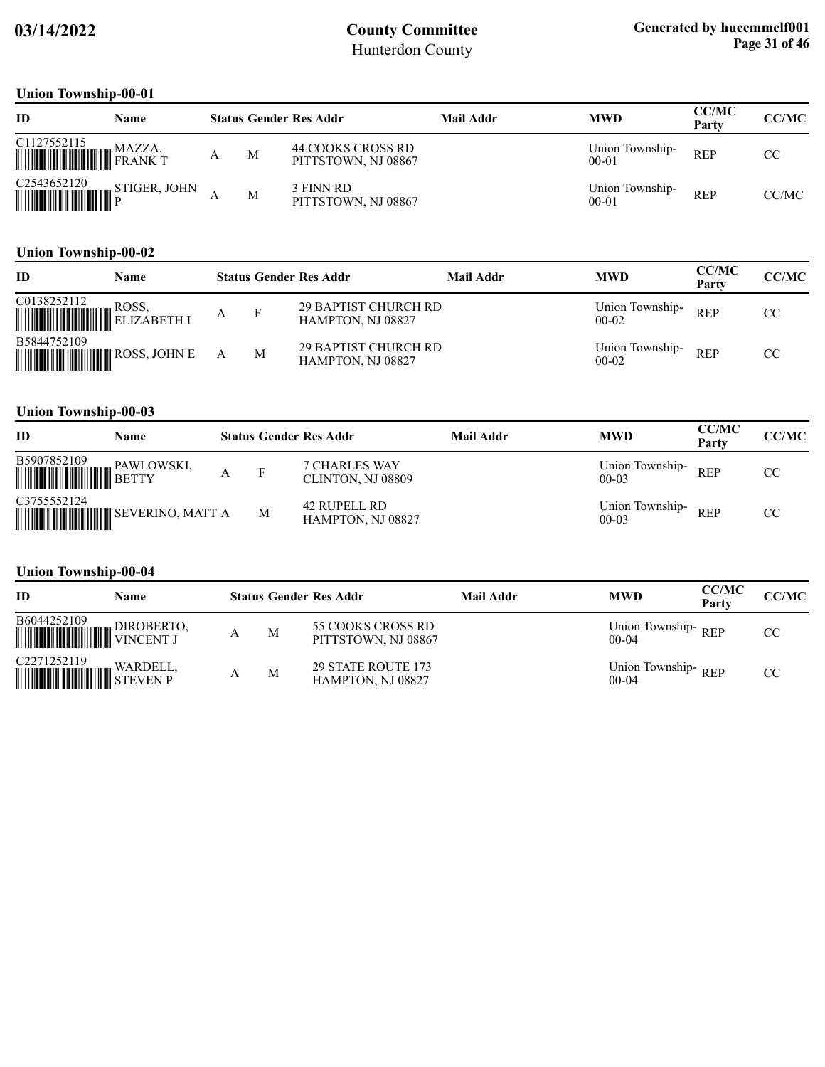#### **Union Township-00-01**

| ID                           | <b>Name</b> |   | <b>Status Gender Res Addr</b>            | Mail Addr | <b>MWD</b>                   | <b>CC/MC</b><br>Party | CC/MC |
|------------------------------|-------------|---|------------------------------------------|-----------|------------------------------|-----------------------|-------|
| C1127552115<br><b>WAZZA,</b> | MAZZA,      | M | 44 COOKS CROSS RD<br>PITTSTOWN, NJ 08867 |           | Union Township-<br>$00 - 01$ | <b>REP</b>            | CC    |
|                              |             | M | 3 FINN RD<br>PITTSTOWN, NJ 08867         |           | Union Township-<br>$00 - 01$ | <b>REP</b>            | CC/MC |

#### **Union Township-00-02**

| ID                                         | Name |   | <b>Status Gender Res Addr</b>                           | Mail Addr | <b>MWD</b>                 | <b>CC/MC</b><br>Party | CC/MC |
|--------------------------------------------|------|---|---------------------------------------------------------|-----------|----------------------------|-----------------------|-------|
|                                            |      |   | <b>29 BAPTIST CHURCH RD</b><br><b>HAMPTON, NJ 08827</b> |           | Union Township-<br>$00-02$ | <b>REP</b>            | CC.   |
| B5844752109<br><b>WILLIAM COSS, JOHN E</b> |      | M | <b>29 BAPTIST CHURCH RD</b><br><b>HAMPTON, NJ 08827</b> |           | Union Township-<br>$00-02$ | <b>REP</b>            | CC.   |

### **Union Township-00-03**

| ID          | Name |   | <b>Status Gender Res Addr</b>      | <b>Mail Addr</b> | <b>MWD</b>                 | <b>CC/MC</b><br>Party | CC/MC |
|-------------|------|---|------------------------------------|------------------|----------------------------|-----------------------|-------|
| B5907852109 |      | F | 7 CHARLES WAY<br>CLINTON, NJ 08809 |                  | Union Township-<br>$00-03$ | <b>REP</b>            | CC.   |
| C3755552124 |      | M | 42 RUPELL RD<br>HAMPTON, NJ 08827  |                  | Union Township-<br>$00-03$ | <b>REP</b>            | CC    |

### **Union Township-00-04**

| ID                                                                                                                                                                                                                                        | Name |   | <b>Status Gender Res Addr</b>                  | Mail Addr | <b>MWD</b>                      | <b>CC/MC</b><br>Party | CC/MC |
|-------------------------------------------------------------------------------------------------------------------------------------------------------------------------------------------------------------------------------------------|------|---|------------------------------------------------|-----------|---------------------------------|-----------------------|-------|
| B6044252109 DIROBERTO,                                                                                                                                                                                                                    |      | M | 55 COOKS CROSS RD<br>PITTSTOWN, NJ 08867       |           | Union Township-REP<br>$00-04$   |                       | CC    |
| $\begin{tabular}{ c c c } \hline C2271252119 & \text{WARDELL}, \\ \hline \end{tabular} \begin{tabular}{ c c c c c } \hline \multicolumn{3}{ c }{\text{WARDELL}}, \\ \hline \multicolumn{3}{ c }{\text{WARDELL}}, \\ \hline \end{tabular}$ |      | M | <b>29 STATE ROUTE 173</b><br>HAMPTON, NJ 08827 |           | Union Township-REP<br>$00 - 04$ |                       | CC    |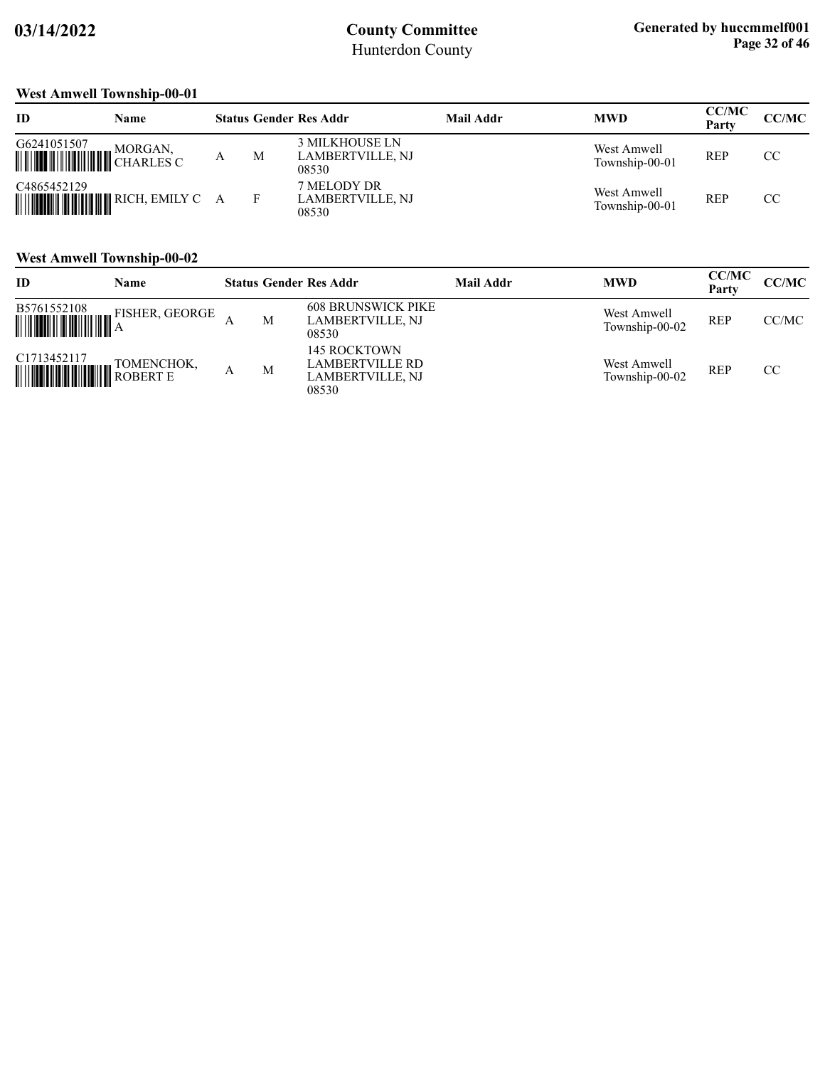### **West Amwell Township-00-01**

| ID          | Name    |   |   | <b>Status Gender Res Addr</b>                      | Mail Addr | <b>MWD</b>                    | <b>CC/MC</b><br>Party | <b>CC/MC</b> |
|-------------|---------|---|---|----------------------------------------------------|-----------|-------------------------------|-----------------------|--------------|
| G6241051507 | MORGAN, | А | M | <b>3 MILKHOUSE LN</b><br>LAMBERTVILLE, NJ<br>08530 |           | West Amwell<br>Township-00-01 | <b>REP</b>            | CC           |
| C4865452129 |         |   |   | 7 MELODY DR<br>LAMBERTVILLE, NJ<br>08530           |           | West Amwell<br>Township-00-01 | <b>REP</b>            | CC           |

#### **West Amwell Township-00-02**

| ID                                                                                                                                                                                           | Name           |   |   | <b>Status Gender Res Addr</b>                                       | <b>Mail Addr</b> | <b>MWD</b>                    | <b>CC/MC</b><br>Party | CC/MC |
|----------------------------------------------------------------------------------------------------------------------------------------------------------------------------------------------|----------------|---|---|---------------------------------------------------------------------|------------------|-------------------------------|-----------------------|-------|
| $\begin{tabular}{ c c c c } \hline \rule{0pt}{2ex} B5761552108 & F1 \\ \hline \rule{0pt}{2ex} \rule{0pt}{2ex} \rule{0pt}{2ex} \rule{0pt}{2ex} \rule{0pt}{2ex} \rule{0pt}{2ex} \end{tabular}$ | FISHER, GEORGE |   | M | <b>608 BRUNSWICK PIKE</b><br>LAMBERTVILLE, NJ<br>08530              |                  | West Amwell<br>Township-00-02 | <b>REP</b>            | CC/MC |
| C1713452117<br><b>WEIGHT HALL AND ROBERT E</b>                                                                                                                                               | TOMENCHOK,     | Α | M | <b>145 ROCKTOWN</b><br>LAMBERTVILLE RD<br>LAMBERTVILLE, NJ<br>08530 |                  | West Amwell<br>Township-00-02 | <b>REP</b>            | CC    |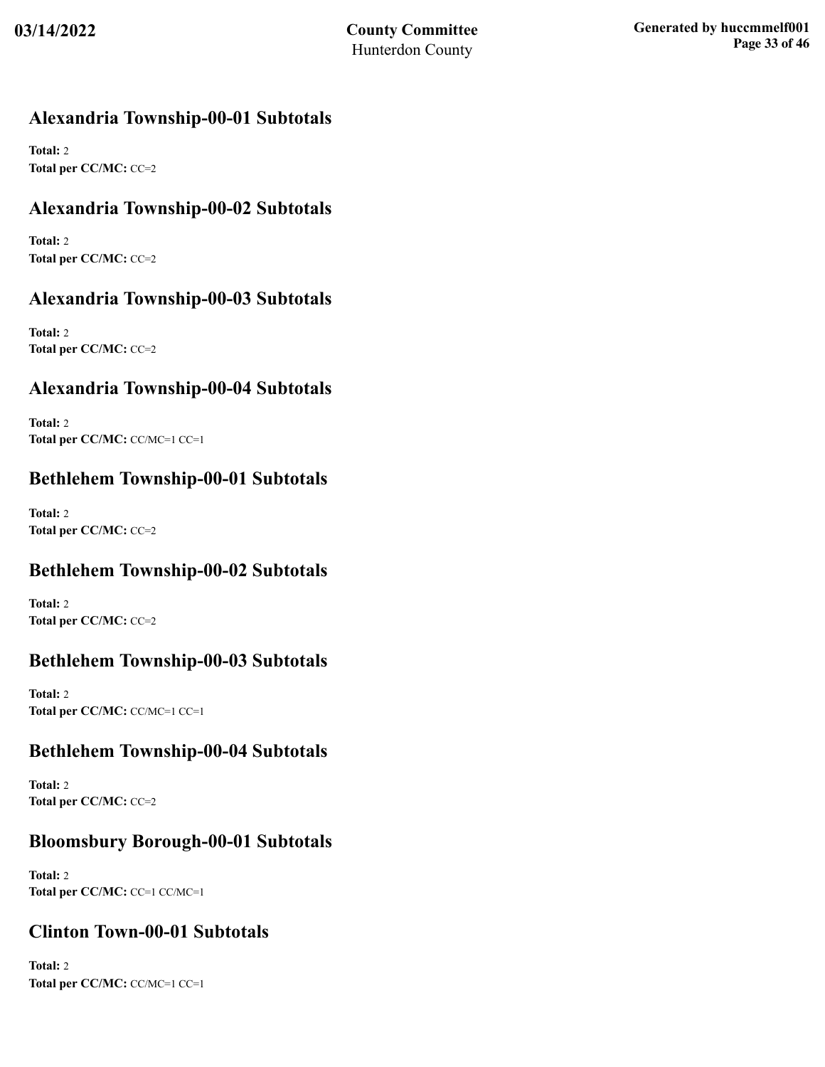## **Alexandria Township-00-01 Subtotals**

**Total:** 2 **Total per CC/MC:** CC=2

## **Alexandria Township-00-02 Subtotals**

**Total:** 2 **Total per CC/MC:** CC=2

## **Alexandria Township-00-03 Subtotals**

**Total:** 2 **Total per CC/MC:** CC=2

## **Alexandria Township-00-04 Subtotals**

**Total:** 2 **Total per CC/MC:** CC/MC=1 CC=1

### **Bethlehem Township-00-01 Subtotals**

**Total:** 2 **Total per CC/MC:** CC=2

### **Bethlehem Township-00-02 Subtotals**

**Total:** 2 **Total per CC/MC:** CC=2

### **Bethlehem Township-00-03 Subtotals**

**Total:** 2 **Total per CC/MC:** CC/MC=1 CC=1

### **Bethlehem Township-00-04 Subtotals**

**Total:** 2 **Total per CC/MC:** CC=2

### **Bloomsbury Borough-00-01 Subtotals**

**Total:** 2 **Total per CC/MC:** CC=1 CC/MC=1

### **Clinton Town-00-01 Subtotals**

**Total:** 2 **Total per CC/MC:** CC/MC=1 CC=1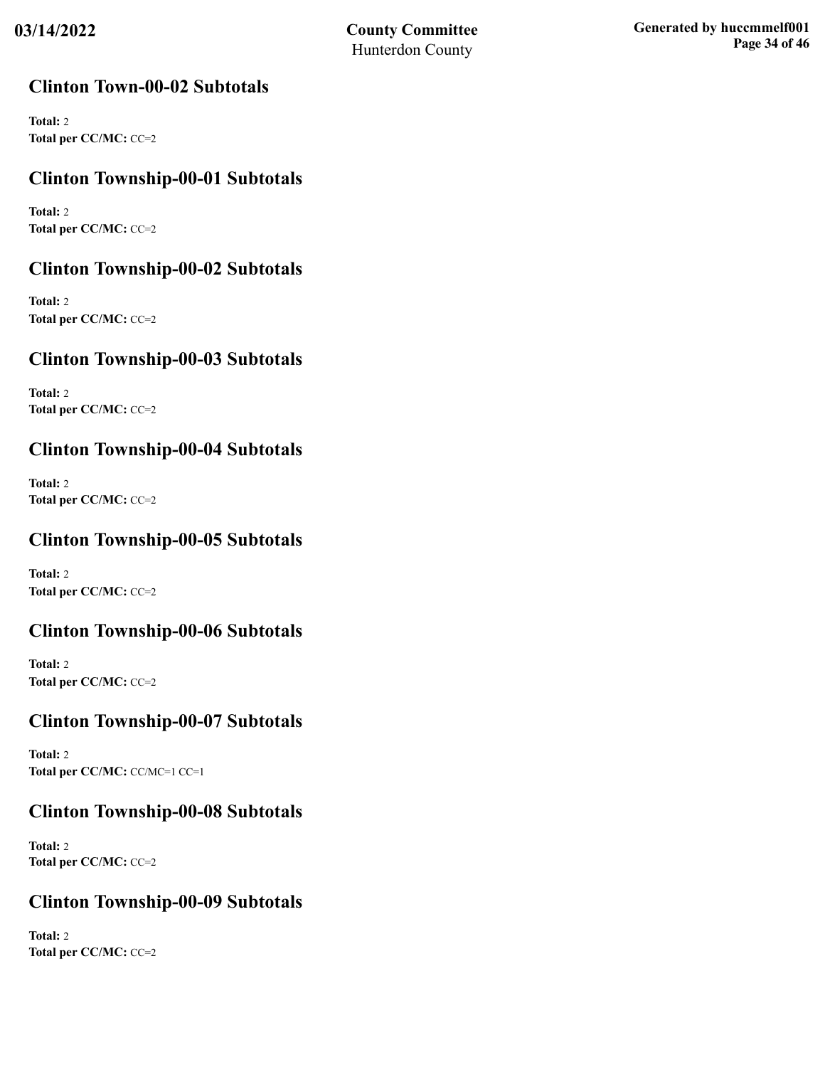### **Clinton Town-00-02 Subtotals**

**Total:** 2 **Total per CC/MC:** CC=2

## **Clinton Township-00-01 Subtotals**

**Total:** 2 **Total per CC/MC:** CC=2

## **Clinton Township-00-02 Subtotals**

**Total:** 2 **Total per CC/MC:** CC=2

## **Clinton Township-00-03 Subtotals**

**Total:** 2 **Total per CC/MC:** CC=2

## **Clinton Township-00-04 Subtotals**

**Total:** 2 **Total per CC/MC:** CC=2

## **Clinton Township-00-05 Subtotals**

**Total:** 2 **Total per CC/MC:** CC=2

## **Clinton Township-00-06 Subtotals**

**Total:** 2 **Total per CC/MC:** CC=2

## **Clinton Township-00-07 Subtotals**

**Total:** 2 **Total per CC/MC:** CC/MC=1 CC=1

## **Clinton Township-00-08 Subtotals**

**Total:** 2 **Total per CC/MC:** CC=2

## **Clinton Township-00-09 Subtotals**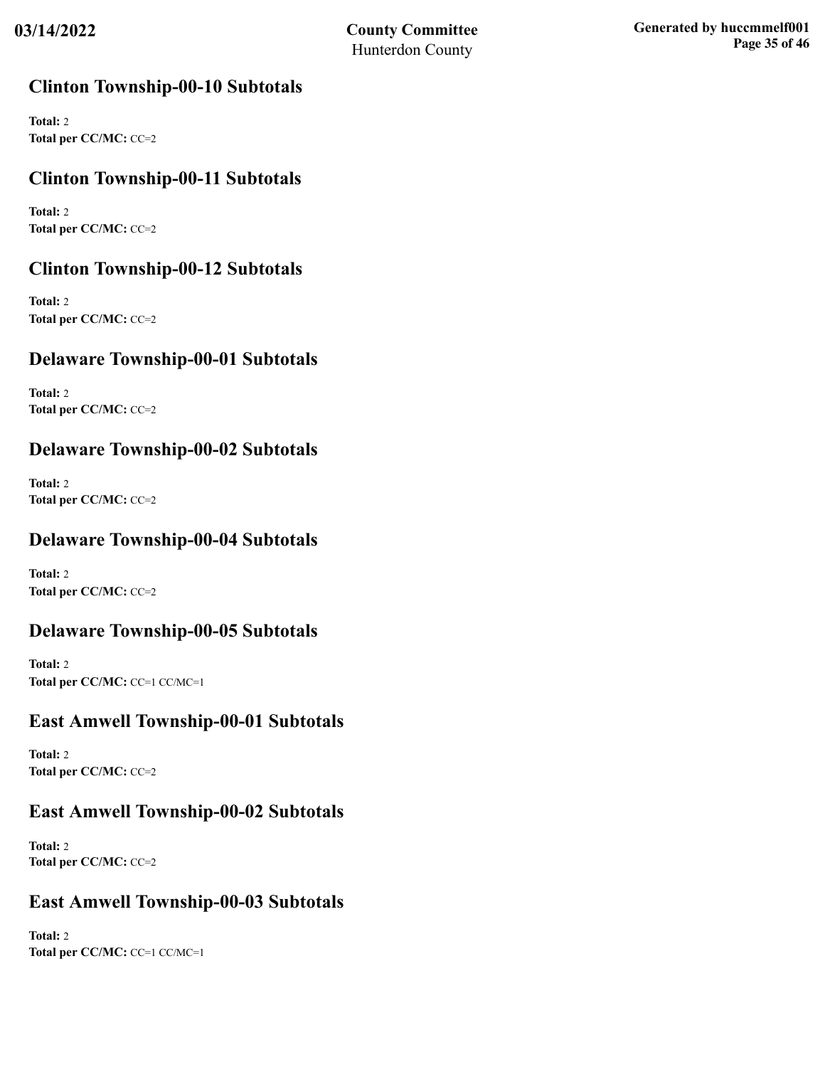### **Clinton Township-00-10 Subtotals**

**Total:** 2 **Total per CC/MC:** CC=2

## **Clinton Township-00-11 Subtotals**

**Total:** 2 **Total per CC/MC:** CC=2

## **Clinton Township-00-12 Subtotals**

**Total:** 2 **Total per CC/MC:** CC=2

## **Delaware Township-00-01 Subtotals**

**Total:** 2 **Total per CC/MC:** CC=2

## **Delaware Township-00-02 Subtotals**

**Total:** 2 **Total per CC/MC:** CC=2

## **Delaware Township-00-04 Subtotals**

**Total:** 2 **Total per CC/MC:** CC=2

## **Delaware Township-00-05 Subtotals**

**Total:** 2 **Total per CC/MC:** CC=1 CC/MC=1

### **East Amwell Township-00-01 Subtotals**

**Total:** 2 **Total per CC/MC:** CC=2

### **East Amwell Township-00-02 Subtotals**

**Total:** 2 **Total per CC/MC:** CC=2

### **East Amwell Township-00-03 Subtotals**

**Total:** 2 **Total per CC/MC:** CC=1 CC/MC=1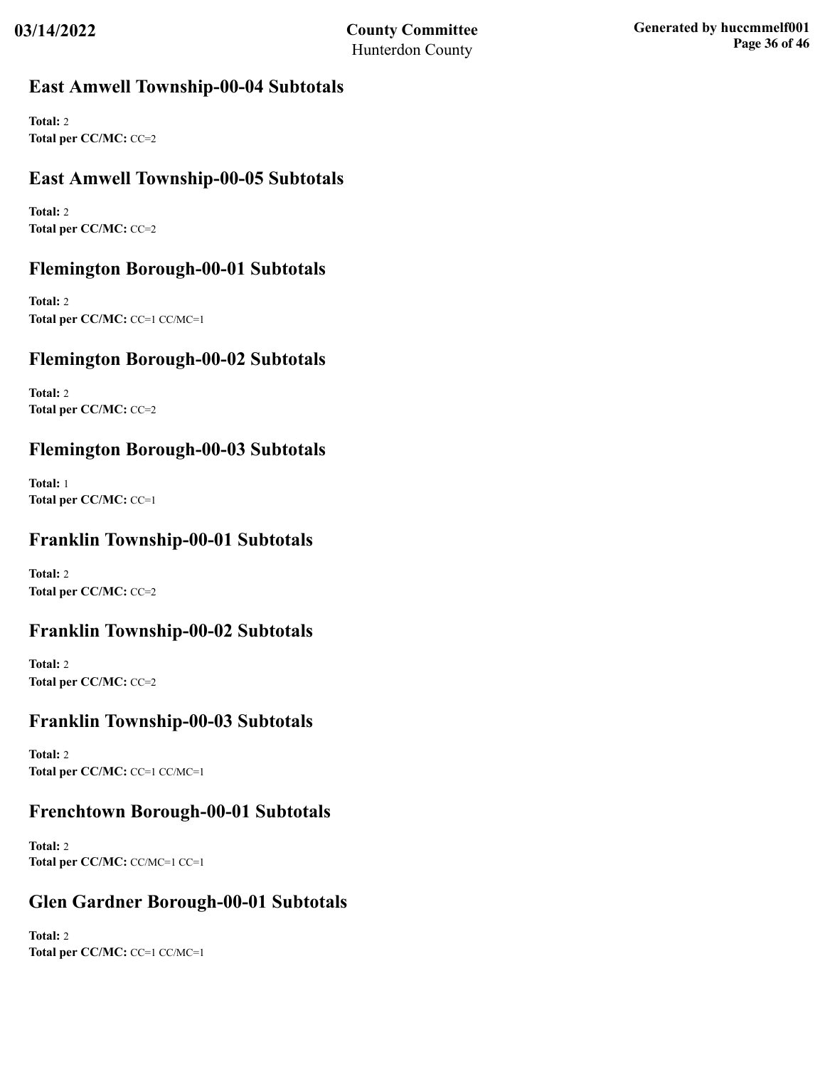## **East Amwell Township-00-04 Subtotals**

**Total:** 2 **Total per CC/MC:** CC=2

## **East Amwell Township-00-05 Subtotals**

**Total:** 2 **Total per CC/MC:** CC=2

## **Flemington Borough-00-01 Subtotals**

**Total:** 2 **Total per CC/MC:** CC=1 CC/MC=1

## **Flemington Borough-00-02 Subtotals**

**Total:** 2 **Total per CC/MC:** CC=2

## **Flemington Borough-00-03 Subtotals**

**Total:** 1 **Total per CC/MC:** CC=1

## **Franklin Township-00-01 Subtotals**

**Total:** 2 **Total per CC/MC:** CC=2

### **Franklin Township-00-02 Subtotals**

**Total:** 2 **Total per CC/MC:** CC=2

### **Franklin Township-00-03 Subtotals**

**Total:** 2 **Total per CC/MC:** CC=1 CC/MC=1

## **Frenchtown Borough-00-01 Subtotals**

**Total:** 2 **Total per CC/MC:** CC/MC=1 CC=1

## **Glen Gardner Borough-00-01 Subtotals**

**Total:** 2 **Total per CC/MC:** CC=1 CC/MC=1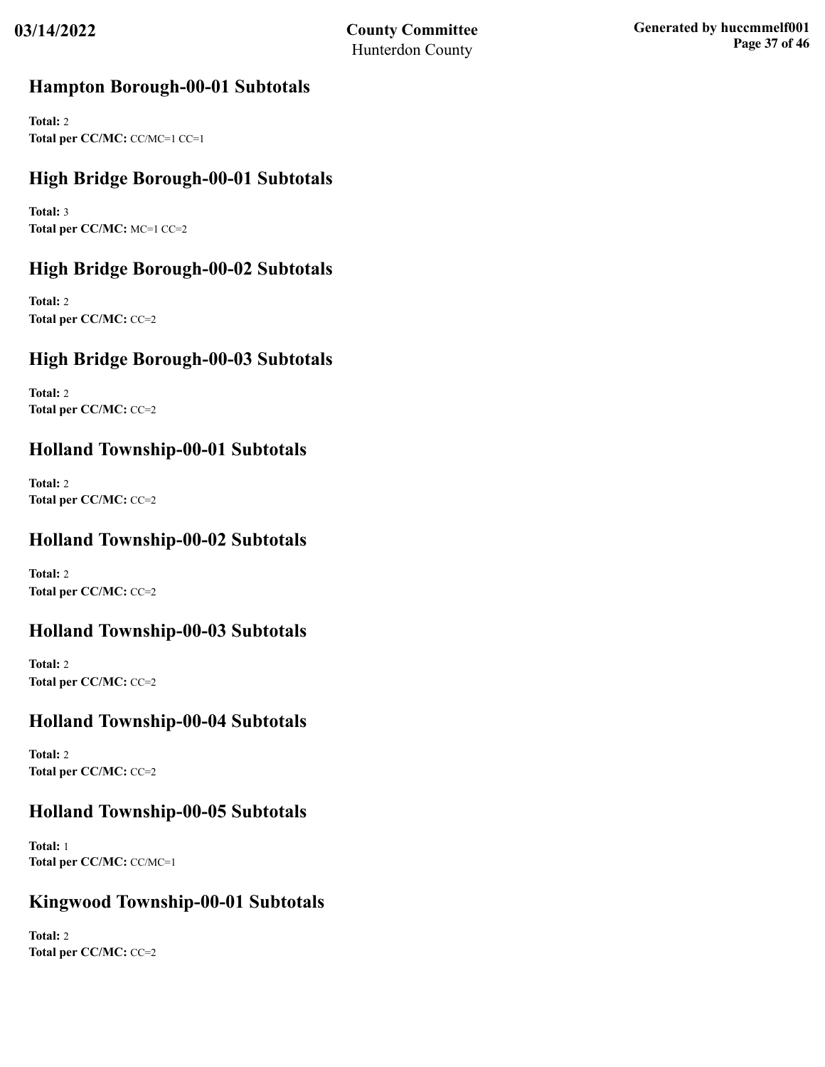### **Hampton Borough-00-01 Subtotals**

**Total:** 2 **Total per CC/MC:** CC/MC=1 CC=1

## **High Bridge Borough-00-01 Subtotals**

**Total:** 3 **Total per CC/MC:** MC=1 CC=2

## **High Bridge Borough-00-02 Subtotals**

**Total:** 2 **Total per CC/MC:** CC=2

## **High Bridge Borough-00-03 Subtotals**

**Total:** 2 **Total per CC/MC:** CC=2

## **Holland Township-00-01 Subtotals**

**Total:** 2 **Total per CC/MC:** CC=2

## **Holland Township-00-02 Subtotals**

**Total:** 2 **Total per CC/MC:** CC=2

## **Holland Township-00-03 Subtotals**

**Total:** 2 **Total per CC/MC:** CC=2

## **Holland Township-00-04 Subtotals**

**Total:** 2 **Total per CC/MC:** CC=2

### **Holland Township-00-05 Subtotals**

**Total:** 1 **Total per CC/MC:** CC/MC=1

## **Kingwood Township-00-01 Subtotals**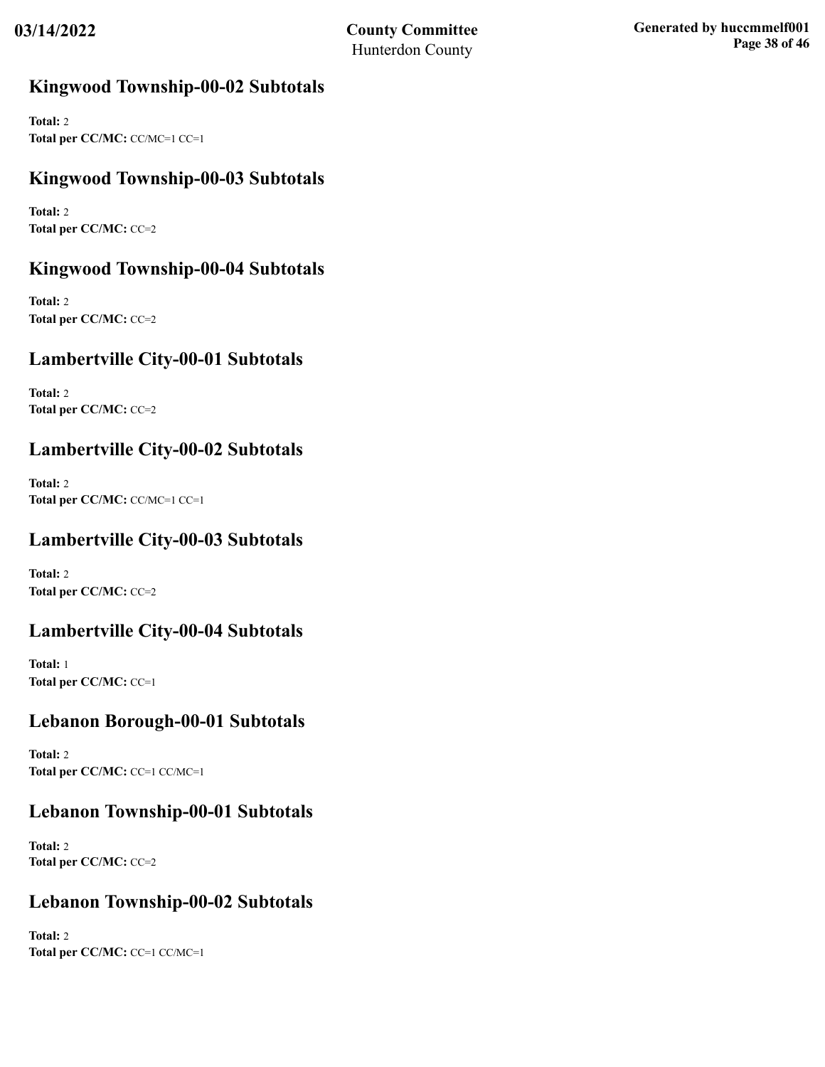## **Kingwood Township-00-02 Subtotals**

**Total:** 2 **Total per CC/MC:** CC/MC=1 CC=1

## **Kingwood Township-00-03 Subtotals**

**Total:** 2 **Total per CC/MC:** CC=2

## **Kingwood Township-00-04 Subtotals**

**Total:** 2 **Total per CC/MC:** CC=2

## **Lambertville City-00-01 Subtotals**

**Total:** 2 **Total per CC/MC:** CC=2

## **Lambertville City-00-02 Subtotals**

**Total:** 2 **Total per CC/MC:** CC/MC=1 CC=1

## **Lambertville City-00-03 Subtotals**

**Total:** 2 **Total per CC/MC:** CC=2

## **Lambertville City-00-04 Subtotals**

**Total:** 1 **Total per CC/MC:** CC=1

### **Lebanon Borough-00-01 Subtotals**

**Total:** 2 **Total per CC/MC:** CC=1 CC/MC=1

## **Lebanon Township-00-01 Subtotals**

**Total:** 2 **Total per CC/MC:** CC=2

## **Lebanon Township-00-02 Subtotals**

**Total:** 2 **Total per CC/MC:** CC=1 CC/MC=1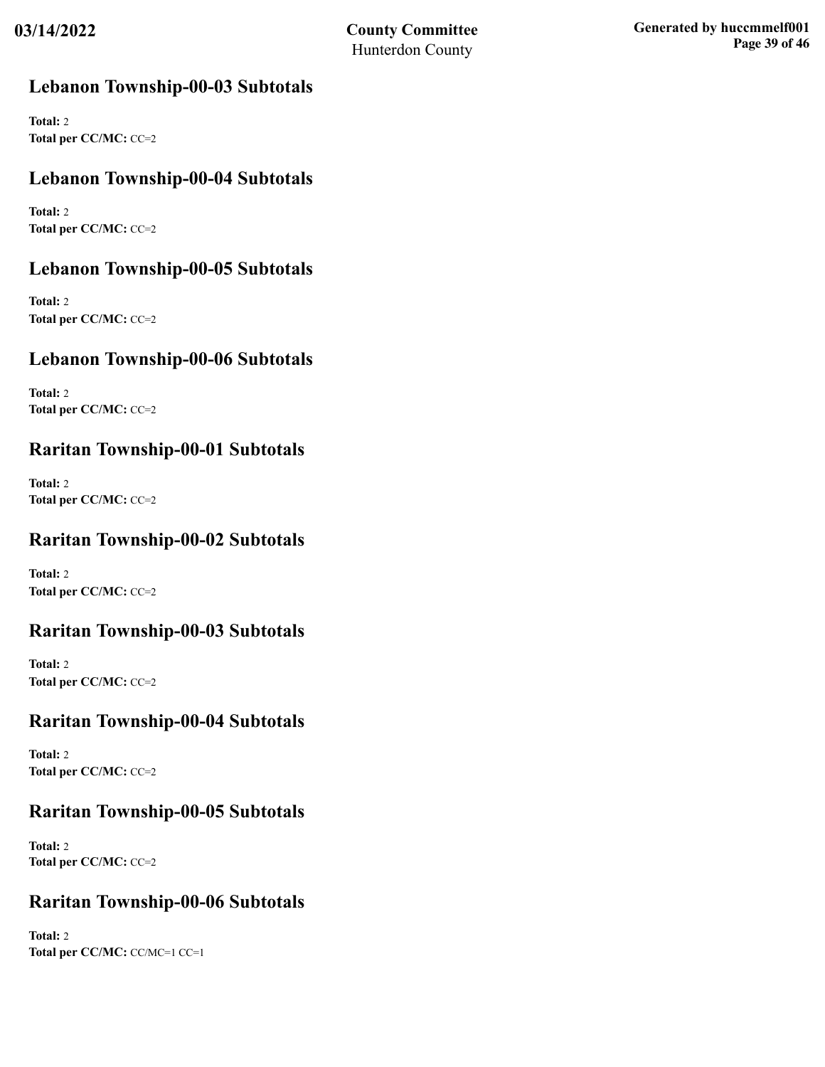## **Lebanon Township-00-03 Subtotals**

**Total:** 2 **Total per CC/MC:** CC=2

## **Lebanon Township-00-04 Subtotals**

**Total:** 2 **Total per CC/MC:** CC=2

## **Lebanon Township-00-05 Subtotals**

**Total:** 2 **Total per CC/MC:** CC=2

## **Lebanon Township-00-06 Subtotals**

**Total:** 2 **Total per CC/MC:** CC=2

## **Raritan Township-00-01 Subtotals**

**Total:** 2 **Total per CC/MC:** CC=2

## **Raritan Township-00-02 Subtotals**

**Total:** 2 **Total per CC/MC:** CC=2

### **Raritan Township-00-03 Subtotals**

**Total:** 2 **Total per CC/MC:** CC=2

## **Raritan Township-00-04 Subtotals**

**Total:** 2 **Total per CC/MC:** CC=2

### **Raritan Township-00-05 Subtotals**

**Total:** 2 **Total per CC/MC:** CC=2

### **Raritan Township-00-06 Subtotals**

**Total:** 2 **Total per CC/MC:** CC/MC=1 CC=1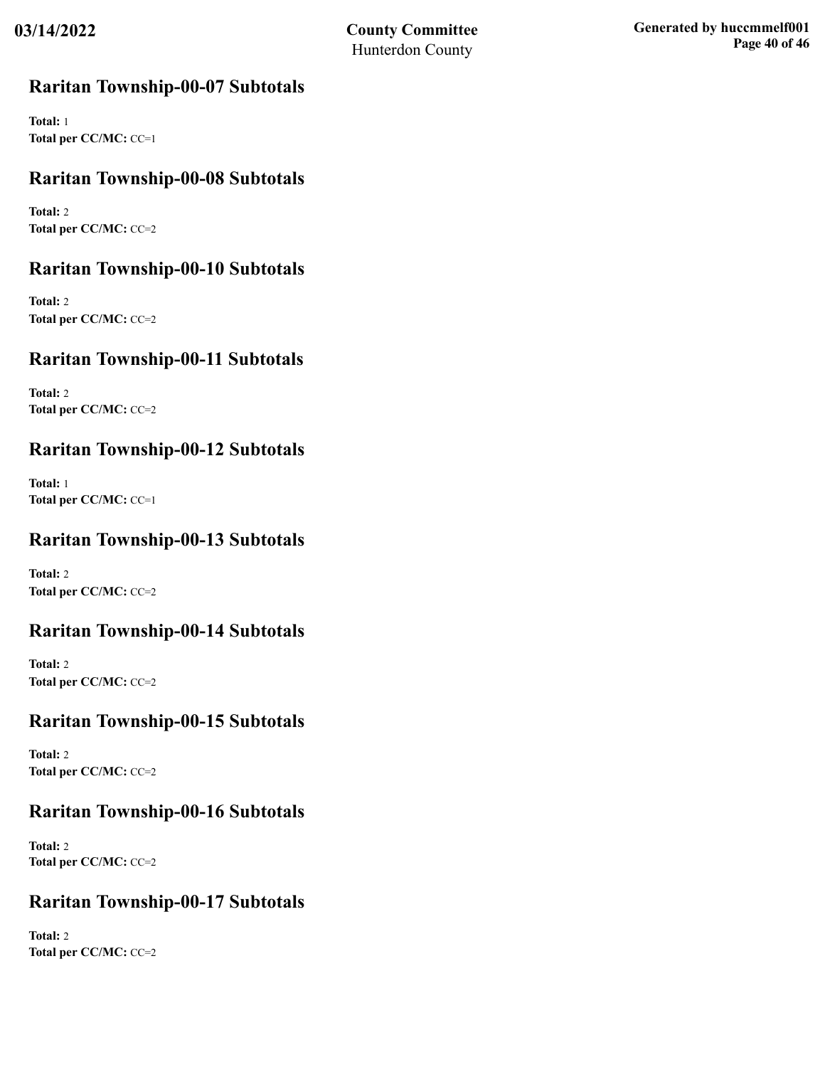### **Raritan Township-00-07 Subtotals**

**Total:** 1 **Total per CC/MC:** CC=1

## **Raritan Township-00-08 Subtotals**

**Total:** 2 **Total per CC/MC:** CC=2

### **Raritan Township-00-10 Subtotals**

**Total:** 2 **Total per CC/MC:** CC=2

## **Raritan Township-00-11 Subtotals**

**Total:** 2 **Total per CC/MC:** CC=2

### **Raritan Township-00-12 Subtotals**

**Total:** 1 **Total per CC/MC:** CC=1

## **Raritan Township-00-13 Subtotals**

**Total:** 2 **Total per CC/MC:** CC=2

### **Raritan Township-00-14 Subtotals**

**Total:** 2 **Total per CC/MC:** CC=2

### **Raritan Township-00-15 Subtotals**

**Total:** 2 **Total per CC/MC:** CC=2

### **Raritan Township-00-16 Subtotals**

**Total:** 2 **Total per CC/MC:** CC=2

### **Raritan Township-00-17 Subtotals**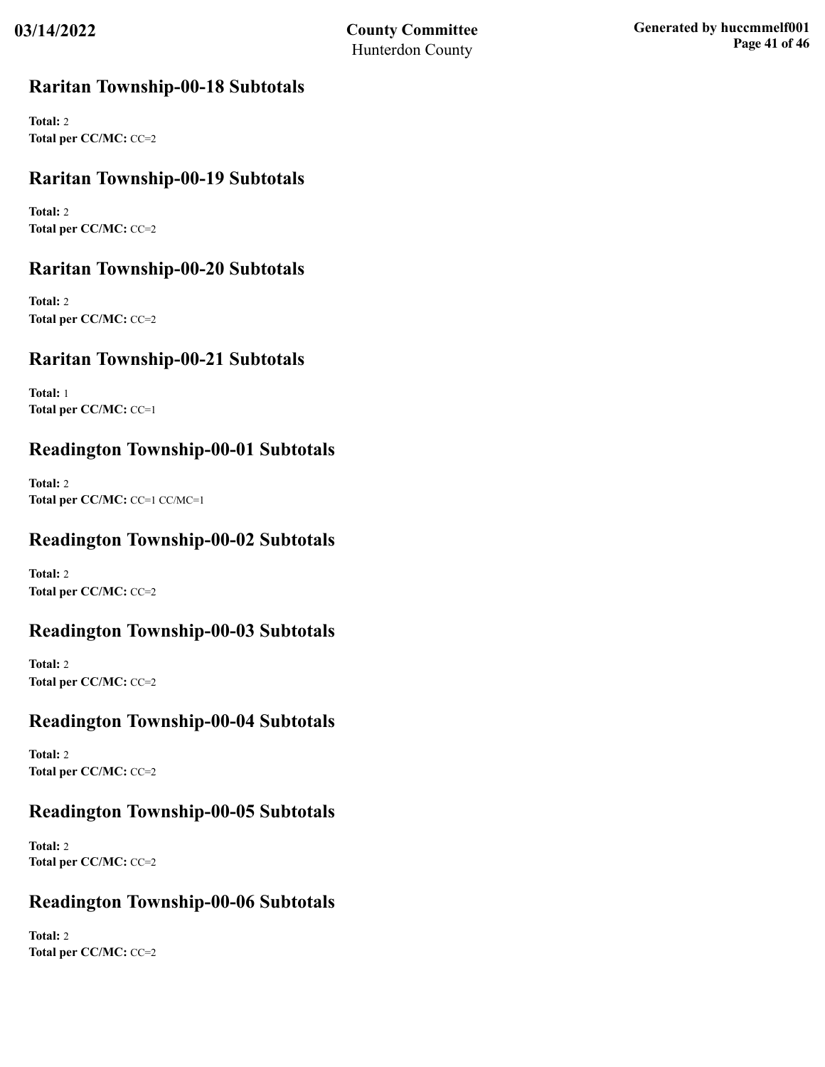### **Raritan Township-00-18 Subtotals**

**Total:** 2 **Total per CC/MC:** CC=2

## **Raritan Township-00-19 Subtotals**

**Total:** 2 **Total per CC/MC:** CC=2

## **Raritan Township-00-20 Subtotals**

**Total:** 2 **Total per CC/MC:** CC=2

## **Raritan Township-00-21 Subtotals**

**Total:** 1 **Total per CC/MC:** CC=1

## **Readington Township-00-01 Subtotals**

**Total:** 2 **Total per CC/MC:** CC=1 CC/MC=1

## **Readington Township-00-02 Subtotals**

**Total:** 2 **Total per CC/MC:** CC=2

### **Readington Township-00-03 Subtotals**

**Total:** 2 **Total per CC/MC:** CC=2

### **Readington Township-00-04 Subtotals**

**Total:** 2 **Total per CC/MC:** CC=2

### **Readington Township-00-05 Subtotals**

**Total:** 2 **Total per CC/MC:** CC=2

### **Readington Township-00-06 Subtotals**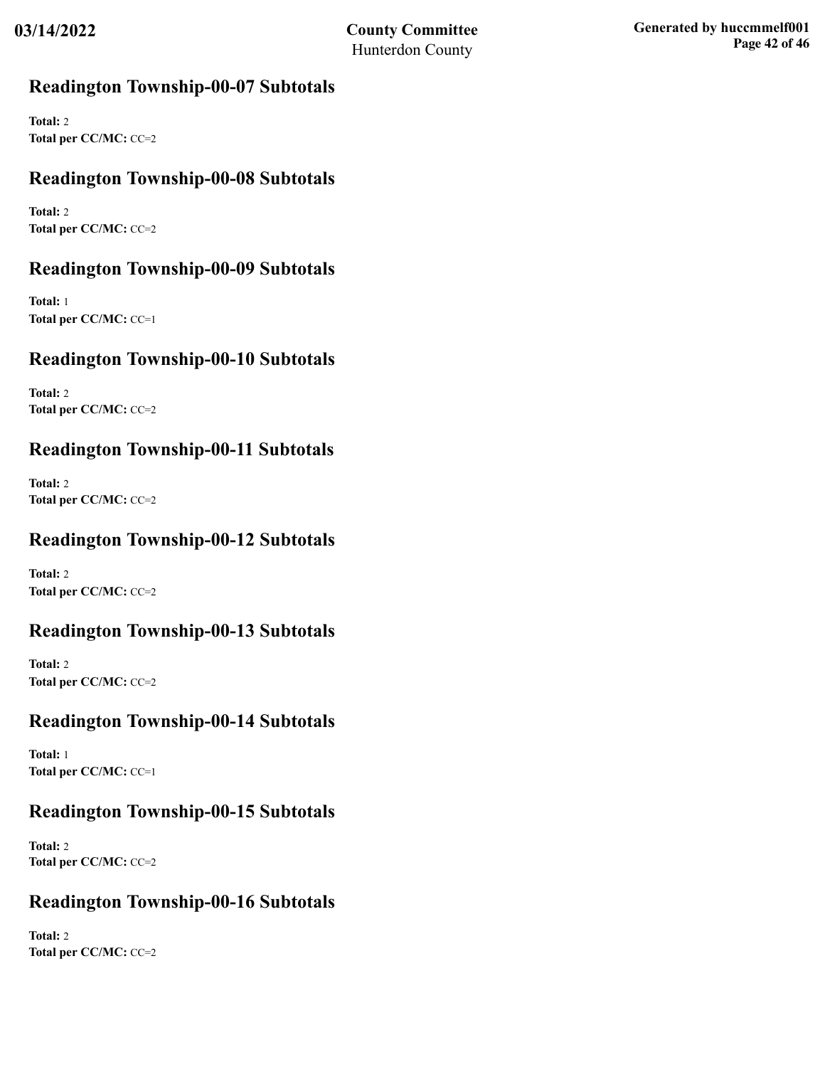## **Readington Township-00-07 Subtotals**

**Total:** 2 **Total per CC/MC:** CC=2

## **Readington Township-00-08 Subtotals**

**Total:** 2 **Total per CC/MC:** CC=2

## **Readington Township-00-09 Subtotals**

**Total:** 1 **Total per CC/MC:** CC=1

## **Readington Township-00-10 Subtotals**

**Total:** 2 **Total per CC/MC:** CC=2

## **Readington Township-00-11 Subtotals**

**Total:** 2 **Total per CC/MC:** CC=2

## **Readington Township-00-12 Subtotals**

**Total:** 2 **Total per CC/MC:** CC=2

### **Readington Township-00-13 Subtotals**

**Total:** 2 **Total per CC/MC:** CC=2

### **Readington Township-00-14 Subtotals**

**Total:** 1 **Total per CC/MC:** CC=1

### **Readington Township-00-15 Subtotals**

**Total:** 2 **Total per CC/MC:** CC=2

### **Readington Township-00-16 Subtotals**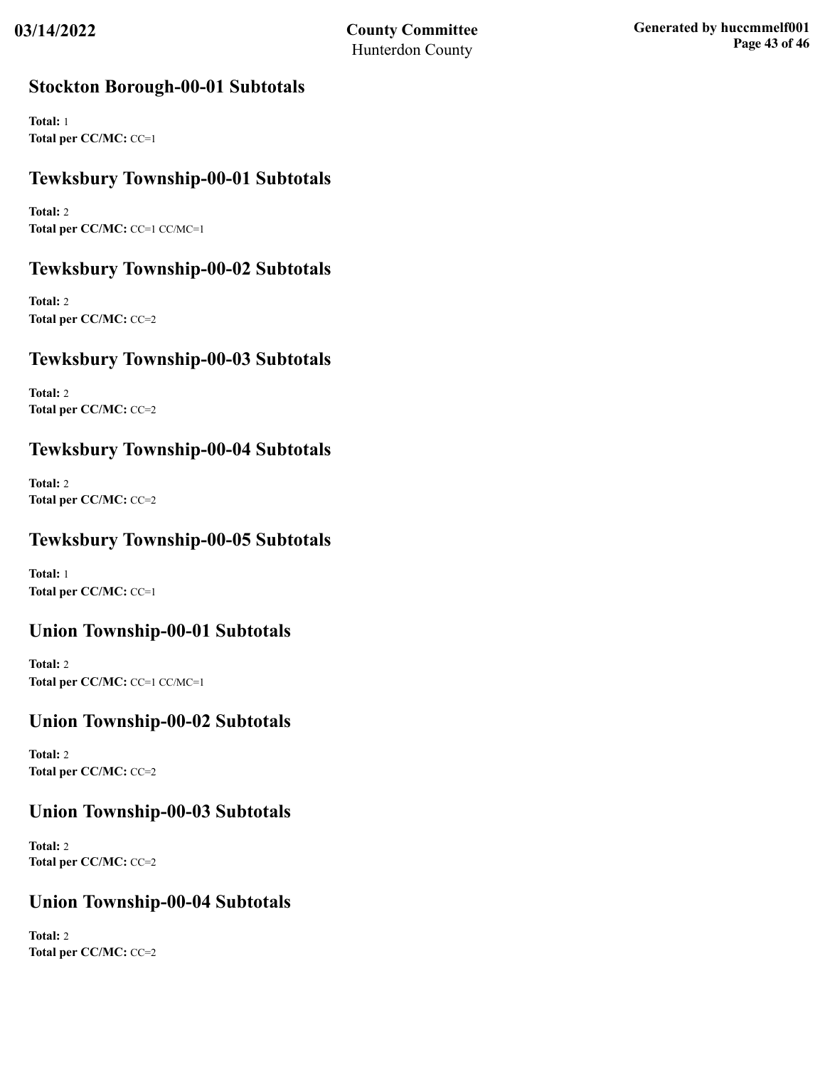### **Stockton Borough-00-01 Subtotals**

**Total:** 1 **Total per CC/MC:** CC=1

## **Tewksbury Township-00-01 Subtotals**

**Total:** 2 **Total per CC/MC:** CC=1 CC/MC=1

## **Tewksbury Township-00-02 Subtotals**

**Total:** 2 **Total per CC/MC:** CC=2

## **Tewksbury Township-00-03 Subtotals**

**Total:** 2 **Total per CC/MC:** CC=2

## **Tewksbury Township-00-04 Subtotals**

**Total:** 2 **Total per CC/MC:** CC=2

## **Tewksbury Township-00-05 Subtotals**

**Total:** 1 **Total per CC/MC:** CC=1

## **Union Township-00-01 Subtotals**

**Total:** 2 **Total per CC/MC:** CC=1 CC/MC=1

### **Union Township-00-02 Subtotals**

**Total:** 2 **Total per CC/MC:** CC=2

### **Union Township-00-03 Subtotals**

**Total:** 2 **Total per CC/MC:** CC=2

### **Union Township-00-04 Subtotals**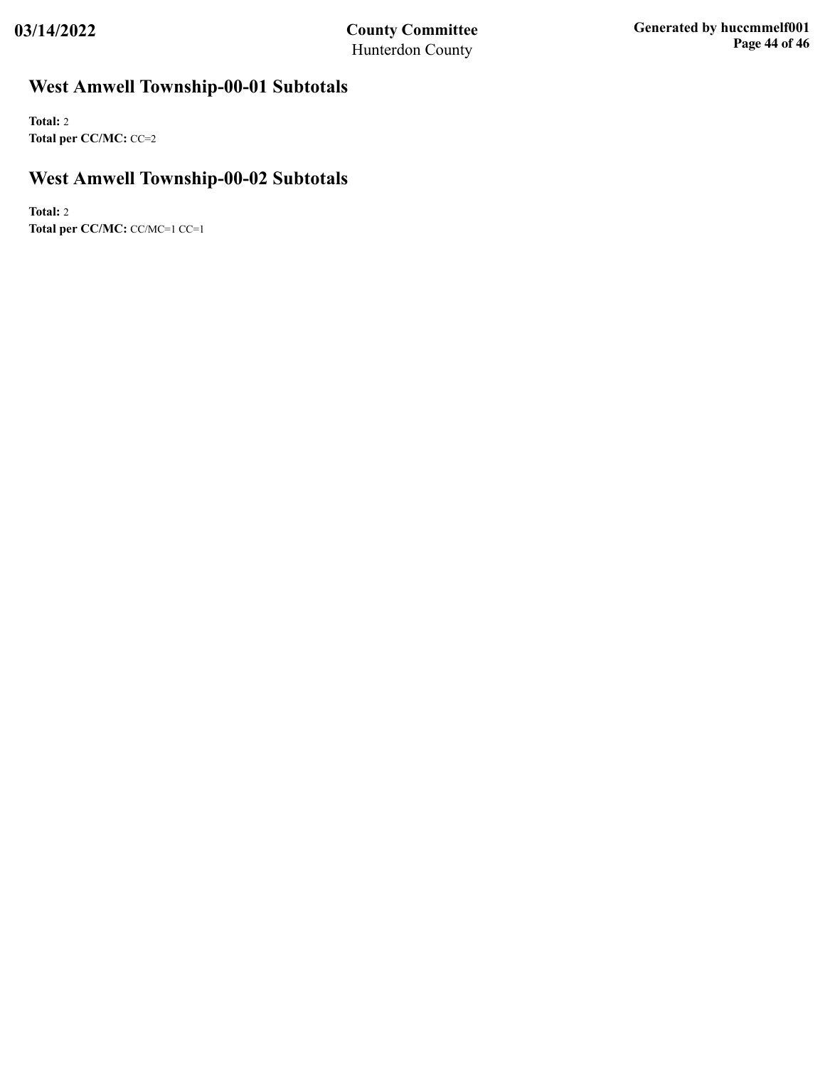# **West Amwell Township-00-01 Subtotals**

**Total:** 2 **Total per CC/MC:** CC=2

## **West Amwell Township-00-02 Subtotals**

**Total:** 2 **Total per CC/MC:** CC/MC=1 CC=1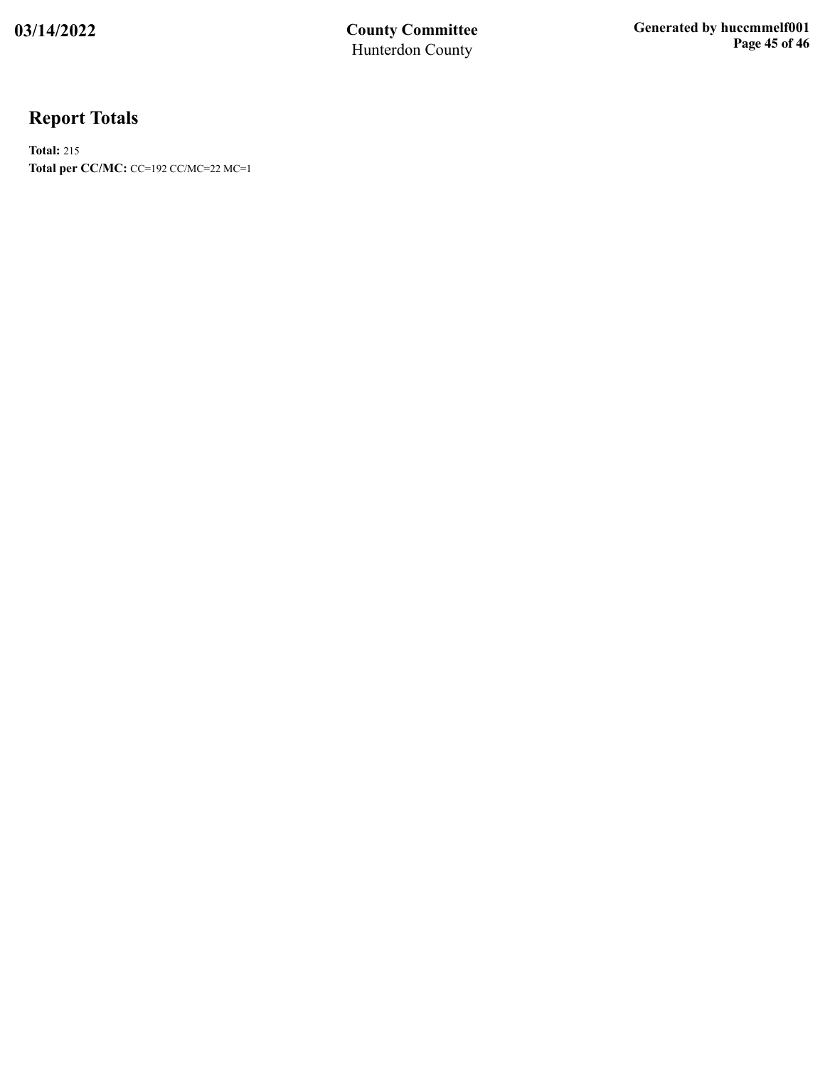# **Report Totals**

**Total:** 215 **Total per CC/MC:** CC=192 CC/MC=22 MC=1